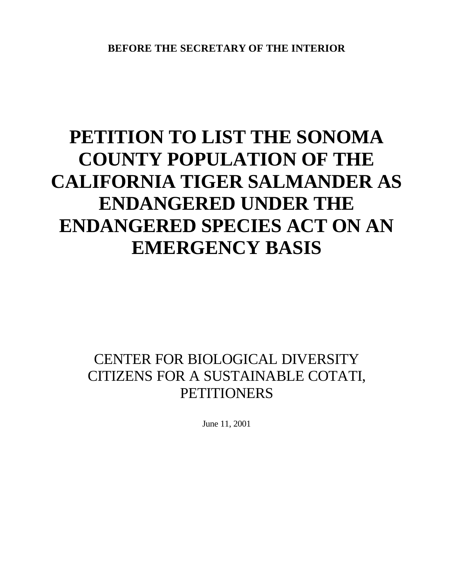# **PETITION TO LIST THE SONOMA COUNTY POPULATION OF THE CALIFORNIA TIGER SALMANDER AS ENDANGERED UNDER THE ENDANGERED SPECIES ACT ON AN EMERGENCY BASIS**

# CENTER FOR BIOLOGICAL DIVERSITY CITIZENS FOR A SUSTAINABLE COTATI, **PETITIONERS**

June 11, 2001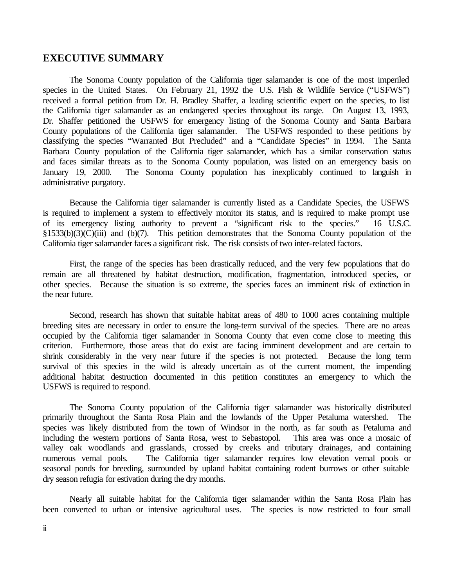#### **EXECUTIVE SUMMARY**

The Sonoma County population of the California tiger salamander is one of the most imperiled species in the United States. On February 21, 1992 the U.S. Fish & Wildlife Service ("USFWS") received a formal petition from Dr. H. Bradley Shaffer, a leading scientific expert on the species, to list the California tiger salamander as an endangered species throughout its range. On August 13, 1993, Dr. Shaffer petitioned the USFWS for emergency listing of the Sonoma County and Santa Barbara County populations of the California tiger salamander. The USFWS responded to these petitions by classifying the species "Warranted But Precluded" and a "Candidate Species" in 1994. The Santa Barbara County population of the California tiger salamander, which has a similar conservation status and faces similar threats as to the Sonoma County population, was listed on an emergency basis on January 19, 2000. The Sonoma County population has inexplicably continued to languish in administrative purgatory.

Because the California tiger salamander is currently listed as a Candidate Species, the USFWS is required to implement a system to effectively monitor its status, and is required to make prompt use of its emergency listing authority to prevent a "significant risk to the species." 16 U.S.C. §1533(b)(3)(C)(iii) and (b)(7). This petition demonstrates that the Sonoma County population of the California tiger salamander faces a significant risk. The risk consists of two inter-related factors.

First, the range of the species has been drastically reduced, and the very few populations that do remain are all threatened by habitat destruction, modification, fragmentation, introduced species, or other species. Because the situation is so extreme, the species faces an imminent risk of extinction in the near future.

Second, research has shown that suitable habitat areas of 480 to 1000 acres containing multiple breeding sites are necessary in order to ensure the long-term survival of the species. There are no areas occupied by the California tiger salamander in Sonoma County that even come close to meeting this criterion. Furthermore, those areas that do exist are facing imminent development and are certain to shrink considerably in the very near future if the species is not protected. Because the long term survival of this species in the wild is already uncertain as of the current moment, the impending additional habitat destruction documented in this petition constitutes an emergency to which the USFWS is required to respond.

The Sonoma County population of the California tiger salamander was historically distributed primarily throughout the Santa Rosa Plain and the lowlands of the Upper Petaluma watershed. The species was likely distributed from the town of Windsor in the north, as far south as Petaluma and including the western portions of Santa Rosa, west to Sebastopol. This area was once a mosaic of valley oak woodlands and grasslands, crossed by creeks and tributary drainages, and containing numerous vernal pools. The California tiger salamander requires low elevation vernal pools or seasonal ponds for breeding, surrounded by upland habitat containing rodent burrows or other suitable dry season refugia for estivation during the dry months.

Nearly all suitable habitat for the California tiger salamander within the Santa Rosa Plain has been converted to urban or intensive agricultural uses. The species is now restricted to four small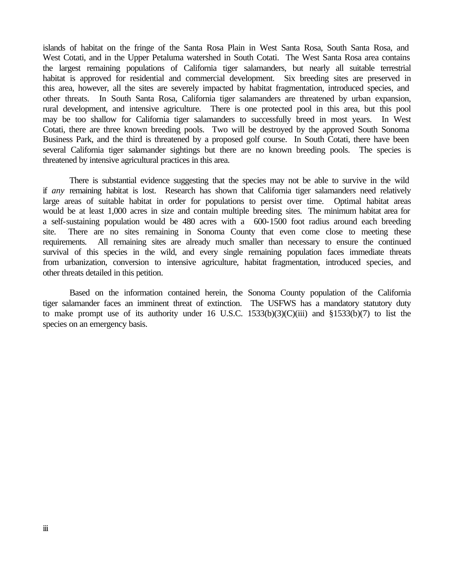islands of habitat on the fringe of the Santa Rosa Plain in West Santa Rosa, South Santa Rosa, and West Cotati, and in the Upper Petaluma watershed in South Cotati. The West Santa Rosa area contains the largest remaining populations of California tiger salamanders, but nearly all suitable terrestrial habitat is approved for residential and commercial development. Six breeding sites are preserved in this area, however, all the sites are severely impacted by habitat fragmentation, introduced species, and other threats. In South Santa Rosa, California tiger salamanders are threatened by urban expansion, rural development, and intensive agriculture. There is one protected pool in this area, but this pool may be too shallow for California tiger salamanders to successfully breed in most years. In West Cotati, there are three known breeding pools. Two will be destroyed by the approved South Sonoma Business Park, and the third is threatened by a proposed golf course. In South Cotati, there have been several California tiger salamander sightings but there are no known breeding pools. The species is threatened by intensive agricultural practices in this area.

There is substantial evidence suggesting that the species may not be able to survive in the wild if *any* remaining habitat is lost. Research has shown that California tiger salamanders need relatively large areas of suitable habitat in order for populations to persist over time. Optimal habitat areas would be at least 1,000 acres in size and contain multiple breeding sites. The minimum habitat area for a self-sustaining population would be 480 acres with a 600-1500 foot radius around each breeding site. There are no sites remaining in Sonoma County that even come close to meeting these requirements. All remaining sites are already much smaller than necessary to ensure the continued survival of this species in the wild, and every single remaining population faces immediate threats from urbanization, conversion to intensive agriculture, habitat fragmentation, introduced species, and other threats detailed in this petition.

Based on the information contained herein, the Sonoma County population of the California tiger salamander faces an imminent threat of extinction. The USFWS has a mandatory statutory duty to make prompt use of its authority under 16 U.S.C. 1533(b)(3)(C)(iii) and §1533(b)(7) to list the species on an emergency basis.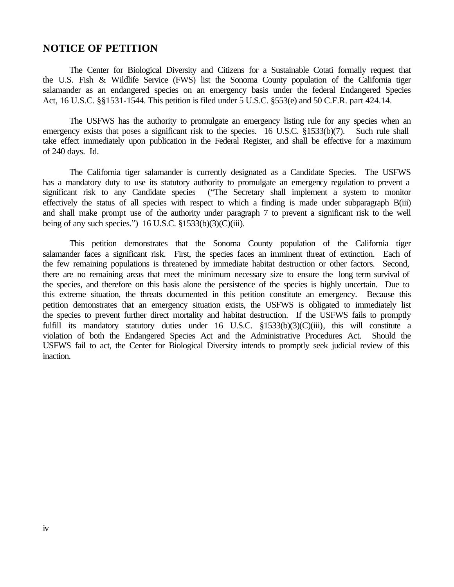#### **NOTICE OF PETITION**

The Center for Biological Diversity and Citizens for a Sustainable Cotati formally request that the U.S. Fish & Wildlife Service (FWS) list the Sonoma County population of the California tiger salamander as an endangered species on an emergency basis under the federal Endangered Species Act, 16 U.S.C. §§1531-1544. This petition is filed under 5 U.S.C. §553(e) and 50 C.F.R. part 424.14.

The USFWS has the authority to promulgate an emergency listing rule for any species when an emergency exists that poses a significant risk to the species. 16 U.S.C. §1533(b)(7). Such rule shall take effect immediately upon publication in the Federal Register, and shall be effective for a maximum of 240 days. Id.

The California tiger salamander is currently designated as a Candidate Species. The USFWS has a mandatory duty to use its statutory authority to promulgate an emergency regulation to prevent a significant risk to any Candidate species ("The Secretary shall implement a system to monitor effectively the status of all species with respect to which a finding is made under subparagraph B(iii) and shall make prompt use of the authority under paragraph 7 to prevent a significant risk to the well being of any such species.") 16 U.S.C.  $$1533(b)(3)(C)(iii)$ .

This petition demonstrates that the Sonoma County population of the California tiger salamander faces a significant risk. First, the species faces an imminent threat of extinction. Each of the few remaining populations is threatened by immediate habitat destruction or other factors. Second, there are no remaining areas that meet the minimum necessary size to ensure the long term survival of the species, and therefore on this basis alone the persistence of the species is highly uncertain. Due to this extreme situation, the threats documented in this petition constitute an emergency. Because this petition demonstrates that an emergency situation exists, the USFWS is obligated to immediately list the species to prevent further direct mortality and habitat destruction. If the USFWS fails to promptly fulfill its mandatory statutory duties under 16 U.S.C. §1533(b)(3)(C)(iii), this will constitute a violation of both the Endangered Species Act and the Administrative Procedures Act. Should the USFWS fail to act, the Center for Biological Diversity intends to promptly seek judicial review of this inaction.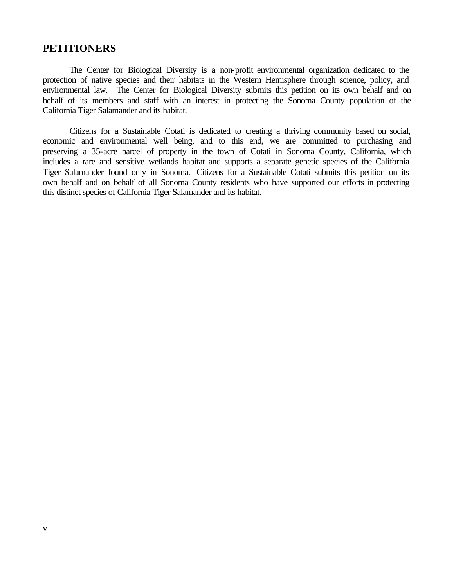#### **PETITIONERS**

The Center for Biological Diversity is a non-profit environmental organization dedicated to the protection of native species and their habitats in the Western Hemisphere through science, policy, and environmental law. The Center for Biological Diversity submits this petition on its own behalf and on behalf of its members and staff with an interest in protecting the Sonoma County population of the California Tiger Salamander and its habitat.

Citizens for a Sustainable Cotati is dedicated to creating a thriving community based on social, economic and environmental well being, and to this end, we are committed to purchasing and preserving a 35-acre parcel of property in the town of Cotati in Sonoma County, California, which includes a rare and sensitive wetlands habitat and supports a separate genetic species of the California Tiger Salamander found only in Sonoma. Citizens for a Sustainable Cotati submits this petition on its own behalf and on behalf of all Sonoma County residents who have supported our efforts in protecting this distinct species of California Tiger Salamander and its habitat.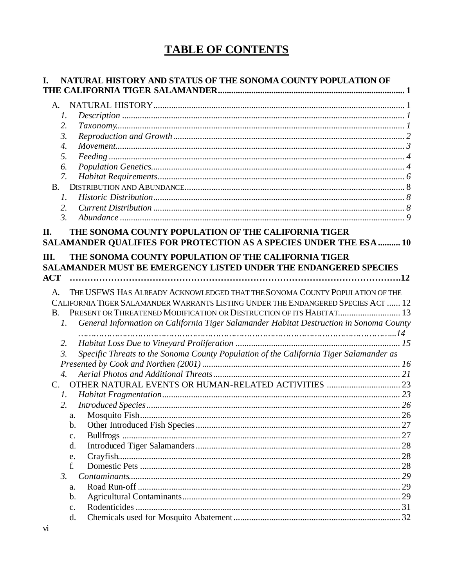# **TABLE OF CONTENTS**

| I.                 | NATURAL HISTORY AND STATUS OF THE SONOMA COUNTY POPULATION OF                                                              |  |
|--------------------|----------------------------------------------------------------------------------------------------------------------------|--|
|                    |                                                                                                                            |  |
| A.                 |                                                                                                                            |  |
| 1.                 |                                                                                                                            |  |
| 2.                 |                                                                                                                            |  |
| 3.                 |                                                                                                                            |  |
| $\boldsymbol{4}$ . |                                                                                                                            |  |
| 5.                 |                                                                                                                            |  |
| 6.                 |                                                                                                                            |  |
| 7.                 |                                                                                                                            |  |
| <b>B.</b>          |                                                                                                                            |  |
| 1.                 |                                                                                                                            |  |
| 2.                 |                                                                                                                            |  |
| $\mathfrak{Z}$ .   |                                                                                                                            |  |
| П.                 | THE SONOMA COUNTY POPULATION OF THE CALIFORNIA TIGER<br>SALAMANDER QUALIFIES FOR PROTECTION AS A SPECIES UNDER THE ESA  10 |  |
| Ш.                 | THE SONOMA COUNTY POPULATION OF THE CALIFORNIA TIGER                                                                       |  |
|                    | SALAMANDER MUST BE EMERGENCY LISTED UNDER THE ENDANGERED SPECIES                                                           |  |
| <b>ACT</b>         |                                                                                                                            |  |
| $\mathsf{A}$ .     | THE USFWS HAS ALREADY ACKNOWLEDGED THAT THE SONOMA COUNTY POPULATION OF THE                                                |  |
|                    | CALIFORNIA TIGER SALAMANDER WARRANTS LISTING UNDER THE ENDANGERED SPECIES ACT  12                                          |  |
| B.                 | PRESENT OR THREATENED MODIFICATION OR DESTRUCTION OF ITS HABITAT 13                                                        |  |
| $\mathcal{I}$ .    | General Information on California Tiger Salamander Habitat Destruction in Sonoma County                                    |  |
|                    |                                                                                                                            |  |
| 2.                 |                                                                                                                            |  |
| $\mathfrak{Z}$ .   | Specific Threats to the Sonoma County Population of the California Tiger Salamander as                                     |  |
|                    |                                                                                                                            |  |
| $\overline{4}$ .   |                                                                                                                            |  |
| C.                 |                                                                                                                            |  |
| $I_{\cdot}$        |                                                                                                                            |  |
|                    |                                                                                                                            |  |
|                    | 2.                                                                                                                         |  |
|                    | a.                                                                                                                         |  |
|                    | $\mathbf b$ .                                                                                                              |  |
|                    | c.                                                                                                                         |  |
|                    | d.                                                                                                                         |  |
|                    | e.                                                                                                                         |  |
|                    | f.                                                                                                                         |  |
| $\mathfrak{Z}$ .   |                                                                                                                            |  |
|                    | a.                                                                                                                         |  |
|                    | $\mathbf b$ .                                                                                                              |  |
|                    | $C_{\bullet}$                                                                                                              |  |
|                    | d.                                                                                                                         |  |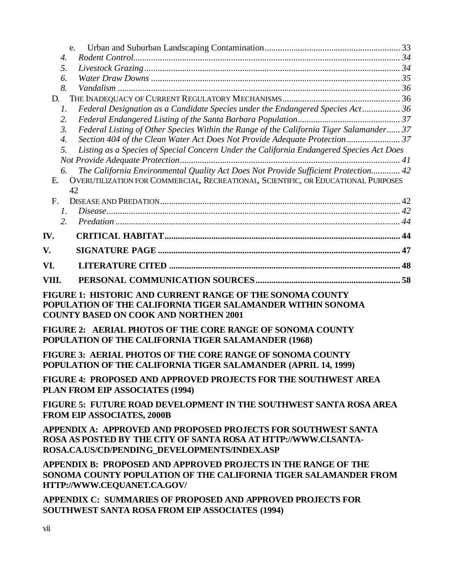| e.                                                                                                          |  |
|-------------------------------------------------------------------------------------------------------------|--|
| 4.                                                                                                          |  |
| 5.                                                                                                          |  |
| 6.                                                                                                          |  |
| 8.                                                                                                          |  |
| D.                                                                                                          |  |
| Federal Designation as a Candidate Species under the Endangered Species Act 36<br>$\mathcal{I}$ .           |  |
| 2.                                                                                                          |  |
| Federal Listing of Other Species Within the Range of the California Tiger Salamander 37<br>$\mathfrak{Z}$ . |  |
| Section 404 of the Clean Water Act Does Not Provide Adequate Protection 37<br>$\boldsymbol{4}$ .            |  |
| Listing as a Species of Special Concern Under the California Endangered Species Act Does<br>5.              |  |
|                                                                                                             |  |
| The California Environmental Quality Act Does Not Provide Sufficient Protection 42<br>6.                    |  |
| OVERUTILIZATION FOR COMMERCIAL, RECREATIONAL, SCIENTIFIC, OR EDUCATIONAL PURPOSES<br>E.                     |  |
| 42                                                                                                          |  |
| F.                                                                                                          |  |
| $\mathcal{I}$ .                                                                                             |  |
| 2.                                                                                                          |  |
| IV.                                                                                                         |  |
| V.                                                                                                          |  |
| VI.                                                                                                         |  |
| VIII.                                                                                                       |  |
| FIGURE 1: HISTORIC AND CURRENT RANGE OF THE SONOMA COUNTY                                                   |  |

**POPULATION OF THE CALIFORNIA TIGER SALAMANDER WITHIN SONOMA COUNTY BASED ON COOK AND NORTHEN 2001**

**FIGURE 2: AERIAL PHOTOS OF THE CORE RANGE OF SONOMA COUNTY POPULATION OF THE CALIFORNIA TIGER SALAMANDER (1968)**

**FIGURE 3: AERIAL PHOTOS OF THE CORE RANGE OF SONOMA COUNTY POPULATION OF THE CALIFORNIA TIGER SALAMANDER (APRIL 14, 1999)**

**FIGURE 4: PROPOSED AND APPROVED PROJECTS FOR THE SOUTHWEST AREA PLAN FROM EIP ASSOCIATES (1994)**

**FIGURE 5: FUTURE ROAD DEVELOPMENT IN THE SOUTHWEST SANTA ROSA AREA FROM EIP ASSOCIATES, 2000B**

**APPENDIX A: APPROVED AND PROPOSED PROJECTS FOR SOUTHWEST SANTA ROSA AS POSTED BY THE CITY OF SANTA ROSA AT HTTP://WWW.CI.SANTA-ROSA.CA.US/CD/PENDING\_DEVELOPMENTS/INDEX.ASP**

**APPENDIX B: PROPOSED AND APPROVED PROJECTS IN THE RANGE OF THE SONOMA COUNTY POPULATION OF THE CALIFORNIA TIGER SALAMANDER FROM HTTP://WWW.CEQUANET.CA.GOV/**

**APPENDIX C: SUMMARIES OF PROPOSED AND APPROVED PROJECTS FOR SOUTHWEST SANTA ROSA FROM EIP ASSOCIATES (1994)**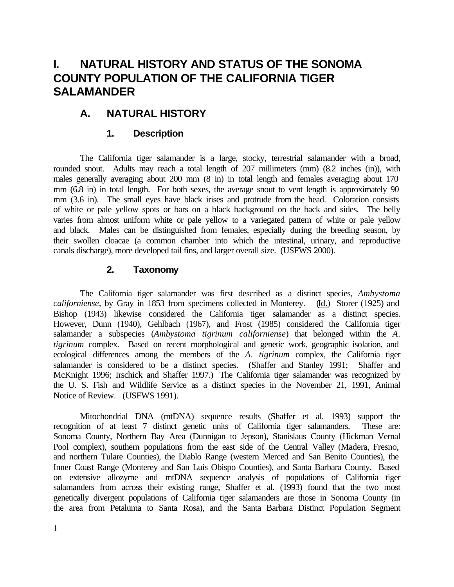# **I. NATURAL HISTORY AND STATUS OF THE SONOMA COUNTY POPULATION OF THE CALIFORNIA TIGER SALAMANDER**

# **A. NATURAL HISTORY**

# **1. Description**

The California tiger salamander is a large, stocky, terrestrial salamander with a broad, rounded snout. Adults may reach a total length of 207 millimeters (mm) (8.2 inches (in)), with males generally averaging about 200 mm (8 in) in total length and females averaging about 170 mm (6.8 in) in total length. For both sexes, the average snout to vent length is approximately 90 mm (3.6 in). The small eyes have black irises and protrude from the head. Coloration consists of white or pale yellow spots or bars on a black background on the back and sides. The belly varies from almost uniform white or pale yellow to a variegated pattern of white or pale yellow and black. Males can be distinguished from females, especially during the breeding season, by their swollen cloacae (a common chamber into which the intestinal, urinary, and reproductive canals discharge), more developed tail fins, and larger overall size. (USFWS 2000).

### **2. Taxonomy**

The California tiger salamander was first described as a distinct species, *Ambystoma californiense*, by Gray in 1853 from specimens collected in Monterey. (Id.) Storer (1925) and Bishop (1943) likewise considered the California tiger salamander as a distinct species. However, Dunn (1940), Gehlbach (1967), and Frost (1985) considered the California tiger salamander a subspecies (*Ambystoma tigrinum californiense*) that belonged within the *A*. *tigrinum* complex. Based on recent morphological and genetic work, geographic isolation, and ecological differences among the members of the *A*. *tigrinum* complex, the California tiger salamander is considered to be a distinct species. (Shaffer and Stanley 1991; Shaffer and McKnight 1996; Irschick and Shaffer 1997.) The California tiger salamander was recognized by the U. S. Fish and Wildlife Service as a distinct species in the November 21, 1991, Animal Notice of Review. (USFWS 1991).

Mitochondrial DNA (mtDNA) sequence results (Shaffer et al. 1993) support the recognition of at least 7 distinct genetic units of California tiger salamanders. These are: Sonoma County, Northern Bay Area (Dunnigan to Jepson), Stanislaus County (Hickman Vernal Pool complex), southern populations from the east side of the Central Valley (Madera, Fresno, and northern Tulare Counties), the Diablo Range (western Merced and San Benito Counties), the Inner Coast Range (Monterey and San Luis Obispo Counties), and Santa Barbara County. Based on extensive allozyme and mtDNA sequence analysis of populations of California tiger salamanders from across their existing range, Shaffer et al. (1993) found that the two most genetically divergent populations of California tiger salamanders are those in Sonoma County (in the area from Petaluma to Santa Rosa), and the Santa Barbara Distinct Population Segment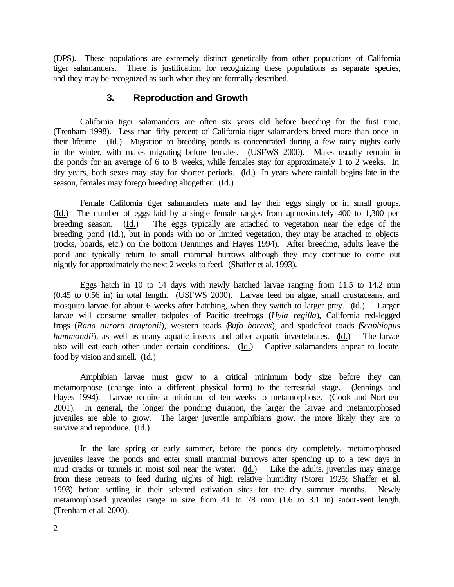(DPS). These populations are extremely distinct genetically from other populations of California tiger salamanders. There is justification for recognizing these populations as separate species, and they may be recognized as such when they are formally described.

#### **3. Reproduction and Growth**

California tiger salamanders are often six years old before breeding for the first time. (Trenham 1998). Less than fifty percent of California tiger salamanders breed more than once in their lifetime. (Id.) Migration to breeding ponds is concentrated during a few rainy nights early in the winter, with males migrating before females. (USFWS 2000). Males usually remain in the ponds for an average of 6 to 8 weeks, while females stay for approximately 1 to 2 weeks. In dry years, both sexes may stay for shorter periods. (Id.) In years where rainfall begins late in the season, females may forego breeding altogether. (Id.)

Female California tiger salamanders mate and lay their eggs singly or in small groups. (Id.) The number of eggs laid by a single female ranges from approximately 400 to 1,300 per breeding season. (Id.) The eggs typically are attached to vegetation near the edge of the breeding pond (Id.), but in ponds with no or limited vegetation, they may be attached to objects (rocks, boards, etc.) on the bottom (Jennings and Hayes 1994). After breeding, adults leave the pond and typically return to small mammal burrows although they may continue to come out nightly for approximately the next 2 weeks to feed. (Shaffer et al. 1993).

Eggs hatch in 10 to 14 days with newly hatched larvae ranging from 11.5 to 14.2 mm (0.45 to 0.56 in) in total length. (USFWS 2000). Larvae feed on algae, small crustaceans, and mosquito larvae for about 6 weeks after hatching, when they switch to larger prey. (Id.) Larger larvae will consume smaller tadpoles of Pacific treefrogs (*Hyla regilla*), California red-legged frogs (*Rana aurora draytonii*), western toads (*Bufo boreas*), and spadefoot toads (*Scaphiopus hammondii*), as well as many aquatic insects and other aquatic invertebrates. (Id.) The larvae also will eat each other under certain conditions. (Id.) Captive salamanders appear to locate food by vision and smell. (Id.)

Amphibian larvae must grow to a critical minimum body size before they can metamorphose (change into a different physical form) to the terrestrial stage. (Jennings and Hayes 1994). Larvae require a minimum of ten weeks to metamorphose. (Cook and Northen 2001). In general, the longer the ponding duration, the larger the larvae and metamorphosed juveniles are able to grow. The larger juvenile amphibians grow, the more likely they are to survive and reproduce. (Id.)

In the late spring or early summer, before the ponds dry completely, metamorphosed juveniles leave the ponds and enter small mammal burrows after spending up to a few days in mud cracks or tunnels in moist soil near the water. (Id.) Like the adults, juveniles may emerge from these retreats to feed during nights of high relative humidity (Storer 1925; Shaffer et al. 1993) before settling in their selected estivation sites for the dry summer months. Newly metamorphosed juveniles range in size from 41 to 78 mm (1.6 to 3.1 in) snout-vent length. (Trenham et al. 2000).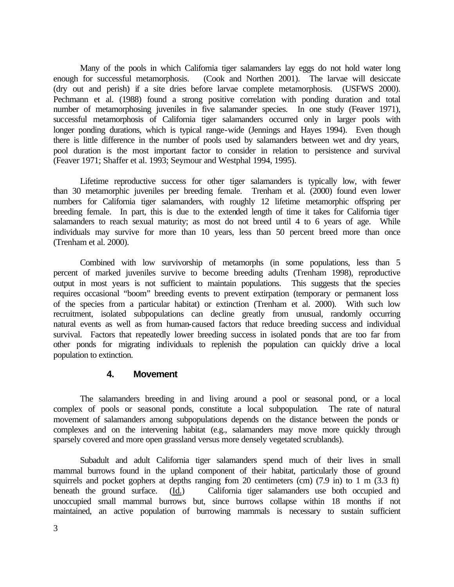Many of the pools in which California tiger salamanders lay eggs do not hold water long enough for successful metamorphosis. (Cook and Northen 2001). The larvae will desiccate (dry out and perish) if a site dries before larvae complete metamorphosis. (USFWS 2000). Pechmann et al. (1988) found a strong positive correlation with ponding duration and total number of metamorphosing juveniles in five salamander species. In one study (Feaver 1971), successful metamorphosis of California tiger salamanders occurred only in larger pools with longer ponding durations, which is typical range-wide (Jennings and Hayes 1994). Even though there is little difference in the number of pools used by salamanders between wet and dry years, pool duration is the most important factor to consider in relation to persistence and survival (Feaver 1971; Shaffer et al. 1993; Seymour and Westphal 1994, 1995).

Lifetime reproductive success for other tiger salamanders is typically low, with fewer than 30 metamorphic juveniles per breeding female. Trenham et al. (2000) found even lower numbers for California tiger salamanders, with roughly 12 lifetime metamorphic offspring per breeding female. In part, this is due to the extended length of time it takes for California tiger salamanders to reach sexual maturity; as most do not breed until 4 to 6 years of age. While individuals may survive for more than 10 years, less than 50 percent breed more than once (Trenham et al. 2000).

Combined with low survivorship of metamorphs (in some populations, less than 5 percent of marked juveniles survive to become breeding adults (Trenham 1998), reproductive output in most years is not sufficient to maintain populations. This suggests that the species requires occasional "boom" breeding events to prevent extirpation (temporary or permanent loss of the species from a particular habitat) or extinction (Trenham et al. 2000). With such low recruitment, isolated subpopulations can decline greatly from unusual, randomly occurring natural events as well as from human-caused factors that reduce breeding success and individual survival. Factors that repeatedly lower breeding success in isolated ponds that are too far from other ponds for migrating individuals to replenish the population can quickly drive a local population to extinction.

#### **4. Movement**

The salamanders breeding in and living around a pool or seasonal pond, or a local complex of pools or seasonal ponds, constitute a local subpopulation. The rate of natural movement of salamanders among subpopulations depends on the distance between the ponds or complexes and on the intervening habitat (e.g., salamanders may move more quickly through sparsely covered and more open grassland versus more densely vegetated scrublands).

Subadult and adult California tiger salamanders spend much of their lives in small mammal burrows found in the upland component of their habitat, particularly those of ground squirrels and pocket gophers at depths ranging from 20 centimeters (cm)  $(7.9 \text{ in})$  to 1 m  $(3.3 \text{ ft})$ beneath the ground surface. (Id.) California tiger salamanders use both occupied and unoccupied small mammal burrows but, since burrows collapse within 18 months if not maintained, an active population of burrowing mammals is necessary to sustain sufficient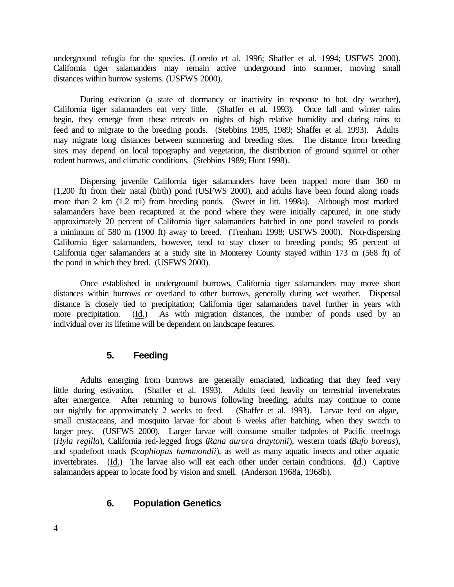underground refugia for the species. (Loredo et al. 1996; Shaffer et al. 1994; USFWS 2000). California tiger salamanders may remain active underground into summer, moving small distances within burrow systems. (USFWS 2000).

During estivation (a state of dormancy or inactivity in response to hot, dry weather), California tiger salamanders eat very little. (Shaffer et al. 1993). Once fall and winter rains begin, they emerge from these retreats on nights of high relative humidity and during rains to feed and to migrate to the breeding ponds. (Stebbins 1985, 1989; Shaffer et al. 1993). Adults may migrate long distances between summering and breeding sites. The distance from breeding sites may depend on local topography and vegetation, the distribution of ground squirrel or other rodent burrows, and climatic conditions. (Stebbins 1989; Hunt 1998).

Dispersing juvenile California tiger salamanders have been trapped more than 360 m (1,200 ft) from their natal (birth) pond (USFWS 2000), and adults have been found along roads more than 2 km (1.2 mi) from breeding ponds. (Sweet in litt. 1998a). Although most marked salamanders have been recaptured at the pond where they were initially captured, in one study approximately 20 percent of California tiger salamanders hatched in one pond traveled to ponds a minimum of 580 m (1900 ft) away to breed. (Trenham 1998; USFWS 2000). Non-dispersing California tiger salamanders, however, tend to stay closer to breeding ponds; 95 percent of California tiger salamanders at a study site in Monterey County stayed within 173 m (568 ft) of the pond in which they bred. (USFWS 2000).

Once established in underground burrows, California tiger salamanders may move short distances within burrows or overland to other burrows, generally during wet weather. Dispersal distance is closely tied to precipitation; California tiger salamanders travel further in years with more precipitation. (Id.) As with migration distances, the number of ponds used by an individual over its lifetime will be dependent on landscape features.

### **5. Feeding**

Adults emerging from burrows are generally emaciated, indicating that they feed very little during estivation. (Shaffer et al. 1993). Adults feed heavily on terrestrial invertebrates after emergence. After returning to burrows following breeding, adults may continue to come out nightly for approximately 2 weeks to feed. (Shaffer et al. 1993). Larvae feed on algae, small crustaceans, and mosquito larvae for about 6 weeks after hatching, when they switch to larger prey. (USFWS 2000). Larger larvae will consume smaller tadpoles of Pacific treefrogs (*Hyla regilla*), California red-legged frogs (*Rana aurora draytonii*), western toads (*Bufo boreas*), and spadefoot toads (*Scaphiopus hammondii*), as well as many aquatic insects and other aquatic invertebrates. (Id.) The larvae also will eat each other under certain conditions. (Id.) Captive salamanders appear to locate food by vision and smell. (Anderson 1968a, 1968b).

### **6. Population Genetics**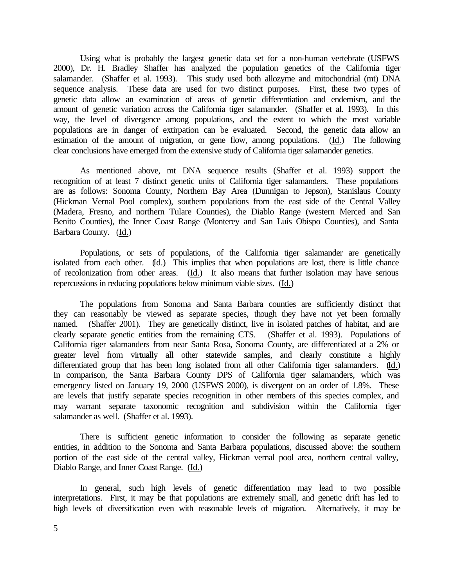Using what is probably the largest genetic data set for a non-human vertebrate (USFWS 2000), Dr. H. Bradley Shaffer has analyzed the population genetics of the California tiger salamander. (Shaffer et al. 1993). This study used both allozyme and mitochondrial (mt) DNA sequence analysis. These data are used for two distinct purposes. First, these two types of genetic data allow an examination of areas of genetic differentiation and endemism, and the amount of genetic variation across the California tiger salamander. (Shaffer et al. 1993). In this way, the level of divergence among populations, and the extent to which the most variable populations are in danger of extirpation can be evaluated. Second, the genetic data allow an estimation of the amount of migration, or gene flow, among populations. (Id.) The following clear conclusions have emerged from the extensive study of California tiger salamander genetics.

As mentioned above, mt DNA sequence results (Shaffer et al. 1993) support the recognition of at least 7 distinct genetic units of California tiger salamanders. These populations are as follows: Sonoma County, Northern Bay Area (Dunnigan to Jepson), Stanislaus County (Hickman Vernal Pool complex), southern populations from the east side of the Central Valley (Madera, Fresno, and northern Tulare Counties), the Diablo Range (western Merced and San Benito Counties), the Inner Coast Range (Monterey and San Luis Obispo Counties), and Santa Barbara County. (Id.)

Populations, or sets of populations, of the California tiger salamander are genetically isolated from each other. (Id.) This implies that when populations are lost, there is little chance of recolonization from other areas. (Id.) It also means that further isolation may have serious repercussions in reducing populations below minimum viable sizes. (Id.)

The populations from Sonoma and Santa Barbara counties are sufficiently distinct that they can reasonably be viewed as separate species, though they have not yet been formally named. (Shaffer 2001). They are genetically distinct, live in isolated patches of habitat, and are clearly separate genetic entities from the remaining CTS. (Shaffer et al. 1993). Populations of California tiger salamanders from near Santa Rosa, Sonoma County, are differentiated at a 2% or greater level from virtually all other statewide samples, and clearly constitute a highly differentiated group that has been long isolated from all other California tiger salamanders. (Id.) In comparison, the Santa Barbara County DPS of California tiger salamanders, which was emergency listed on January 19, 2000 (USFWS 2000), is divergent on an order of 1.8%. These are levels that justify separate species recognition in other members of this species complex, and may warrant separate taxonomic recognition and subdivision within the California tiger salamander as well. (Shaffer et al. 1993).

There is sufficient genetic information to consider the following as separate genetic entities, in addition to the Sonoma and Santa Barbara populations, discussed above: the southern portion of the east side of the central valley, Hickman vernal pool area, northern central valley, Diablo Range, and Inner Coast Range. (Id.)

In general, such high levels of genetic differentiation may lead to two possible interpretations. First, it may be that populations are extremely small, and genetic drift has led to high levels of diversification even with reasonable levels of migration. Alternatively, it may be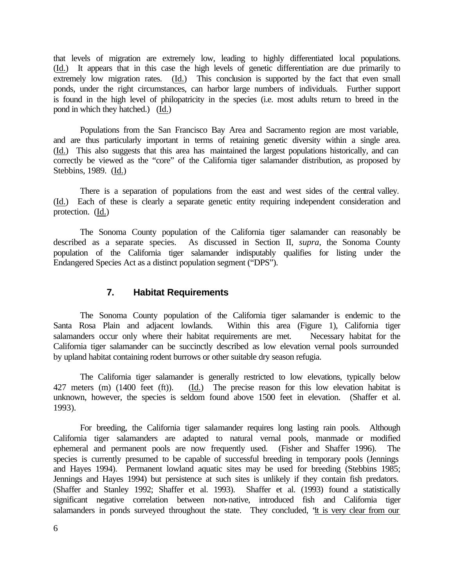that levels of migration are extremely low, leading to highly differentiated local populations. (Id.) It appears that in this case the high levels of genetic differentiation are due primarily to extremely low migration rates. (Id.) This conclusion is supported by the fact that even small ponds, under the right circumstances, can harbor large numbers of individuals. Further support is found in the high level of philopatricity in the species (i.e. most adults return to breed in the pond in which they hatched.) (Id.)

Populations from the San Francisco Bay Area and Sacramento region are most variable, and are thus particularly important in terms of retaining genetic diversity within a single area. (Id.) This also suggests that this area has maintained the largest populations historically, and can correctly be viewed as the "core" of the California tiger salamander distribution, as proposed by Stebbins, 1989. (Id.)

There is a separation of populations from the east and west sides of the central valley. (Id.) Each of these is clearly a separate genetic entity requiring independent consideration and protection. (Id.)

The Sonoma County population of the California tiger salamander can reasonably be described as a separate species. As discussed in Section II*, supra*, the Sonoma County population of the California tiger salamander indisputably qualifies for listing under the Endangered Species Act as a distinct population segment ("DPS").

#### **7. Habitat Requirements**

The Sonoma County population of the California tiger salamander is endemic to the Santa Rosa Plain and adjacent lowlands. Within this area (Figure 1), California tiger Within this area (Figure 1), California tiger salamanders occur only where their habitat requirements are met. Necessary habitat for the California tiger salamander can be succinctly described as low elevation vernal pools surrounded by upland habitat containing rodent burrows or other suitable dry season refugia.

The California tiger salamander is generally restricted to low elevations, typically below 427 meters (m) (1400 feet (ft)). (Id.) The precise reason for this low elevation habitat is unknown, however, the species is seldom found above 1500 feet in elevation. (Shaffer et al. 1993).

For breeding, the California tiger salamander requires long lasting rain pools. Although California tiger salamanders are adapted to natural vernal pools, manmade or modified ephemeral and permanent pools are now frequently used. (Fisher and Shaffer 1996). The species is currently presumed to be capable of successful breeding in temporary pools (Jennings and Hayes 1994). Permanent lowland aquatic sites may be used for breeding (Stebbins 1985; Jennings and Hayes 1994) but persistence at such sites is unlikely if they contain fish predators. (Shaffer and Stanley 1992; Shaffer et al. 1993). Shaffer et al. (1993) found a statistically significant negative correlation between non-native, introduced fish and California tiger salamanders in ponds surveyed throughout the state. They concluded, "it is very clear from our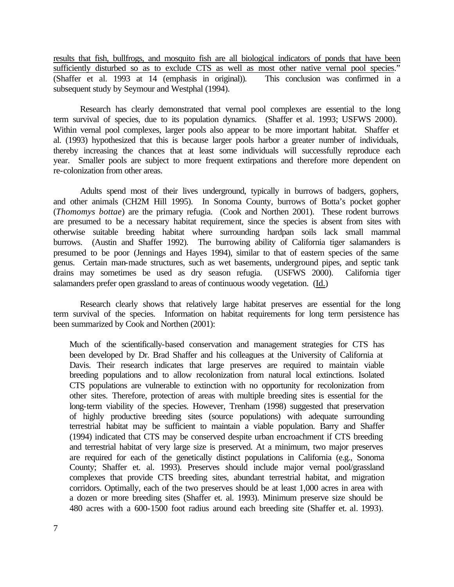results that fish, bullfrogs, and mosquito fish are all biological indicators of ponds that have been sufficiently disturbed so as to exclude CTS as well as most other native vernal pool species." (Shaffer et al. 1993 at 14 (emphasis in original)). This conclusion was confirmed in a subsequent study by Seymour and Westphal (1994).

Research has clearly demonstrated that vernal pool complexes are essential to the long term survival of species, due to its population dynamics. (Shaffer et al. 1993; USFWS 2000). Within vernal pool complexes, larger pools also appear to be more important habitat. Shaffer et al. (1993) hypothesized that this is because larger pools harbor a greater number of individuals, thereby increasing the chances that at least some individuals will successfully reproduce each year. Smaller pools are subject to more frequent extirpations and therefore more dependent on re-colonization from other areas.

Adults spend most of their lives underground, typically in burrows of badgers, gophers, and other animals (CH2M Hill 1995). In Sonoma County, burrows of Botta's pocket gopher (*Thomomys bottae*) are the primary refugia. (Cook and Northen 2001). These rodent burrows are presumed to be a necessary habitat requirement, since the species is absent from sites with otherwise suitable breeding habitat where surrounding hardpan soils lack small mammal burrows. (Austin and Shaffer 1992). The burrowing ability of California tiger salamanders is presumed to be poor (Jennings and Hayes 1994), similar to that of eastern species of the same genus. Certain man-made structures, such as wet basements, underground pipes, and septic tank drains may sometimes be used as dry season refugia. (USFWS 2000). California tiger salamanders prefer open grassland to areas of continuous woody vegetation. (Id.)

Research clearly shows that relatively large habitat preserves are essential for the long term survival of the species. Information on habitat requirements for long term persistence has been summarized by Cook and Northen (2001):

Much of the scientifically-based conservation and management strategies for CTS has been developed by Dr. Brad Shaffer and his colleagues at the University of California at Davis. Their research indicates that large preserves are required to maintain viable breeding populations and to allow recolonization from natural local extinctions. Isolated CTS populations are vulnerable to extinction with no opportunity for recolonization from other sites. Therefore, protection of areas with multiple breeding sites is essential for the long-term viability of the species. However, Trenham (1998) suggested that preservation of highly productive breeding sites (source populations) with adequate surrounding terrestrial habitat may be sufficient to maintain a viable population. Barry and Shaffer (1994) indicated that CTS may be conserved despite urban encroachment if CTS breeding and terrestrial habitat of very large size is preserved. At a minimum, two major preserves are required for each of the genetically distinct populations in California (e.g., Sonoma County; Shaffer et. al. 1993). Preserves should include major vernal pool/grassland complexes that provide CTS breeding sites, abundant terrestrial habitat, and migration corridors. Optimally, each of the two preserves should be at least 1,000 acres in area with a dozen or more breeding sites (Shaffer et. al. 1993). Minimum preserve size should be 480 acres with a 600-1500 foot radius around each breeding site (Shaffer et. al. 1993).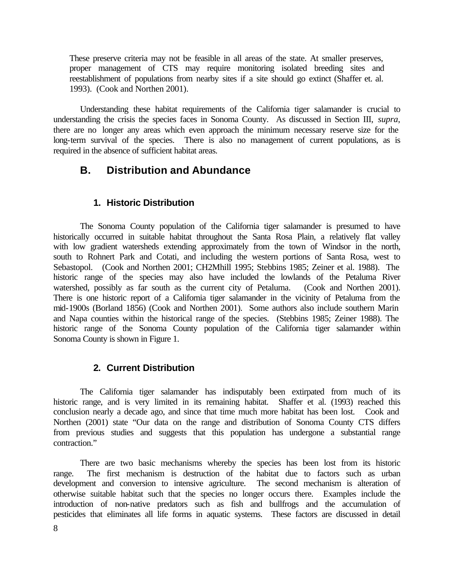These preserve criteria may not be feasible in all areas of the state. At smaller preserves, proper management of CTS may require monitoring isolated breeding sites and reestablishment of populations from nearby sites if a site should go extinct (Shaffer et. al. 1993). (Cook and Northen 2001).

Understanding these habitat requirements of the California tiger salamander is crucial to understanding the crisis the species faces in Sonoma County. As discussed in Section III, *supra*, there are no longer any areas which even approach the minimum necessary reserve size for the long-term survival of the species. There is also no management of current populations, as is required in the absence of sufficient habitat areas.

# **B. Distribution and Abundance**

#### **1. Historic Distribution**

The Sonoma County population of the California tiger salamander is presumed to have historically occurred in suitable habitat throughout the Santa Rosa Plain, a relatively flat valley with low gradient watersheds extending approximately from the town of Windsor in the north, south to Rohnert Park and Cotati, and including the western portions of Santa Rosa, west to Sebastopol. (Cook and Northen 2001; CH2Mhill 1995; Stebbins 1985; Zeiner et al. 1988). The historic range of the species may also have included the lowlands of the Petaluma River watershed, possibly as far south as the current city of Petaluma. (Cook and Northen 2001). There is one historic report of a California tiger salamander in the vicinity of Petaluma from the mid-1900s (Borland 1856) (Cook and Northen 2001). Some authors also include southern Marin and Napa counties within the historical range of the species. (Stebbins 1985; Zeiner 1988). The historic range of the Sonoma County population of the California tiger salamander within Sonoma County is shown in Figure 1.

### **2. Current Distribution**

The California tiger salamander has indisputably been extirpated from much of its historic range, and is very limited in its remaining habitat. Shaffer et al. (1993) reached this conclusion nearly a decade ago, and since that time much more habitat has been lost. Cook and Northen (2001) state "Our data on the range and distribution of Sonoma County CTS differs from previous studies and suggests that this population has undergone a substantial range contraction."

There are two basic mechanisms whereby the species has been lost from its historic range. The first mechanism is destruction of the habitat due to factors such as urban development and conversion to intensive agriculture. The second mechanism is alteration of otherwise suitable habitat such that the species no longer occurs there. Examples include the introduction of non-native predators such as fish and bullfrogs and the accumulation of pesticides that eliminates all life forms in aquatic systems. These factors are discussed in detail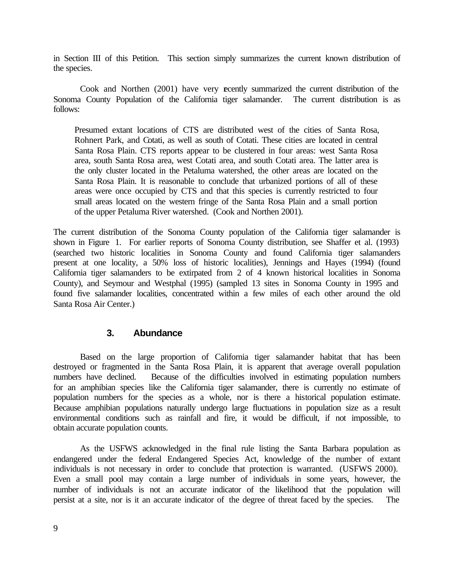in Section III of this Petition. This section simply summarizes the current known distribution of the species.

Cook and Northen (2001) have very ecently summarized the current distribution of the Sonoma County Population of the California tiger salamander. The current distribution is as follows:

Presumed extant locations of CTS are distributed west of the cities of Santa Rosa, Rohnert Park, and Cotati, as well as south of Cotati. These cities are located in central Santa Rosa Plain. CTS reports appear to be clustered in four areas: west Santa Rosa area, south Santa Rosa area, west Cotati area, and south Cotati area. The latter area is the only cluster located in the Petaluma watershed, the other areas are located on the Santa Rosa Plain. It is reasonable to conclude that urbanized portions of all of these areas were once occupied by CTS and that this species is currently restricted to four small areas located on the western fringe of the Santa Rosa Plain and a small portion of the upper Petaluma River watershed. (Cook and Northen 2001).

The current distribution of the Sonoma County population of the California tiger salamander is shown in Figure 1. For earlier reports of Sonoma County distribution, see Shaffer et al. (1993) (searched two historic localities in Sonoma County and found California tiger salamanders present at one locality, a 50% loss of historic localities), Jennings and Hayes (1994) (found California tiger salamanders to be extirpated from 2 of 4 known historical localities in Sonoma County), and Seymour and Westphal (1995) (sampled 13 sites in Sonoma County in 1995 and found five salamander localities, concentrated within a few miles of each other around the old Santa Rosa Air Center.)

### **3. Abundance**

Based on the large proportion of California tiger salamander habitat that has been destroyed or fragmented in the Santa Rosa Plain, it is apparent that average overall population numbers have declined. Because of the difficulties involved in estimating population numbers for an amphibian species like the California tiger salamander, there is currently no estimate of population numbers for the species as a whole, nor is there a historical population estimate. Because amphibian populations naturally undergo large fluctuations in population size as a result environmental conditions such as rainfall and fire, it would be difficult, if not impossible, to obtain accurate population counts.

As the USFWS acknowledged in the final rule listing the Santa Barbara population as endangered under the federal Endangered Species Act, knowledge of the number of extant individuals is not necessary in order to conclude that protection is warranted. (USFWS 2000). Even a small pool may contain a large number of individuals in some years, however, the number of individuals is not an accurate indicator of the likelihood that the population will persist at a site, nor is it an accurate indicator of the degree of threat faced by the species. The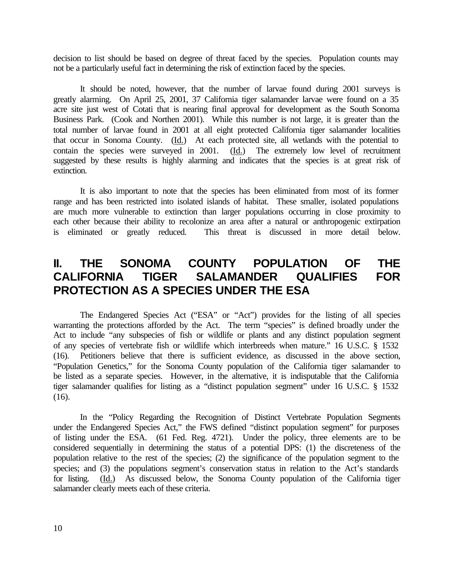decision to list should be based on degree of threat faced by the species. Population counts may not be a particularly useful fact in determining the risk of extinction faced by the species.

It should be noted, however, that the number of larvae found during 2001 surveys is greatly alarming. On April 25, 2001, 37 California tiger salamander larvae were found on a 35 acre site just west of Cotati that is nearing final approval for development as the South Sonoma Business Park. (Cook and Northen 2001). While this number is not large, it is greater than the total number of larvae found in 2001 at all eight protected California tiger salamander localities that occur in Sonoma County. (Id.) At each protected site, all wetlands with the potential to contain the species were surveyed in 2001. (Id.) The extremely low level of recruitment suggested by these results is highly alarming and indicates that the species is at great risk of extinction.

It is also important to note that the species has been eliminated from most of its former range and has been restricted into isolated islands of habitat. These smaller, isolated populations are much more vulnerable to extinction than larger populations occurring in close proximity to each other because their ability to recolonize an area after a natural or anthropogenic extirpation is eliminated or greatly reduced. This threat is discussed in more detail below.

# **II. THE SONOMA COUNTY POPULATION OF THE CALIFORNIA TIGER SALAMANDER QUALIFIES FOR PROTECTION AS A SPECIES UNDER THE ESA**

The Endangered Species Act ("ESA" or "Act") provides for the listing of all species warranting the protections afforded by the Act. The term "species" is defined broadly under the Act to include "any subspecies of fish or wildlife or plants and any distinct population segment of any species of vertebrate fish or wildlife which interbreeds when mature." 16 U.S.C. § 1532 (16). Petitioners believe that there is sufficient evidence, as discussed in the above section, "Population Genetics," for the Sonoma County population of the California tiger salamander to be listed as a separate species. However, in the alternative, it is indisputable that the California tiger salamander qualifies for listing as a "distinct population segment" under 16 U.S.C. § 1532  $(16)$ .

In the "Policy Regarding the Recognition of Distinct Vertebrate Population Segments under the Endangered Species Act," the FWS defined "distinct population segment" for purposes of listing under the ESA. (61 Fed. Reg. 4721). Under the policy, three elements are to be considered sequentially in determining the status of a potential DPS: (1) the discreteness of the population relative to the rest of the species; (2) the significance of the population segment to the species; and (3) the populations segment's conservation status in relation to the Act's standards for listing. (Id.) As discussed below, the Sonoma County population of the California tiger salamander clearly meets each of these criteria.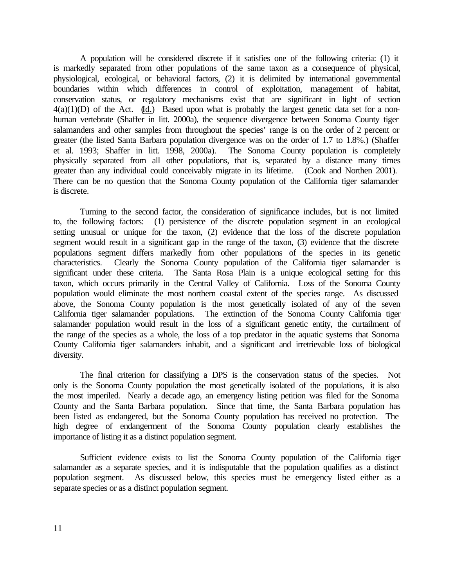A population will be considered discrete if it satisfies one of the following criteria: (1) it is markedly separated from other populations of the same taxon as a consequence of physical, physiological, ecological, or behavioral factors, (2) it is delimited by international governmental boundaries within which differences in control of exploitation, management of habitat, conservation status, or regulatory mechanisms exist that are significant in light of section  $4(a)(1)(D)$  of the Act. (Id.) Based upon what is probably the largest genetic data set for a nonhuman vertebrate (Shaffer in litt. 2000a), the sequence divergence between Sonoma County tiger salamanders and other samples from throughout the species' range is on the order of 2 percent or greater (the listed Santa Barbara population divergence was on the order of 1.7 to 1.8%.) (Shaffer et al. 1993; Shaffer in litt. 1998, 2000a). The Sonoma County population is completely physically separated from all other populations, that is, separated by a distance many times greater than any individual could conceivably migrate in its lifetime. (Cook and Northen 2001). There can be no question that the Sonoma County population of the California tiger salamander is discrete.

Turning to the second factor, the consideration of significance includes, but is not limited to, the following factors: (1) persistence of the discrete population segment in an ecological setting unusual or unique for the taxon, (2) evidence that the loss of the discrete population segment would result in a significant gap in the range of the taxon, (3) evidence that the discrete populations segment differs markedly from other populations of the species in its genetic characteristics. Clearly the Sonoma County population of the California tiger salamander is significant under these criteria. The Santa Rosa Plain is a unique ecological setting for this taxon, which occurs primarily in the Central Valley of California. Loss of the Sonoma County population would eliminate the most northern coastal extent of the species range. As discussed above, the Sonoma County population is the most genetically isolated of any of the seven California tiger salamander populations. The extinction of the Sonoma County California tiger salamander population would result in the loss of a significant genetic entity, the curtailment of the range of the species as a whole, the loss of a top predator in the aquatic systems that Sonoma County California tiger salamanders inhabit, and a significant and irretrievable loss of biological diversity.

The final criterion for classifying a DPS is the conservation status of the species. Not only is the Sonoma County population the most genetically isolated of the populations, it is also the most imperiled. Nearly a decade ago, an emergency listing petition was filed for the Sonoma County and the Santa Barbara population. Since that time, the Santa Barbara population has been listed as endangered, but the Sonoma County population has received no protection. The high degree of endangerment of the Sonoma County population clearly establishes the importance of listing it as a distinct population segment.

Sufficient evidence exists to list the Sonoma County population of the California tiger salamander as a separate species, and it is indisputable that the population qualifies as a distinct population segment. As discussed below, this species must be emergency listed either as a separate species or as a distinct population segment.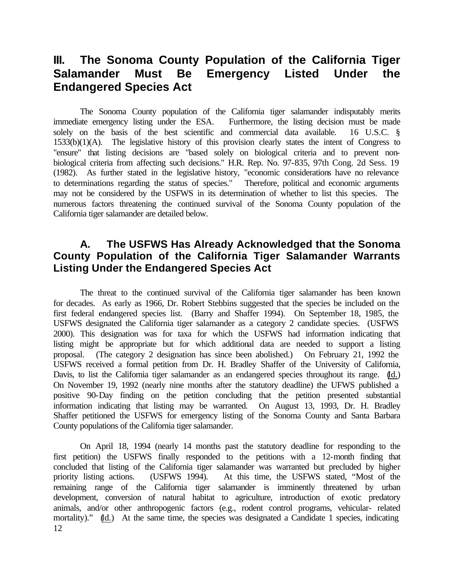# **III. The Sonoma County Population of the California Tiger Salamander Must Be Emergency Listed Under the Endangered Species Act**

The Sonoma County population of the California tiger salamander indisputably merits immediate emergency listing under the ESA. Furthermore, the listing decision must be made solely on the basis of the best scientific and commercial data available. 16 U.S.C. § 1533(b)(1)(A). The legislative history of this provision clearly states the intent of Congress to "ensure" that listing decisions are "based solely on biological criteria and to prevent nonbiological criteria from affecting such decisions." H.R. Rep. No. 97-835, 97th Cong. 2d Sess. 19 (1982). As further stated in the legislative history, "economic considerations have no relevance to determinations regarding the status of species." Therefore, political and economic arguments may not be considered by the USFWS in its determination of whether to list this species. The numerous factors threatening the continued survival of the Sonoma County population of the California tiger salamander are detailed below.

# **A. The USFWS Has Already Acknowledged that the Sonoma County Population of the California Tiger Salamander Warrants Listing Under the Endangered Species Act**

The threat to the continued survival of the California tiger salamander has been known for decades. As early as 1966, Dr. Robert Stebbins suggested that the species be included on the first federal endangered species list. (Barry and Shaffer 1994). On September 18, 1985, the USFWS designated the California tiger salamander as a category 2 candidate species. (USFWS 2000). This designation was for taxa for which the USFWS had information indicating that listing might be appropriate but for which additional data are needed to support a listing proposal. (The category 2 designation has since been abolished.) On February 21, 1992 the USFWS received a formal petition from Dr. H. Bradley Shaffer of the University of California, Davis, to list the California tiger salamander as an endangered species throughout its range. (Id.) On November 19, 1992 (nearly nine months after the statutory deadline) the UFWS published a positive 90-Day finding on the petition concluding that the petition presented substantial information indicating that listing may be warranted. On August 13, 1993, Dr. H. Bradley Shaffer petitioned the USFWS for emergency listing of the Sonoma County and Santa Barbara County populations of the California tiger salamander.

12 On April 18, 1994 (nearly 14 months past the statutory deadline for responding to the first petition) the USFWS finally responded to the petitions with a 12-month finding that concluded that listing of the California tiger salamander was warranted but precluded by higher priority listing actions. (USFWS 1994). At this time, the USFWS stated, "Most of the remaining range of the California tiger salamander is imminently threatened by urban development, conversion of natural habitat to agriculture, introduction of exotic predatory animals, and/or other anthropogenic factors (e.g., rodent control programs, vehicular- related mortality)." (Id.) At the same time, the species was designated a Candidate 1 species, indicating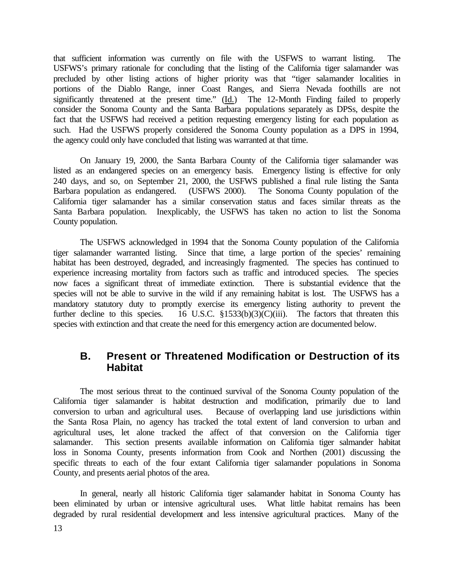that sufficient information was currently on file with the USFWS to warrant listing. The USFWS's primary rationale for concluding that the listing of the California tiger salamander was precluded by other listing actions of higher priority was that "tiger salamander localities in portions of the Diablo Range, inner Coast Ranges, and Sierra Nevada foothills are not significantly threatened at the present time." (Id.) The 12-Month Finding failed to properly consider the Sonoma County and the Santa Barbara populations separately as DPSs, despite the fact that the USFWS had received a petition requesting emergency listing for each population as such. Had the USFWS properly considered the Sonoma County population as a DPS in 1994, the agency could only have concluded that listing was warranted at that time.

On January 19, 2000, the Santa Barbara County of the California tiger salamander was listed as an endangered species on an emergency basis. Emergency listing is effective for only 240 days, and so, on September 21, 2000, the USFWS published a final rule listing the Santa Barbara population as endangered. (USFWS 2000). The Sonoma County population of the California tiger salamander has a similar conservation status and faces similar threats as the Santa Barbara population. Inexplicably, the USFWS has taken no action to list the Sonoma County population.

The USFWS acknowledged in 1994 that the Sonoma County population of the California tiger salamander warranted listing. Since that time, a large portion of the species' remaining habitat has been destroyed, degraded, and increasingly fragmented. The species has continued to experience increasing mortality from factors such as traffic and introduced species. The species now faces a significant threat of immediate extinction. There is substantial evidence that the species will not be able to survive in the wild if any remaining habitat is lost. The USFWS has a mandatory statutory duty to promptly exercise its emergency listing authority to prevent the further decline to this species. 16 U.S.C.  $\S 1533(b)(3)(C)(iii)$ . The factors that threaten this species with extinction and that create the need for this emergency action are documented below.

# **B. Present or Threatened Modification or Destruction of its Habitat**

The most serious threat to the continued survival of the Sonoma County population of the California tiger salamander is habitat destruction and modification, primarily due to land conversion to urban and agricultural uses. Because of overlapping land use jurisdictions within the Santa Rosa Plain, no agency has tracked the total extent of land conversion to urban and agricultural uses, let alone tracked the affect of that conversion on the California tiger This section presents available information on California tiger salmander habitat loss in Sonoma County, presents information from Cook and Northen (2001) discussing the specific threats to each of the four extant California tiger salamander populations in Sonoma County, and presents aerial photos of the area.

In general, nearly all historic California tiger salamander habitat in Sonoma County has been eliminated by urban or intensive agricultural uses. What little habitat remains has been degraded by rural residential development and less intensive agricultural practices. Many of the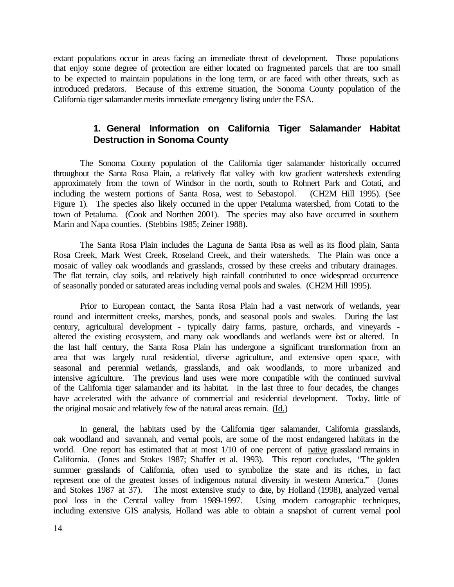extant populations occur in areas facing an immediate threat of development. Those populations that enjoy some degree of protection are either located on fragmented parcels that are too small to be expected to maintain populations in the long term, or are faced with other threats, such as introduced predators. Because of this extreme situation, the Sonoma County population of the California tiger salamander merits immediate emergency listing under the ESA.

# **1. General Information on California Tiger Salamander Habitat Destruction in Sonoma County**

The Sonoma County population of the California tiger salamander historically occurred throughout the Santa Rosa Plain, a relatively flat valley with low gradient watersheds extending approximately from the town of Windsor in the north, south to Rohnert Park and Cotati, and including the western portions of Santa Rosa, west to Sebastopol. (CH2M Hill 1995). (See Figure 1). The species also likely occurred in the upper Petaluma watershed, from Cotati to the town of Petaluma. (Cook and Northen 2001). The species may also have occurred in southern Marin and Napa counties. (Stebbins 1985; Zeiner 1988).

The Santa Rosa Plain includes the Laguna de Santa Rosa as well as its flood plain, Santa Rosa Creek, Mark West Creek, Roseland Creek, and their watersheds. The Plain was once a mosaic of valley oak woodlands and grasslands, crossed by these creeks and tributary drainages. The flat terrain, clay soils, and relatively high rainfall contributed to once widespread occurrence of seasonally ponded or saturated areas including vernal pools and swales. (CH2M Hill 1995).

Prior to European contact, the Santa Rosa Plain had a vast network of wetlands, year round and intermittent creeks, marshes, ponds, and seasonal pools and swales. During the last century, agricultural development - typically dairy farms, pasture, orchards, and vineyards altered the existing ecosystem, and many oak woodlands and wetlands were bst or altered. In the last half century, the Santa Rosa Plain has undergone a significant transformation from an area that was largely rural residential, diverse agriculture, and extensive open space, with seasonal and perennial wetlands, grasslands, and oak woodlands, to more urbanized and intensive agriculture. The previous land uses were more compatible with the continued survival of the California tiger salamander and its habitat. In the last three to four decades, the changes have accelerated with the advance of commercial and residential development. Today, little of the original mosaic and relatively few of the natural areas remain. (Id.)

In general, the habitats used by the California tiger salamander, California grasslands, oak woodland and savannah, and vernal pools, are some of the most endangered habitats in the world. One report has estimated that at most 1/10 of one percent of native grassland remains in California. (Jones and Stokes 1987; Shaffer et al. 1993). This report concludes, "The golden summer grasslands of California, often used to symbolize the state and its riches, in fact represent one of the greatest losses of indigenous natural diversity in western America." (Jones and Stokes 1987 at 37). The most extensive study to date, by Holland (1998), analyzed vernal pool loss in the Central valley from 1989-1997. Using modern cartographic techniques, including extensive GIS analysis, Holland was able to obtain a snapshot of current vernal pool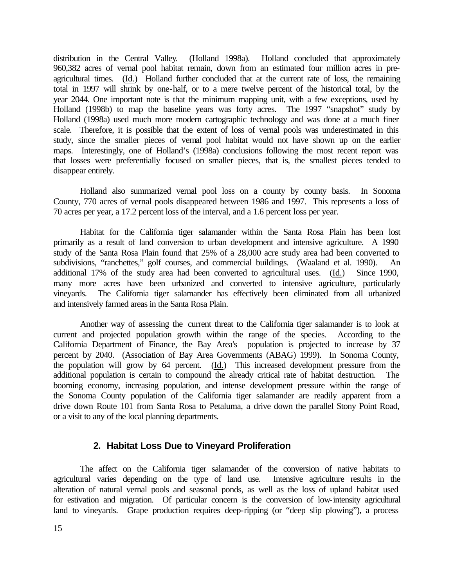distribution in the Central Valley. (Holland 1998a). Holland concluded that approximately 960,382 acres of vernal pool habitat remain, down from an estimated four million acres in preagricultural times. (Id.) Holland further concluded that at the current rate of loss, the remaining total in 1997 will shrink by one-half, or to a mere twelve percent of the historical total, by the year 2044. One important note is that the minimum mapping unit, with a few exceptions, used by Holland (1998b) to map the baseline years was forty acres. The 1997 "snapshot" study by Holland (1998a) used much more modern cartographic technology and was done at a much finer scale. Therefore, it is possible that the extent of loss of vernal pools was underestimated in this study, since the smaller pieces of vernal pool habitat would not have shown up on the earlier maps. Interestingly, one of Holland's (1998a) conclusions following the most recent report was that losses were preferentially focused on smaller pieces, that is, the smallest pieces tended to disappear entirely.

Holland also summarized vernal pool loss on a county by county basis. In Sonoma County, 770 acres of vernal pools disappeared between 1986 and 1997. This represents a loss of 70 acres per year, a 17.2 percent loss of the interval, and a 1.6 percent loss per year.

Habitat for the California tiger salamander within the Santa Rosa Plain has been lost primarily as a result of land conversion to urban development and intensive agriculture. A 1990 study of the Santa Rosa Plain found that 25% of a 28,000 acre study area had been converted to subdivisions, "ranchettes," golf courses, and commercial buildings. (Waaland et al. 1990). An additional 17% of the study area had been converted to agricultural uses. (Id.) Since 1990, many more acres have been urbanized and converted to intensive agriculture, particularly vineyards. The California tiger salamander has effectively been eliminated from all urbanized and intensively farmed areas in the Santa Rosa Plain.

Another way of assessing the current threat to the California tiger salamander is to look at current and projected population growth within the range of the species. According to the California Department of Finance, the Bay Area's population is projected to increase by 37 percent by 2040. (Association of Bay Area Governments (ABAG) 1999). In Sonoma County, the population will grow by 64 percent. (Id.) This increased development pressure from the additional population is certain to compound the already critical rate of habitat destruction. The booming economy, increasing population, and intense development pressure within the range of the Sonoma County population of the California tiger salamander are readily apparent from a drive down Route 101 from Santa Rosa to Petaluma, a drive down the parallel Stony Point Road, or a visit to any of the local planning departments.

### **2. Habitat Loss Due to Vineyard Proliferation**

The affect on the California tiger salamander of the conversion of native habitats to agricultural varies depending on the type of land use. Intensive agriculture results in the alteration of natural vernal pools and seasonal ponds, as well as the loss of upland habitat used for estivation and migration. Of particular concern is the conversion of low-intensity agricultural land to vineyards. Grape production requires deep-ripping (or "deep slip plowing"), a process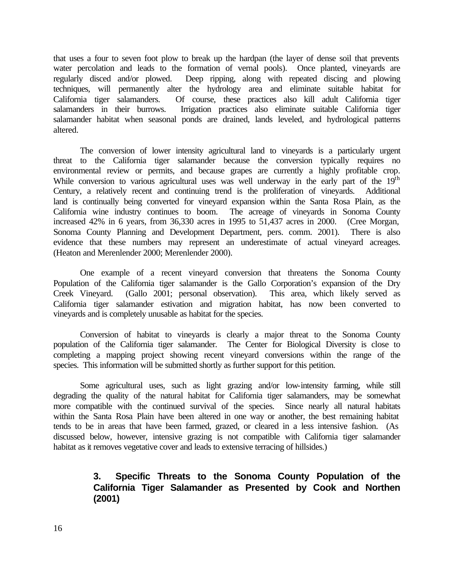that uses a four to seven foot plow to break up the hardpan (the layer of dense soil that prevents water percolation and leads to the formation of vernal pools). Once planted, vineyards are regularly disced and/or plowed. Deep ripping, along with repeated discing and plowing techniques, will permanently alter the hydrology area and eliminate suitable habitat for California tiger salamanders. Of course, these practices also kill adult California tiger salamanders in their burrows. Irrigation practices also eliminate suitable California tiger salamander habitat when seasonal ponds are drained, lands leveled, and hydrological patterns altered.

The conversion of lower intensity agricultural land to vineyards is a particularly urgent threat to the California tiger salamander because the conversion typically requires no environmental review or permits, and because grapes are currently a highly profitable crop. While conversion to various agricultural uses was well underway in the early part of the 19<sup>th</sup> Century, a relatively recent and continuing trend is the proliferation of vineyards. Additional land is continually being converted for vineyard expansion within the Santa Rosa Plain, as the California wine industry continues to boom. The acreage of vineyards in Sonoma County increased 42% in 6 years, from 36,330 acres in 1995 to 51,437 acres in 2000. (Cree Morgan, Sonoma County Planning and Development Department, pers. comm. 2001). There is also evidence that these numbers may represent an underestimate of actual vineyard acreages. (Heaton and Merenlender 2000; Merenlender 2000).

One example of a recent vineyard conversion that threatens the Sonoma County Population of the California tiger salamander is the Gallo Corporation's expansion of the Dry Creek Vineyard. (Gallo 2001; personal observation). This area, which likely served as California tiger salamander estivation and migration habitat, has now been converted to vineyards and is completely unusable as habitat for the species.

Conversion of habitat to vineyards is clearly a major threat to the Sonoma County population of the California tiger salamander. The Center for Biological Diversity is close to completing a mapping project showing recent vineyard conversions within the range of the species. This information will be submitted shortly as further support for this petition.

Some agricultural uses, such as light grazing and/or low-intensity farming, while still degrading the quality of the natural habitat for California tiger salamanders, may be somewhat more compatible with the continued survival of the species. Since nearly all natural habitats within the Santa Rosa Plain have been altered in one way or another, the best remaining habitat tends to be in areas that have been farmed, grazed, or cleared in a less intensive fashion. (As discussed below, however, intensive grazing is not compatible with California tiger salamander habitat as it removes vegetative cover and leads to extensive terracing of hillsides.)

# **3. Specific Threats to the Sonoma County Population of the California Tiger Salamander as Presented by Cook and Northen (2001)**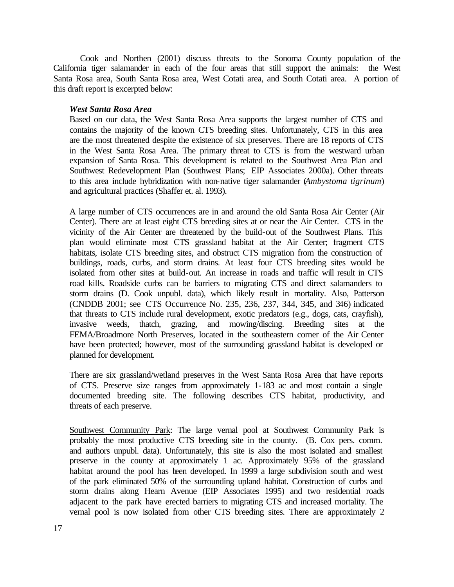Cook and Northen (2001) discuss threats to the Sonoma County population of the California tiger salamander in each of the four areas that still support the animals: the West Santa Rosa area, South Santa Rosa area, West Cotati area, and South Cotati area. A portion of this draft report is excerpted below:

#### *West Santa Rosa Area*

Based on our data, the West Santa Rosa Area supports the largest number of CTS and contains the majority of the known CTS breeding sites. Unfortunately, CTS in this area are the most threatened despite the existence of six preserves. There are 18 reports of CTS in the West Santa Rosa Area. The primary threat to CTS is from the westward urban expansion of Santa Rosa. This development is related to the Southwest Area Plan and Southwest Redevelopment Plan (Southwest Plans; EIP Associates 2000a). Other threats to this area include hybridization with non-native tiger salamander (*Ambystoma tigrinum*) and agricultural practices (Shaffer et. al. 1993).

A large number of CTS occurrences are in and around the old Santa Rosa Air Center (Air Center). There are at least eight CTS breeding sites at or near the Air Center. CTS in the vicinity of the Air Center are threatened by the build-out of the Southwest Plans. This plan would eliminate most CTS grassland habitat at the Air Center; fragment CTS habitats, isolate CTS breeding sites, and obstruct CTS migration from the construction of buildings, roads, curbs, and storm drains. At least four CTS breeding sites would be isolated from other sites at build-out. An increase in roads and traffic will result in CTS road kills. Roadside curbs can be barriers to migrating CTS and direct salamanders to storm drains (D. Cook unpubl. data), which likely result in mortality. Also, Patterson (CNDDB 2001; see CTS Occurrence No. 235, 236, 237, 344, 345, and 346) indicated that threats to CTS include rural development, exotic predators (e.g., dogs, cats, crayfish), invasive weeds, thatch, grazing, and mowing/discing. Breeding sites at the FEMA/Broadmore North Preserves, located in the southeastern corner of the Air Center have been protected; however, most of the surrounding grassland habitat is developed or planned for development.

There are six grassland/wetland preserves in the West Santa Rosa Area that have reports of CTS. Preserve size ranges from approximately 1-183 ac and most contain a single documented breeding site. The following describes CTS habitat, productivity, and threats of each preserve.

Southwest Community Park: The large vernal pool at Southwest Community Park is probably the most productive CTS breeding site in the county. (B. Cox pers. comm. and authors unpubl. data). Unfortunately, this site is also the most isolated and smallest preserve in the county at approximately 1 ac. Approximately 95% of the grassland habitat around the pool has been developed. In 1999 a large subdivision south and west of the park eliminated 50% of the surrounding upland habitat. Construction of curbs and storm drains along Hearn Avenue (EIP Associates 1995) and two residential roads adjacent to the park have erected barriers to migrating CTS and increased mortality. The vernal pool is now isolated from other CTS breeding sites. There are approximately 2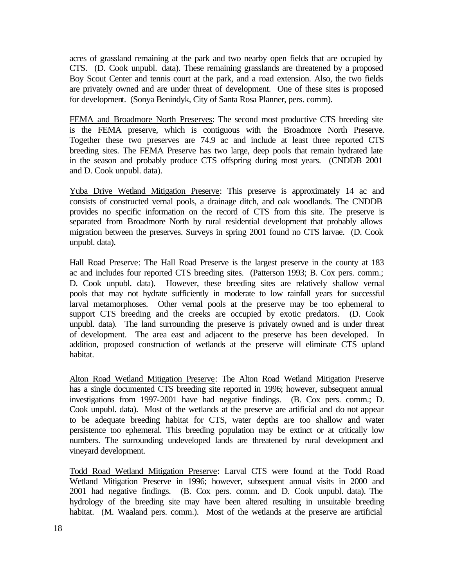acres of grassland remaining at the park and two nearby open fields that are occupied by CTS. (D. Cook unpubl. data). These remaining grasslands are threatened by a proposed Boy Scout Center and tennis court at the park, and a road extension. Also, the two fields are privately owned and are under threat of development. One of these sites is proposed for development. (Sonya Benindyk, City of Santa Rosa Planner, pers. comm).

FEMA and Broadmore North Preserves: The second most productive CTS breeding site is the FEMA preserve, which is contiguous with the Broadmore North Preserve. Together these two preserves are 74.9 ac and include at least three reported CTS breeding sites. The FEMA Preserve has two large, deep pools that remain hydrated late in the season and probably produce CTS offspring during most years. (CNDDB 2001 and D. Cook unpubl. data).

Yuba Drive Wetland Mitigation Preserve: This preserve is approximately 14 ac and consists of constructed vernal pools, a drainage ditch, and oak woodlands. The CNDDB provides no specific information on the record of CTS from this site. The preserve is separated from Broadmore North by rural residential development that probably allows migration between the preserves. Surveys in spring 2001 found no CTS larvae. (D. Cook unpubl. data).

Hall Road Preserve: The Hall Road Preserve is the largest preserve in the county at 183 ac and includes four reported CTS breeding sites. (Patterson 1993; B. Cox pers. comm.; D. Cook unpubl. data). However, these breeding sites are relatively shallow vernal pools that may not hydrate sufficiently in moderate to low rainfall years for successful larval metamorphoses. Other vernal pools at the preserve may be too ephemeral to support CTS breeding and the creeks are occupied by exotic predators. (D. Cook unpubl. data). The land surrounding the preserve is privately owned and is under threat of development. The area east and adjacent to the preserve has been developed. In addition, proposed construction of wetlands at the preserve will eliminate CTS upland habitat.

Alton Road Wetland Mitigation Preserve: The Alton Road Wetland Mitigation Preserve has a single documented CTS breeding site reported in 1996; however, subsequent annual investigations from 1997-2001 have had negative findings. (B. Cox pers. comm.; D. Cook unpubl. data). Most of the wetlands at the preserve are artificial and do not appear to be adequate breeding habitat for CTS, water depths are too shallow and water persistence too ephemeral. This breeding population may be extinct or at critically low numbers. The surrounding undeveloped lands are threatened by rural development and vineyard development.

Todd Road Wetland Mitigation Preserve: Larval CTS were found at the Todd Road Wetland Mitigation Preserve in 1996; however, subsequent annual visits in 2000 and 2001 had negative findings. (B. Cox pers. comm. and D. Cook unpubl. data). The hydrology of the breeding site may have been altered resulting in unsuitable breeding habitat. (M. Waaland pers. comm.). Most of the wetlands at the preserve are artificial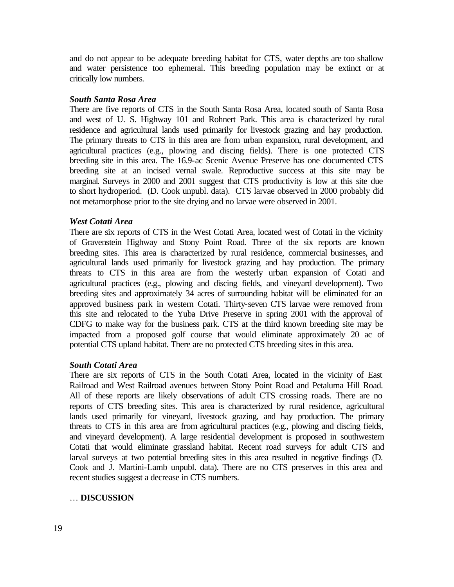and do not appear to be adequate breeding habitat for CTS, water depths are too shallow and water persistence too ephemeral. This breeding population may be extinct or at critically low numbers.

#### *South Santa Rosa Area*

There are five reports of CTS in the South Santa Rosa Area, located south of Santa Rosa and west of U. S. Highway 101 and Rohnert Park. This area is characterized by rural residence and agricultural lands used primarily for livestock grazing and hay production. The primary threats to CTS in this area are from urban expansion, rural development, and agricultural practices (e.g., plowing and discing fields). There is one protected CTS breeding site in this area. The 16.9-ac Scenic Avenue Preserve has one documented CTS breeding site at an incised vernal swale. Reproductive success at this site may be marginal. Surveys in 2000 and 2001 suggest that CTS productivity is low at this site due to short hydroperiod. (D. Cook unpubl. data). CTS larvae observed in 2000 probably did not metamorphose prior to the site drying and no larvae were observed in 2001.

#### *West Cotati Area*

There are six reports of CTS in the West Cotati Area, located west of Cotati in the vicinity of Gravenstein Highway and Stony Point Road. Three of the six reports are known breeding sites. This area is characterized by rural residence, commercial businesses, and agricultural lands used primarily for livestock grazing and hay production. The primary threats to CTS in this area are from the westerly urban expansion of Cotati and agricultural practices (e.g., plowing and discing fields, and vineyard development). Two breeding sites and approximately 34 acres of surrounding habitat will be eliminated for an approved business park in western Cotati. Thirty-seven CTS larvae were removed from this site and relocated to the Yuba Drive Preserve in spring 2001 with the approval of CDFG to make way for the business park. CTS at the third known breeding site may be impacted from a proposed golf course that would eliminate approximately 20 ac of potential CTS upland habitat. There are no protected CTS breeding sites in this area.

#### *South Cotati Area*

There are six reports of CTS in the South Cotati Area, located in the vicinity of East Railroad and West Railroad avenues between Stony Point Road and Petaluma Hill Road. All of these reports are likely observations of adult CTS crossing roads. There are no reports of CTS breeding sites. This area is characterized by rural residence, agricultural lands used primarily for vineyard, livestock grazing, and hay production. The primary threats to CTS in this area are from agricultural practices (e.g., plowing and discing fields, and vineyard development). A large residential development is proposed in southwestern Cotati that would eliminate grassland habitat. Recent road surveys for adult CTS and larval surveys at two potential breeding sites in this area resulted in negative findings (D. Cook and J. Martini-Lamb unpubl. data). There are no CTS preserves in this area and recent studies suggest a decrease in CTS numbers.

#### … **DISCUSSION**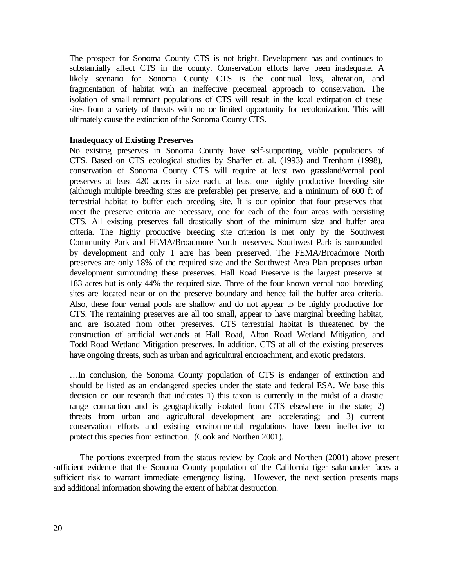The prospect for Sonoma County CTS is not bright. Development has and continues to substantially affect CTS in the county. Conservation efforts have been inadequate. A likely scenario for Sonoma County CTS is the continual loss, alteration, and fragmentation of habitat with an ineffective piecemeal approach to conservation. The isolation of small remnant populations of CTS will result in the local extirpation of these sites from a variety of threats with no or limited opportunity for recolonization. This will ultimately cause the extinction of the Sonoma County CTS.

#### **Inadequacy of Existing Preserves**

No existing preserves in Sonoma County have self-supporting, viable populations of CTS. Based on CTS ecological studies by Shaffer et. al. (1993) and Trenham (1998), conservation of Sonoma County CTS will require at least two grassland/vernal pool preserves at least 420 acres in size each, at least one highly productive breeding site (although multiple breeding sites are preferable) per preserve, and a minimum of 600 ft of terrestrial habitat to buffer each breeding site. It is our opinion that four preserves that meet the preserve criteria are necessary, one for each of the four areas with persisting CTS. All existing preserves fall drastically short of the minimum size and buffer area criteria. The highly productive breeding site criterion is met only by the Southwest Community Park and FEMA/Broadmore North preserves. Southwest Park is surrounded by development and only 1 acre has been preserved. The FEMA/Broadmore North preserves are only 18% of the required size and the Southwest Area Plan proposes urban development surrounding these preserves. Hall Road Preserve is the largest preserve at 183 acres but is only 44% the required size. Three of the four known vernal pool breeding sites are located near or on the preserve boundary and hence fail the buffer area criteria. Also, these four vernal pools are shallow and do not appear to be highly productive for CTS. The remaining preserves are all too small, appear to have marginal breeding habitat, and are isolated from other preserves. CTS terrestrial habitat is threatened by the construction of artificial wetlands at Hall Road, Alton Road Wetland Mitigation, and Todd Road Wetland Mitigation preserves. In addition, CTS at all of the existing preserves have ongoing threats, such as urban and agricultural encroachment, and exotic predators.

…In conclusion, the Sonoma County population of CTS is endanger of extinction and should be listed as an endangered species under the state and federal ESA. We base this decision on our research that indicates 1) this taxon is currently in the midst of a drastic range contraction and is geographically isolated from CTS elsewhere in the state; 2) threats from urban and agricultural development are accelerating; and 3) current conservation efforts and existing environmental regulations have been ineffective to protect this species from extinction. (Cook and Northen 2001).

The portions excerpted from the status review by Cook and Northen (2001) above present sufficient evidence that the Sonoma County population of the California tiger salamander faces a sufficient risk to warrant immediate emergency listing. However, the next section presents maps and additional information showing the extent of habitat destruction.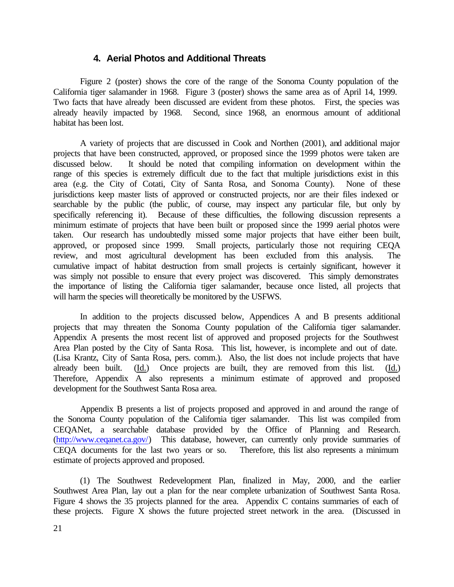#### **4. Aerial Photos and Additional Threats**

Figure 2 (poster) shows the core of the range of the Sonoma County population of the California tiger salamander in 1968. Figure 3 (poster) shows the same area as of April 14, 1999. Two facts that have already been discussed are evident from these photos. First, the species was already heavily impacted by 1968. Second, since 1968, an enormous amount of additional habitat has been lost.

A variety of projects that are discussed in Cook and Northen (2001), and additional major projects that have been constructed, approved, or proposed since the 1999 photos were taken are discussed below. It should be noted that compiling information on development within the range of this species is extremely difficult due to the fact that multiple jurisdictions exist in this area (e.g. the City of Cotati, City of Santa Rosa, and Sonoma County). None of these jurisdictions keep master lists of approved or constructed projects, nor are their files indexed or searchable by the public (the public, of course, may inspect any particular file, but only by specifically referencing it). Because of these difficulties, the following discussion represents a minimum estimate of projects that have been built or proposed since the 1999 aerial photos were taken. Our research has undoubtedly missed some major projects that have either been built, approved, or proposed since 1999. Small projects, particularly those not requiring CEQA review, and most agricultural development has been excluded from this analysis. The cumulative impact of habitat destruction from small projects is certainly significant, however it was simply not possible to ensure that every project was discovered. This simply demonstrates the importance of listing the California tiger salamander, because once listed, all projects that will harm the species will theoretically be monitored by the USFWS.

In addition to the projects discussed below, Appendices A and B presents additional projects that may threaten the Sonoma County population of the California tiger salamander. Appendix A presents the most recent list of approved and proposed projects for the Southwest Area Plan posted by the City of Santa Rosa. This list, however, is incomplete and out of date. (Lisa Krantz, City of Santa Rosa, pers. comm.). Also, the list does not include projects that have already been built. (Id.) Once projects are built, they are removed from this list. (Id.) Therefore, Appendix A also represents a minimum estimate of approved and proposed development for the Southwest Santa Rosa area.

Appendix B presents a list of projects proposed and approved in and around the range of the Sonoma County population of the California tiger salamander. This list was compiled from CEQANet, a searchable database provided by the Office of Planning and Research. (http://www.ceqanet.ca.gov/) This database, however, can currently only provide summaries of CEQA documents for the last two years or so. Therefore, this list also represents a minimum estimate of projects approved and proposed.

(1) The Southwest Redevelopment Plan, finalized in May, 2000, and the earlier Southwest Area Plan, lay out a plan for the near complete urbanization of Southwest Santa Rosa. Figure 4 shows the 35 projects planned for the area. Appendix C contains summaries of each of these projects. Figure X shows the future projected street network in the area. (Discussed in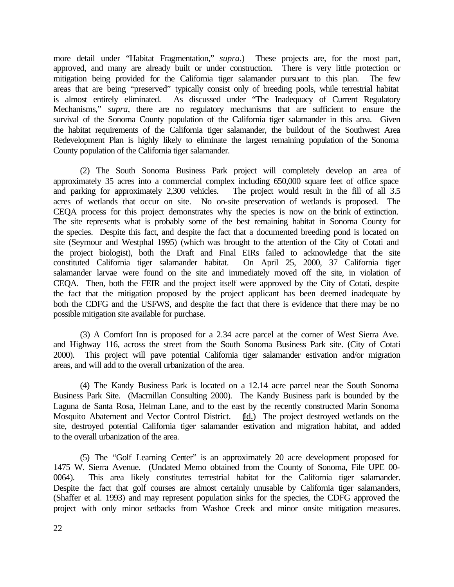more detail under "Habitat Fragmentation," *supra*.) These projects are, for the most part, approved, and many are already built or under construction. There is very little protection or mitigation being provided for the California tiger salamander pursuant to this plan. The few areas that are being "preserved" typically consist only of breeding pools, while terrestrial habitat is almost entirely eliminated. As discussed under "The Inadequacy of Current Regulatory Mechanisms," *supra*, there are no regulatory mechanisms that are sufficient to ensure the survival of the Sonoma County population of the California tiger salamander in this area. Given the habitat requirements of the California tiger salamander, the buildout of the Southwest Area Redevelopment Plan is highly likely to eliminate the largest remaining population of the Sonoma County population of the California tiger salamander.

(2) The South Sonoma Business Park project will completely develop an area of approximately 35 acres into a commercial complex including 650,000 square feet of office space and parking for approximately 2,300 vehicles. The project would result in the fill of all 3.5 acres of wetlands that occur on site. No on-site preservation of wetlands is proposed. The CEQA process for this project demonstrates why the species is now on the brink of extinction. The site represents what is probably some of the best remaining habitat in Sonoma County for the species. Despite this fact, and despite the fact that a documented breeding pond is located on site (Seymour and Westphal 1995) (which was brought to the attention of the City of Cotati and the project biologist), both the Draft and Final EIRs failed to acknowledge that the site<br>constituted California tiger salamander habitat. On April 25, 2000, 37 California tiger constituted California tiger salamander habitat. salamander larvae were found on the site and immediately moved off the site, in violation of CEQA. Then, both the FEIR and the project itself were approved by the City of Cotati, despite the fact that the mitigation proposed by the project applicant has been deemed inadequate by both the CDFG and the USFWS, and despite the fact that there is evidence that there may be no possible mitigation site available for purchase.

(3) A Comfort Inn is proposed for a 2.34 acre parcel at the corner of West Sierra Ave. and Highway 116, across the street from the South Sonoma Business Park site. (City of Cotati 2000). This project will pave potential California tiger salamander estivation and/or migration areas, and will add to the overall urbanization of the area.

(4) The Kandy Business Park is located on a 12.14 acre parcel near the South Sonoma Business Park Site. (Macmillan Consulting 2000). The Kandy Business park is bounded by the Laguna de Santa Rosa, Helman Lane, and to the east by the recently constructed Marin Sonoma Mosquito Abatement and Vector Control District. (Id.) The project destroyed wetlands on the site, destroyed potential California tiger salamander estivation and migration habitat, and added to the overall urbanization of the area.

(5) The "Golf Learning Center" is an approximately 20 acre development proposed for 1475 W. Sierra Avenue. (Undated Memo obtained from the County of Sonoma, File UPE 00- 0064). This area likely constitutes terrestrial habitat for the California tiger salamander. Despite the fact that golf courses are almost certainly unusable by California tiger salamanders, (Shaffer et al. 1993) and may represent population sinks for the species, the CDFG approved the project with only minor setbacks from Washoe Creek and minor onsite mitigation measures.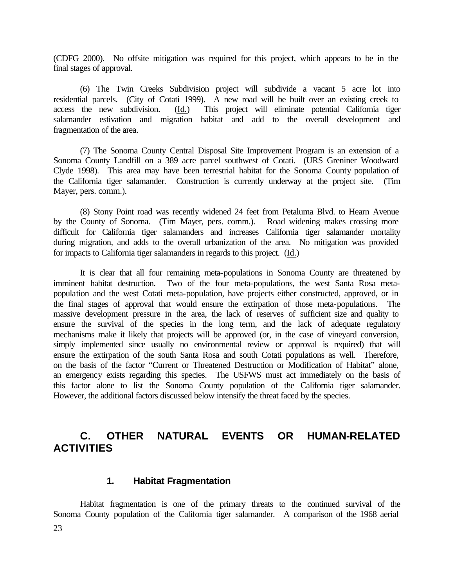(CDFG 2000). No offsite mitigation was required for this project, which appears to be in the final stages of approval.

(6) The Twin Creeks Subdivision project will subdivide a vacant 5 acre lot into residential parcels. (City of Cotati 1999). A new road will be built over an existing creek to access the new subdivision. (Id.) This project will eliminate potential California tiger salamander estivation and migration habitat and add to the overall development and fragmentation of the area.

(7) The Sonoma County Central Disposal Site Improvement Program is an extension of a Sonoma County Landfill on a 389 acre parcel southwest of Cotati. (URS Greniner Woodward Clyde 1998). This area may have been terrestrial habitat for the Sonoma County population of the California tiger salamander. Construction is currently underway at the project site. (Tim Mayer, pers. comm.).

(8) Stony Point road was recently widened 24 feet from Petaluma Blvd. to Hearn Avenue by the County of Sonoma. (Tim Mayer, pers. comm.). Road widening makes crossing more difficult for California tiger salamanders and increases California tiger salamander mortality during migration, and adds to the overall urbanization of the area. No mitigation was provided for impacts to California tiger salamanders in regards to this project. (Id.)

It is clear that all four remaining meta-populations in Sonoma County are threatened by imminent habitat destruction. Two of the four meta-populations, the west Santa Rosa metapopulation and the west Cotati meta-population, have projects either constructed, approved, or in the final stages of approval that would ensure the extirpation of those meta-populations. The massive development pressure in the area, the lack of reserves of sufficient size and quality to ensure the survival of the species in the long term, and the lack of adequate regulatory mechanisms make it likely that projects will be approved (or, in the case of vineyard conversion, simply implemented since usually no environmental review or approval is required) that will ensure the extirpation of the south Santa Rosa and south Cotati populations as well. Therefore, on the basis of the factor "Current or Threatened Destruction or Modification of Habitat" alone, an emergency exists regarding this species. The USFWS must act immediately on the basis of this factor alone to list the Sonoma County population of the California tiger salamander. However, the additional factors discussed below intensify the threat faced by the species.

# **C. OTHER NATURAL EVENTS OR HUMAN-RELATED ACTIVITIES**

#### **1. Habitat Fragmentation**

23 Habitat fragmentation is one of the primary threats to the continued survival of the Sonoma County population of the California tiger salamander. A comparison of the 1968 aerial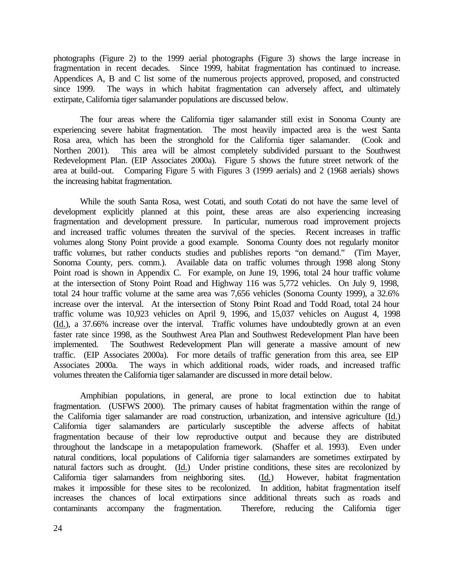photographs (Figure 2) to the 1999 aerial photographs (Figure 3) shows the large increase in fragmentation in recent decades. Since 1999, habitat fragmentation has continued to increase. Appendices A, B and C list some of the numerous projects approved, proposed, and constructed since 1999. The ways in which habitat fragmentation can adversely affect, and ultimately extirpate, California tiger salamander populations are discussed below.

The four areas where the California tiger salamander still exist in Sonoma County are experiencing severe habitat fragmentation. The most heavily impacted area is the west Santa Rosa area, which has been the stronghold for the California tiger salamander. (Cook and Northen 2001). This area will be almost completely subdivided pursuant to the Southwest Redevelopment Plan. (EIP Associates 2000a). Figure 5 shows the future street network of the area at build-out. Comparing Figure 5 with Figures 3 (1999 aerials) and 2 (1968 aerials) shows the increasing habitat fragmentation.

While the south Santa Rosa, west Cotati, and south Cotati do not have the same level of development explicitly planned at this point, these areas are also experiencing increasing fragmentation and development pressure. In particular, numerous road improvement projects and increased traffic volumes threaten the survival of the species. Recent increases in traffic volumes along Stony Point provide a good example. Sonoma County does not regularly monitor traffic volumes, but rather conducts studies and publishes reports "on demand." (Tim Mayer, Sonoma County, pers. comm.). Available data on traffic volumes through 1998 along Stony Point road is shown in Appendix C. For example, on June 19, 1996, total 24 hour traffic volume at the intersection of Stony Point Road and Highway 116 was 5,772 vehicles. On July 9, 1998, total 24 hour traffic volume at the same area was 7,656 vehicles (Sonoma County 1999), a 32.6% increase over the interval. At the intersection of Stony Point Road and Todd Road, total 24 hour traffic volume was 10,923 vehicles on April 9, 1996, and 15,037 vehicles on August 4, 1998 (Id.), a 37.66% increase over the interval. Traffic volumes have undoubtedly grown at an even faster rate since 1998, as the Southwest Area Plan and Southwest Redevelopment Plan have been implemented. The Southwest Redevelopment Plan will generate a massive amount of new traffic. (EIP Associates 2000a). For more details of traffic generation from this area, see EIP Associates 2000a. The ways in which additional roads, wider roads, and increased traffic volumes threaten the California tiger salamander are discussed in more detail below.

Amphibian populations, in general, are prone to local extinction due to habitat fragmentation. (USFWS 2000). The primary causes of habitat fragmentation within the range of the California tiger salamander are road construction, urbanization, and intensive agriculture (Id.) California tiger salamanders are particularly susceptible the adverse affects of habitat fragmentation because of their low reproductive output and because they are distributed throughout the landscape in a metapopulation framework. (Shaffer et al. 1993). Even under natural conditions, local populations of California tiger salamanders are sometimes extirpated by natural factors such as drought. (Id.) Under pristine conditions, these sites are recolonized by California tiger salamanders from neighboring sites. (Id.) However, habitat fragmentation California tiger salamanders from neighboring sites. (Id.) makes it impossible for these sites to be recolonized. In addition, habitat fragmentation itself increases the chances of local extirpations since additional threats such as roads and contaminants accompany the fragmentation. Therefore, reducing the California tiger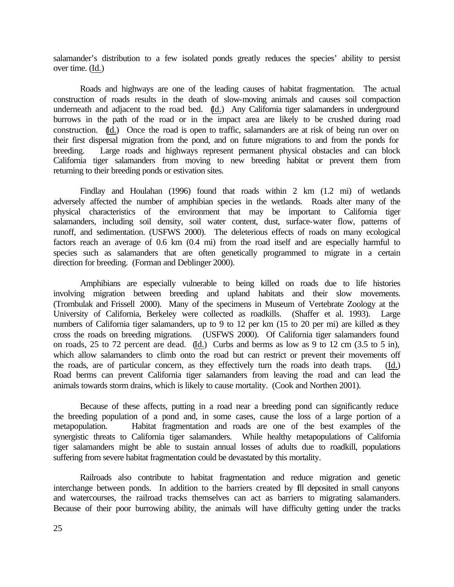salamander's distribution to a few isolated ponds greatly reduces the species' ability to persist over time. (Id.)

Roads and highways are one of the leading causes of habitat fragmentation. The actual construction of roads results in the death of slow-moving animals and causes soil compaction underneath and adjacent to the road bed.  $\underline{d}$ . Any California tiger salamanders in underground burrows in the path of the road or in the impact area are likely to be crushed during road construction. (Id.) Once the road is open to traffic, salamanders are at risk of being run over on their first dispersal migration from the pond, and on future migrations to and from the ponds for breeding. Large roads and highways represent permanent physical obstacles and can block California tiger salamanders from moving to new breeding habitat or prevent them from returning to their breeding ponds or estivation sites.

Findlay and Houlahan (1996) found that roads within 2 km (1.2 mi) of wetlands adversely affected the number of amphibian species in the wetlands. Roads alter many of the physical characteristics of the environment that may be important to California tiger salamanders, including soil density, soil water content, dust, surface-water flow, patterns of runoff, and sedimentation. (USFWS 2000). The deleterious effects of roads on many ecological factors reach an average of 0.6 km (0.4 mi) from the road itself and are especially harmful to species such as salamanders that are often genetically programmed to migrate in a certain direction for breeding. (Forman and Deblinger 2000).

Amphibians are especially vulnerable to being killed on roads due to life histories involving migration between breeding and upland habitats and their slow movements. (Trombulak and Frissell 2000). Many of the specimens in Museum of Vertebrate Zoology at the University of California, Berkeley were collected as roadkills. (Shaffer et al. 1993). Large numbers of California tiger salamanders, up to 9 to 12 per km (15 to 20 per mi) are killed as they cross the roads on breeding migrations. (USFWS 2000). Of California tiger salamanders found on roads, 25 to 72 percent are dead. (Id.) Curbs and berms as low as 9 to 12 cm (3.5 to 5 in), which allow salamanders to climb onto the road but can restrict or prevent their movements off the roads, are of particular concern, as they effectively turn the roads into death traps. (Id.) Road berms can prevent California tiger salamanders from leaving the road and can lead the animals towards storm drains, which is likely to cause mortality. (Cook and Northen 2001).

Because of these affects, putting in a road near a breeding pond can significantly reduce the breeding population of a pond and, in some cases, cause the loss of a large portion of a metapopulation. Habitat fragmentation and roads are one of the best examples of the synergistic threats to California tiger salamanders. While healthy metapopulations of California tiger salamanders might be able to sustain annual losses of adults due to roadkill, populations suffering from severe habitat fragmentation could be devastated by this mortality.

Railroads also contribute to habitat fragmentation and reduce migration and genetic interchange between ponds. In addition to the barriers created by fill deposited in small canyons and watercourses, the railroad tracks themselves can act as barriers to migrating salamanders. Because of their poor burrowing ability, the animals will have difficulty getting under the tracks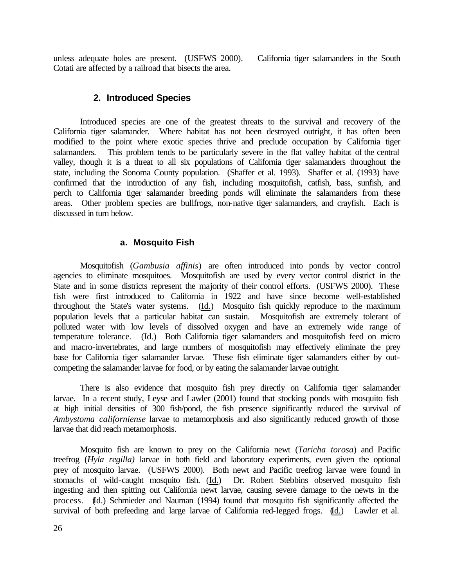unless adequate holes are present. (USFWS 2000). California tiger salamanders in the South Cotati are affected by a railroad that bisects the area.

#### **2. Introduced Species**

Introduced species are one of the greatest threats to the survival and recovery of the California tiger salamander. Where habitat has not been destroyed outright, it has often been modified to the point where exotic species thrive and preclude occupation by California tiger salamanders. This problem tends to be particularly severe in the flat valley habitat of the central valley, though it is a threat to all six populations of California tiger salamanders throughout the state, including the Sonoma County population. (Shaffer et al. 1993). Shaffer et al. (1993) have confirmed that the introduction of any fish, including mosquitofish, catfish, bass, sunfish, and perch to California tiger salamander breeding ponds will eliminate the salamanders from these areas. Other problem species are bullfrogs, non-native tiger salamanders, and crayfish. Each is discussed in turn below.

#### **a. Mosquito Fish**

Mosquitofish (*Gambusia affinis*) are often introduced into ponds by vector control agencies to eliminate mosquitoes. Mosquitofish are used by every vector control district in the State and in some districts represent the majority of their control efforts. (USFWS 2000). These fish were first introduced to California in 1922 and have since become well-established throughout the State's water systems. (Id.) Mosquito fish quickly reproduce to the maximum population levels that a particular habitat can sustain. Mosquitofish are extremely tolerant of polluted water with low levels of dissolved oxygen and have an extremely wide range of temperature tolerance. (Id.) Both California tiger salamanders and mosquitofish feed on micro and macro-invertebrates, and large numbers of mosquitofish may effectively eliminate the prey base for California tiger salamander larvae. These fish eliminate tiger salamanders either by outcompeting the salamander larvae for food, or by eating the salamander larvae outright.

There is also evidence that mosquito fish prey directly on California tiger salamander larvae. In a recent study, Leyse and Lawler (2001) found that stocking ponds with mosquito fish at high initial densities of 300 fish/pond, the fish presence significantly reduced the survival of *Ambystoma californiense* larvae to metamorphosis and also significantly reduced growth of those larvae that did reach metamorphosis.

Mosquito fish are known to prey on the California newt (*Taricha torosa*) and Pacific treefrog (*Hyla regilla)* larvae in both field and laboratory experiments, even given the optional prey of mosquito larvae. (USFWS 2000). Both newt and Pacific treefrog larvae were found in stomachs of wild-caught mosquito fish. (Id.) Dr. Robert Stebbins observed mosquito fish ingesting and then spitting out California newt larvae, causing severe damage to the newts in the process. (Id.) Schmieder and Nauman (1994) found that mosquito fish significantly affected the survival of both prefeeding and large larvae of California red-legged frogs. (Id.) Lawler et al.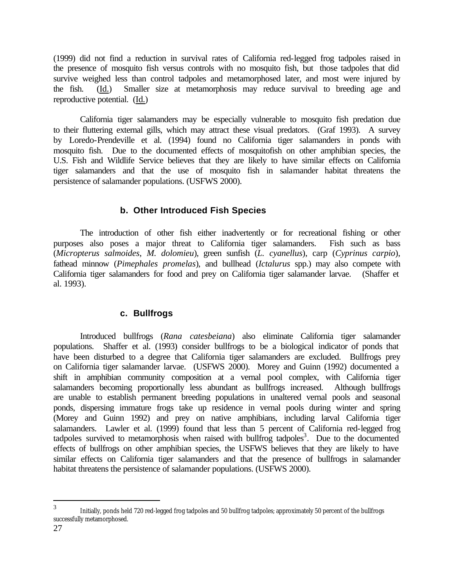(1999) did not find a reduction in survival rates of California red-legged frog tadpoles raised in the presence of mosquito fish versus controls with no mosquito fish, but those tadpoles that did survive weighed less than control tadpoles and metamorphosed later, and most were injured by the fish. (Id.) Smaller size at metamorphosis may reduce survival to breeding age and reproductive potential. (Id.)

California tiger salamanders may be especially vulnerable to mosquito fish predation due to their fluttering external gills, which may attract these visual predators. (Graf 1993). A survey by Loredo-Prendeville et al. (1994) found no California tiger salamanders in ponds with mosquito fish. Due to the documented effects of mosquitofish on other amphibian species, the U.S. Fish and Wildlife Service believes that they are likely to have similar effects on California tiger salamanders and that the use of mosquito fish in salamander habitat threatens the persistence of salamander populations. (USFWS 2000).

#### **b. Other Introduced Fish Species**

The introduction of other fish either inadvertently or for recreational fishing or other purposes also poses a major threat to California tiger salamanders. Fish such as bass (*Micropterus salmoides*, *M*. *dolomieu*), green sunfish (*L. cyanellus*), carp (*Cyprinus carpio*), fathead minnow (*Pimephales promelas*), and bullhead (*Ictalurus* spp.) may also compete with California tiger salamanders for food and prey on California tiger salamander larvae. (Shaffer et al. 1993).

#### **c. Bullfrogs**

Introduced bullfrogs (*Rana catesbeiana*) also eliminate California tiger salamander populations. Shaffer et al. (1993) consider bullfrogs to be a biological indicator of ponds that have been disturbed to a degree that California tiger salamanders are excluded. Bullfrogs prey on California tiger salamander larvae. (USFWS 2000). Morey and Guinn (1992) documented a shift in amphibian community composition at a vernal pool complex, with California tiger salamanders becoming proportionally less abundant as bullfrogs increased. Although bullfrogs are unable to establish permanent breeding populations in unaltered vernal pools and seasonal ponds, dispersing immature frogs take up residence in vernal pools during winter and spring (Morey and Guinn 1992) and prey on native amphibians, including larval California tiger salamanders. Lawler et al. (1999) found that less than 5 percent of California red-legged frog tadpoles survived to metamorphosis when raised with bullfrog tadpoles<sup>3</sup>. Due to the documented effects of bullfrogs on other amphibian species, the USFWS believes that they are likely to have similar effects on California tiger salamanders and that the presence of bullfrogs in salamander habitat threatens the persistence of salamander populations. (USFWS 2000).

 $\overline{a}$ 

<sup>3</sup> Initially, ponds held 720 red-legged frog tadpoles and 50 bullfrog tadpoles; approximately 50 percent of the bullfrogs successfully metamorphosed.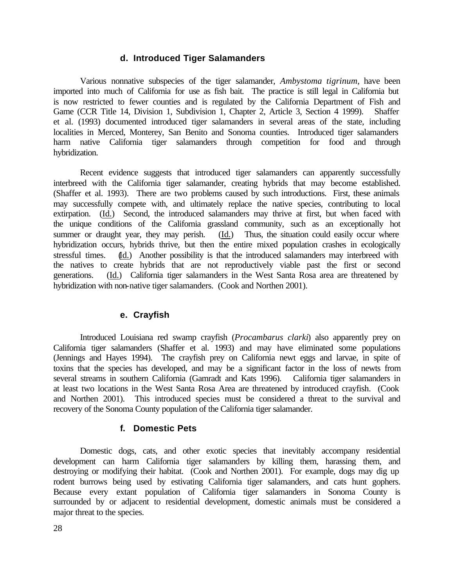#### **d. Introduced Tiger Salamanders**

Various nonnative subspecies of the tiger salamander, *Ambystoma tigrinum*, have been imported into much of California for use as fish bait. The practice is still legal in California but is now restricted to fewer counties and is regulated by the California Department of Fish and Game (CCR Title 14, Division 1, Subdivision 1, Chapter 2, Article 3, Section 4 1999). Shaffer et al. (1993) documented introduced tiger salamanders in several areas of the state, including localities in Merced, Monterey, San Benito and Sonoma counties. Introduced tiger salamanders harm native California tiger salamanders through competition for food and through hybridization.

Recent evidence suggests that introduced tiger salamanders can apparently successfully interbreed with the California tiger salamander, creating hybrids that may become established. (Shaffer et al. 1993). There are two problems caused by such introductions. First, these animals may successfully compete with, and ultimately replace the native species, contributing to local extirpation. (Id.) Second, the introduced salamanders may thrive at first, but when faced with the unique conditions of the California grassland community, such as an exceptionally hot summer or draught year, they may perish. (Id.) Thus, the situation could easily occur where hybridization occurs, hybrids thrive, but then the entire mixed population crashes in ecologically stressful times. (Id.) Another possibility is that the introduced salamanders may interbreed with the natives to create hybrids that are not reproductively viable past the first or second generations. (Id.) California tiger salamanders in the West Santa Rosa area are threatened by hybridization with non-native tiger salamanders. (Cook and Northen 2001).

#### **e. Crayfish**

Introduced Louisiana red swamp crayfish (*Procambarus clarki*) also apparently prey on California tiger salamanders (Shaffer et al. 1993) and may have eliminated some populations (Jennings and Hayes 1994). The crayfish prey on California newt eggs and larvae, in spite of toxins that the species has developed, and may be a significant factor in the loss of newts from several streams in southern California (Gamradt and Kats 1996). California tiger salamanders in at least two locations in the West Santa Rosa Area are threatened by introduced crayfish. (Cook and Northen 2001). This introduced species must be considered a threat to the survival and recovery of the Sonoma County population of the California tiger salamander.

#### **f. Domestic Pets**

Domestic dogs, cats, and other exotic species that inevitably accompany residential development can harm California tiger salamanders by killing them, harassing them, and destroying or modifying their habitat. (Cook and Northen 2001). For example, dogs may dig up rodent burrows being used by estivating California tiger salamanders, and cats hunt gophers. Because every extant population of California tiger salamanders in Sonoma County is surrounded by or adjacent to residential development, domestic animals must be considered a major threat to the species.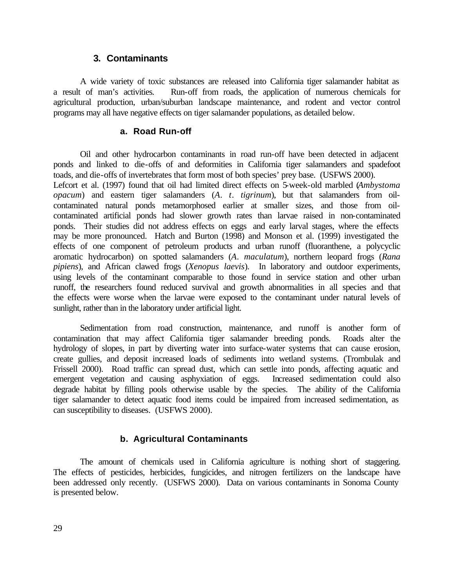#### **3. Contaminants**

A wide variety of toxic substances are released into California tiger salamander habitat as a result of man's activities. Run-off from roads, the application of numerous chemicals for agricultural production, urban/suburban landscape maintenance, and rodent and vector control programs may all have negative effects on tiger salamander populations, as detailed below.

#### **a. Road Run-off**

Oil and other hydrocarbon contaminants in road run-off have been detected in adjacent ponds and linked to die-offs of and deformities in California tiger salamanders and spadefoot toads, and die-offs of invertebrates that form most of both species' prey base. (USFWS 2000). Lefcort et al. (1997) found that oil had limited direct effects on 5-week-old marbled (*Ambystoma opacum*) and eastern tiger salamanders (*A*. *t*. *tigrinum*), but that salamanders from oilcontaminated natural ponds metamorphosed earlier at smaller sizes, and those from oilcontaminated artificial ponds had slower growth rates than larvae raised in non-contaminated ponds. Their studies did not address effects on eggs and early larval stages, where the effects may be more pronounced. Hatch and Burton (1998) and Monson et al. (1999) investigated the effects of one component of petroleum products and urban runoff (fluoranthene, a polycyclic aromatic hydrocarbon) on spotted salamanders (*A*. *maculatum*), northern leopard frogs (*Rana pipiens*), and African clawed frogs (*Xenopus laevis*). In laboratory and outdoor experiments, using levels of the contaminant comparable to those found in service station and other urban runoff, the researchers found reduced survival and growth abnormalities in all species and that the effects were worse when the larvae were exposed to the contaminant under natural levels of sunlight, rather than in the laboratory under artificial light.

Sedimentation from road construction, maintenance, and runoff is another form of contamination that may affect California tiger salamander breeding ponds. Roads alter the hydrology of slopes, in part by diverting water into surface-water systems that can cause erosion, create gullies, and deposit increased loads of sediments into wetland systems. (Trombulak and Frissell 2000). Road traffic can spread dust, which can settle into ponds, affecting aquatic and emergent vegetation and causing asphyxiation of eggs. Increased sedimentation could also degrade habitat by filling pools otherwise usable by the species. The ability of the California tiger salamander to detect aquatic food items could be impaired from increased sedimentation, as can susceptibility to diseases. (USFWS 2000).

#### **b. Agricultural Contaminants**

The amount of chemicals used in California agriculture is nothing short of staggering. The effects of pesticides, herbicides, fungicides, and nitrogen fertilizers on the landscape have been addressed only recently. (USFWS 2000). Data on various contaminants in Sonoma County is presented below.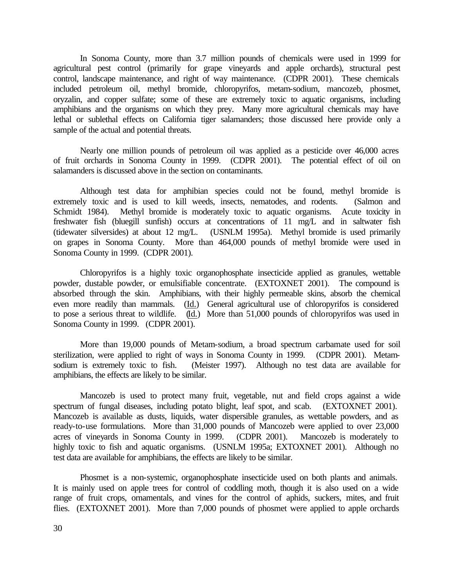In Sonoma County, more than 3.7 million pounds of chemicals were used in 1999 for agricultural pest control (primarily for grape vineyards and apple orchards), structural pest control, landscape maintenance, and right of way maintenance. (CDPR 2001). These chemicals included petroleum oil, methyl bromide, chloropyrifos, metam-sodium, mancozeb, phosmet, oryzalin, and copper sulfate; some of these are extremely toxic to aquatic organisms, including amphibians and the organisms on which they prey. Many more agricultural chemicals may have lethal or sublethal effects on California tiger salamanders; those discussed here provide only a sample of the actual and potential threats.

Nearly one million pounds of petroleum oil was applied as a pesticide over 46,000 acres of fruit orchards in Sonoma County in 1999. (CDPR 2001). The potential effect of oil on salamanders is discussed above in the section on contaminants.

Although test data for amphibian species could not be found, methyl bromide is extremely toxic and is used to kill weeds, insects, nematodes, and rodents. (Salmon and Schmidt 1984). Methyl bromide is moderately toxic to aquatic organisms. Acute toxicity in freshwater fish (bluegill sunfish) occurs at concentrations of 11 mg/L and in saltwater fish (tidewater silversides) at about 12 mg/L. (USNLM 1995a). Methyl bromide is used primarily on grapes in Sonoma County.More than 464,000 pounds of methyl bromide were used in Sonoma County in 1999. (CDPR 2001).

Chloropyrifos is a highly toxic organophosphate insecticide applied as granules, wettable powder, dustable powder, or emulsifiable concentrate. (EXTOXNET 2001). The compound is absorbed through the skin. Amphibians, with their highly permeable skins, absorb the chemical even more readily than mammals. (Id.) General agricultural use of chloropyrifos is considered to pose a serious threat to wildlife. (Id.) More than 51,000 pounds of chloropyrifos was used in Sonoma County in 1999. (CDPR 2001).

More than 19,000 pounds of Metam-sodium, a broad spectrum carbamate used for soil sterilization, were applied to right of ways in Sonoma County in 1999. (CDPR 2001). Metamsodium is extremely toxic to fish. (Meister 1997). Although no test data are available for amphibians, the effects are likely to be similar.

Mancozeb is used to protect many fruit, vegetable, nut and field crops against a wide spectrum of fungal diseases, including potato blight, leaf spot, and scab. (EXTOXNET 2001). Mancozeb is available as dusts, liquids, water dispersible granules, as wettable powders, and as ready-to-use formulations. More than 31,000 pounds of Mancozeb were applied to over 23,000 acres of vineyards in Sonoma County in 1999. (CDPR 2001). Mancozeb is moderately to highly toxic to fish and aquatic organisms. (USNLM 1995a; EXTOXNET 2001). Although no test data are available for amphibians, the effects are likely to be similar.

Phosmet is a non-systemic, organophosphate insecticide used on both plants and animals. It is mainly used on apple trees for control of coddling moth, though it is also used on a wide range of fruit crops, ornamentals, and vines for the control of aphids, suckers, mites, and fruit flies. (EXTOXNET 2001). More than 7,000 pounds of phosmet were applied to apple orchards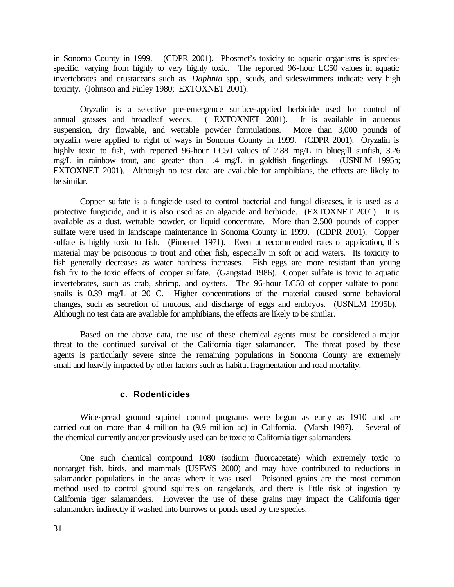in Sonoma County in 1999. (CDPR 2001). Phosmet's toxicity to aquatic organisms is speciesspecific, varying from highly to very highly toxic. The reported 96-hour LC50 values in aquatic invertebrates and crustaceans such as *Daphnia* spp., scuds, and sideswimmers indicate very high toxicity. (Johnson and Finley 1980; EXTOXNET 2001).

Oryzalin is a selective pre-emergence surface-applied herbicide used for control of annual grasses and broadleaf weeds. ( EXTOXNET 2001). It is available in aqueous suspension, dry flowable, and wettable powder formulations. More than 3,000 pounds of oryzalin were applied to right of ways in Sonoma County in 1999. (CDPR 2001). Oryzalin is highly toxic to fish, with reported 96-hour LC50 values of 2.88 mg/L in bluegill sunfish, 3.26 mg/L in rainbow trout, and greater than 1.4 mg/L in goldfish fingerlings. (USNLM 1995b; EXTOXNET 2001). Although no test data are available for amphibians, the effects are likely to be similar.

Copper sulfate is a fungicide used to control bacterial and fungal diseases, it is used as a protective fungicide, and it is also used as an algacide and herbicide. (EXTOXNET 2001). It is available as a dust, wettable powder, or liquid concentrate. More than 2,500 pounds of copper sulfate were used in landscape maintenance in Sonoma County in 1999. (CDPR 2001). Copper sulfate is highly toxic to fish. (Pimentel 1971). Even at recommended rates of application, this material may be poisonous to trout and other fish, especially in soft or acid waters. Its toxicity to fish generally decreases as water hardness increases. Fish eggs are more resistant than young fish fry to the toxic effects of copper sulfate. (Gangstad 1986). Copper sulfate is toxic to aquatic invertebrates, such as crab, shrimp, and oysters. The 96-hour LC50 of copper sulfate to pond snails is 0.39 mg/L at 20 C. Higher concentrations of the material caused some behavioral changes, such as secretion of mucous, and discharge of eggs and embryos. (USNLM 1995b). Although no test data are available for amphibians, the effects are likely to be similar.

Based on the above data, the use of these chemical agents must be considered a major threat to the continued survival of the California tiger salamander. The threat posed by these agents is particularly severe since the remaining populations in Sonoma County are extremely small and heavily impacted by other factors such as habitat fragmentation and road mortality.

#### **c. Rodenticides**

Widespread ground squirrel control programs were begun as early as 1910 and are carried out on more than 4 million ha (9.9 million ac) in California. (Marsh 1987). Several of the chemical currently and/or previously used can be toxic to California tiger salamanders.

One such chemical compound 1080 (sodium fluoroacetate) which extremely toxic to nontarget fish, birds, and mammals (USFWS 2000) and may have contributed to reductions in salamander populations in the areas where it was used. Poisoned grains are the most common method used to control ground squirrels on rangelands, and there is little risk of ingestion by California tiger salamanders. However the use of these grains may impact the California tiger salamanders indirectly if washed into burrows or ponds used by the species.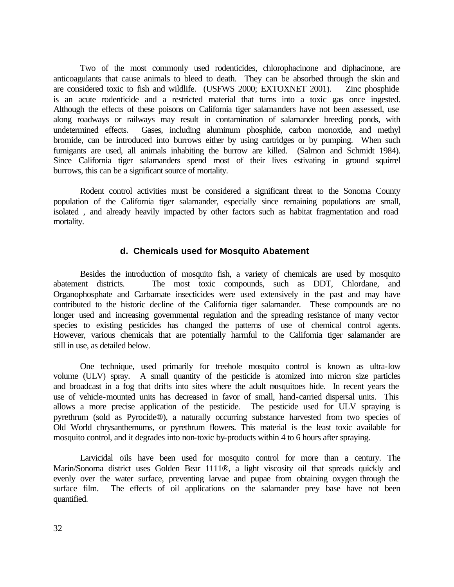Two of the most commonly used rodenticides, chlorophacinone and diphacinone, are anticoagulants that cause animals to bleed to death. They can be absorbed through the skin and are considered toxic to fish and wildlife. (USFWS 2000; EXTOXNET 2001). Zinc phosphide is an acute rodenticide and a restricted material that turns into a toxic gas once ingested. Although the effects of these poisons on California tiger salamanders have not been assessed, use along roadways or railways may result in contamination of salamander breeding ponds, with undetermined effects. Gases, including aluminum phosphide, carbon monoxide, and methyl bromide, can be introduced into burrows either by using cartridges or by pumping. When such fumigants are used, all animals inhabiting the burrow are killed. (Salmon and Schmidt 1984). Since California tiger salamanders spend most of their lives estivating in ground squirrel burrows, this can be a significant source of mortality.

Rodent control activities must be considered a significant threat to the Sonoma County population of the California tiger salamander, especially since remaining populations are small, isolated , and already heavily impacted by other factors such as habitat fragmentation and road mortality.

#### **d. Chemicals used for Mosquito Abatement**

Besides the introduction of mosquito fish, a variety of chemicals are used by mosquito abatement districts. The most toxic compounds, such as DDT, Chlordane, and Organophosphate and Carbamate insecticides were used extensively in the past and may have contributed to the historic decline of the California tiger salamander. These compounds are no longer used and increasing governmental regulation and the spreading resistance of many vector species to existing pesticides has changed the patterns of use of chemical control agents. However, various chemicals that are potentially harmful to the California tiger salamander are still in use, as detailed below.

One technique, used primarily for treehole mosquito control is known as ultra-low volume (ULV) spray. A small quantity of the pesticide is atomized into micron size particles and broadcast in a fog that drifts into sites where the adult mosquitoes hide. In recent years the use of vehicle-mounted units has decreased in favor of small, hand-carried dispersal units. This allows a more precise application of the pesticide. The pesticide used for ULV spraying is pyrethrum (sold as Pyrocide®), a naturally occurring substance harvested from two species of Old World chrysanthemums, or pyrethrum flowers. This material is the least toxic available for mosquito control, and it degrades into non-toxic by-products within 4 to 6 hours after spraying.

Larvicidal oils have been used for mosquito control for more than a century. The Marin/Sonoma district uses Golden Bear 1111®, a light viscosity oil that spreads quickly and evenly over the water surface, preventing larvae and pupae from obtaining oxygen through the surface film. The effects of oil applications on the salamander prey base have not been quantified.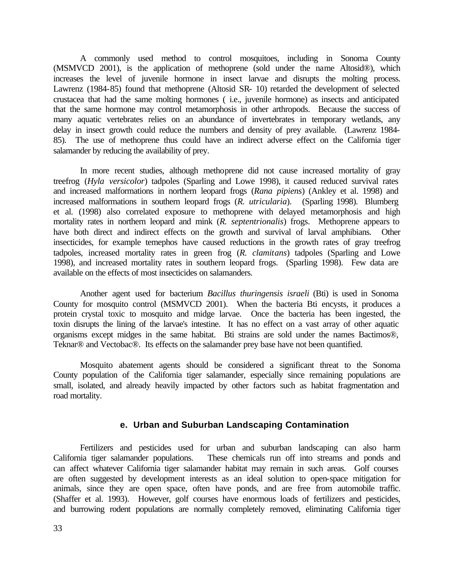A commonly used method to control mosquitoes, including in Sonoma County (MSMVCD 2001), is the application of methoprene (sold under the name Altosid®), which increases the level of juvenile hormone in insect larvae and disrupts the molting process. Lawrenz (1984-85) found that methoprene (Altosid SR- 10) retarded the development of selected crustacea that had the same molting hormones ( i.e., juvenile hormone) as insects and anticipated that the same hormone may control metamorphosis in other arthropods. Because the success of many aquatic vertebrates relies on an abundance of invertebrates in temporary wetlands, any delay in insect growth could reduce the numbers and density of prey available. (Lawrenz 1984- 85). The use of methoprene thus could have an indirect adverse effect on the California tiger salamander by reducing the availability of prey.

In more recent studies, although methoprene did not cause increased mortality of gray treefrog (*Hyla versicolor*) tadpoles (Sparling and Lowe 1998), it caused reduced survival rates and increased malformations in northern leopard frogs (*Rana pipiens*) (Ankley et al. 1998) and increased malformations in southern leopard frogs (*R*. *utricularia*). (Sparling 1998). Blumberg et al. (1998) also correlated exposure to methoprene with delayed metamorphosis and high mortality rates in northern leopard and mink (*R*. *septentrionalis*) frogs. Methoprene appears to have both direct and indirect effects on the growth and survival of larval amphibians. Other insecticides, for example temephos have caused reductions in the growth rates of gray treefrog tadpoles, increased mortality rates in green frog (*R*. *clamitans*) tadpoles (Sparling and Lowe 1998), and increased mortality rates in southern leopard frogs. (Sparling 1998). Few data are available on the effects of most insecticides on salamanders.

Another agent used for bacterium *Bacillus thuringensis israeli* (Bti) is used in Sonoma County for mosquito control (MSMVCD 2001). When the bacteria Bti encysts, it produces a protein crystal toxic to mosquito and midge larvae. Once the bacteria has been ingested, the toxin disrupts the lining of the larvae's intestine. It has no effect on a vast array of other aquatic organisms except midges in the same habitat. Bti strains are sold under the names Bactimos®, Teknar® and Vectobac®. Its effects on the salamander prey base have not been quantified.

Mosquito abatement agents should be considered a significant threat to the Sonoma County population of the California tiger salamander, especially since remaining populations are small, isolated, and already heavily impacted by other factors such as habitat fragmentation and road mortality.

#### **e. Urban and Suburban Landscaping Contamination**

Fertilizers and pesticides used for urban and suburban landscaping can also harm California tiger salamander populations. These chemicals run off into streams and ponds and can affect whatever California tiger salamander habitat may remain in such areas. Golf courses are often suggested by development interests as an ideal solution to open-space mitigation for animals, since they are open space, often have ponds, and are free from automobile traffic. (Shaffer et al. 1993). However, golf courses have enormous loads of fertilizers and pesticides, and burrowing rodent populations are normally completely removed, eliminating California tiger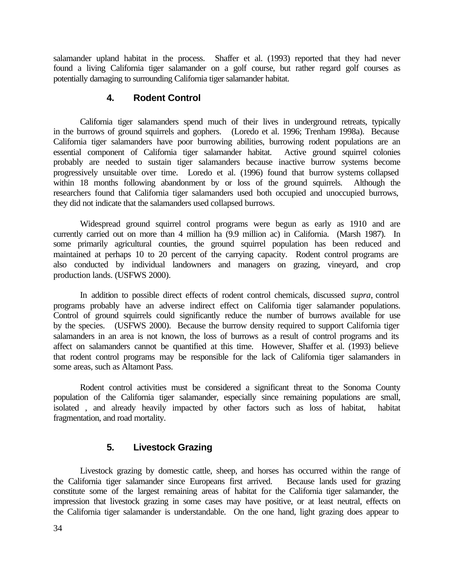salamander upland habitat in the process. Shaffer et al. (1993) reported that they had never found a living California tiger salamander on a golf course, but rather regard golf courses as potentially damaging to surrounding California tiger salamander habitat.

## **4. Rodent Control**

California tiger salamanders spend much of their lives in underground retreats, typically in the burrows of ground squirrels and gophers. (Loredo et al. 1996; Trenham 1998a). Because California tiger salamanders have poor burrowing abilities, burrowing rodent populations are an essential component of California tiger salamander habitat. Active ground squirrel colonies probably are needed to sustain tiger salamanders because inactive burrow systems become progressively unsuitable over time. Loredo et al. (1996) found that burrow systems collapsed within 18 months following abandonment by or loss of the ground squirrels. Although the researchers found that California tiger salamanders used both occupied and unoccupied burrows, they did not indicate that the salamanders used collapsed burrows.

Widespread ground squirrel control programs were begun as early as 1910 and are currently carried out on more than 4 million ha (9.9 million ac) in California. (Marsh 1987). In some primarily agricultural counties, the ground squirrel population has been reduced and maintained at perhaps 10 to 20 percent of the carrying capacity. Rodent control programs are also conducted by individual landowners and managers on grazing, vineyard, and crop production lands. (USFWS 2000).

In addition to possible direct effects of rodent control chemicals, discussed *supra*, control programs probably have an adverse indirect effect on California tiger salamander populations. Control of ground squirrels could significantly reduce the number of burrows available for use by the species. (USFWS 2000). Because the burrow density required to support California tiger salamanders in an area is not known, the loss of burrows as a result of control programs and its affect on salamanders cannot be quantified at this time. However, Shaffer et al. (1993) believe that rodent control programs may be responsible for the lack of California tiger salamanders in some areas, such as Altamont Pass.

Rodent control activities must be considered a significant threat to the Sonoma County population of the California tiger salamander, especially since remaining populations are small, isolated , and already heavily impacted by other factors such as loss of habitat, habitat fragmentation, and road mortality.

# **5. Livestock Grazing**

Livestock grazing by domestic cattle, sheep, and horses has occurred within the range of the California tiger salamander since Europeans first arrived. Because lands used for grazing constitute some of the largest remaining areas of habitat for the California tiger salamander, the impression that livestock grazing in some cases may have positive, or at least neutral, effects on the California tiger salamander is understandable. On the one hand, light grazing does appear to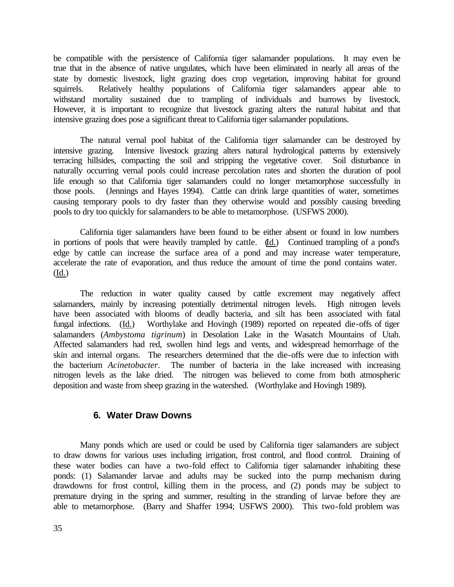be compatible with the persistence of California tiger salamander populations. It may even be true that in the absence of native ungulates, which have been eliminated in nearly all areas of the state by domestic livestock, light grazing does crop vegetation, improving habitat for ground squirrels. Relatively healthy populations of California tiger salamanders appear able to withstand mortality sustained due to trampling of individuals and burrows by livestock. However, it is important to recognize that livestock grazing alters the natural habitat and that intensive grazing does pose a significant threat to California tiger salamander populations.

The natural vernal pool habitat of the California tiger salamander can be destroyed by intensive grazing. Intensive livestock grazing alters natural hydrological patterns by extensively terracing hillsides, compacting the soil and stripping the vegetative cover. Soil disturbance in naturally occurring vernal pools could increase percolation rates and shorten the duration of pool life enough so that California tiger salamanders could no longer metamorphose successfully in those pools. (Jennings and Hayes 1994). Cattle can drink large quantities of water, sometimes causing temporary pools to dry faster than they otherwise would and possibly causing breeding pools to dry too quickly for salamanders to be able to metamorphose. (USFWS 2000).

California tiger salamanders have been found to be either absent or found in low numbers in portions of pools that were heavily trampled by cattle. (Id.) Continued trampling of a pond's edge by cattle can increase the surface area of a pond and may increase water temperature, accelerate the rate of evaporation, and thus reduce the amount of time the pond contains water. (Id.)

The reduction in water quality caused by cattle excrement may negatively affect salamanders, mainly by increasing potentially detrimental nitrogen levels. High nitrogen levels have been associated with blooms of deadly bacteria, and silt has been associated with fatal fungal infections. (Id.) Worthylake and Hovingh (1989) reported on repeated die-offs of tiger salamanders (*Ambystoma tigrinum*) in Desolation Lake in the Wasatch Mountains of Utah. Affected salamanders had red, swollen hind legs and vents, and widespread hemorrhage of the skin and internal organs. The researchers determined that the die-offs were due to infection with the bacterium *Acinetobacter*. The number of bacteria in the lake increased with increasing nitrogen levels as the lake dried. The nitrogen was believed to come from both atmospheric deposition and waste from sheep grazing in the watershed. (Worthylake and Hovingh 1989).

### **6. Water Draw Downs**

Many ponds which are used or could be used by California tiger salamanders are subject to draw downs for various uses including irrigation, frost control, and flood control. Draining of these water bodies can have a two-fold effect to California tiger salamander inhabiting these ponds: (1) Salamander larvae and adults may be sucked into the pump mechanism during drawdowns for frost control, killing them in the process, and (2) ponds may be subject to premature drying in the spring and summer, resulting in the stranding of larvae before they are able to metamorphose. (Barry and Shaffer 1994; USFWS 2000). This two-fold problem was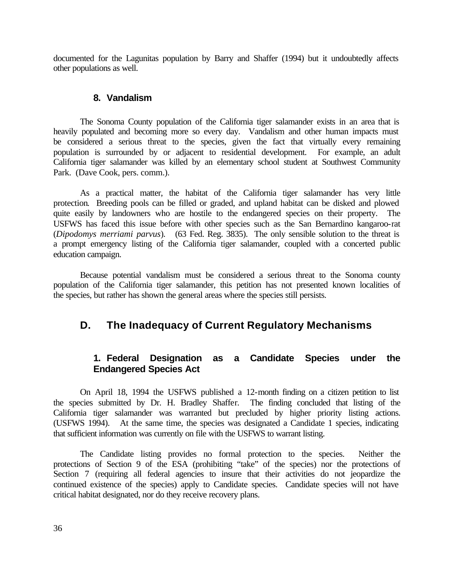documented for the Lagunitas population by Barry and Shaffer (1994) but it undoubtedly affects other populations as well.

#### **8. Vandalism**

The Sonoma County population of the California tiger salamander exists in an area that is heavily populated and becoming more so every day. Vandalism and other human impacts must be considered a serious threat to the species, given the fact that virtually every remaining population is surrounded by or adjacent to residential development. For example, an adult California tiger salamander was killed by an elementary school student at Southwest Community Park. (Dave Cook, pers. comm.).

As a practical matter, the habitat of the California tiger salamander has very little protection. Breeding pools can be filled or graded, and upland habitat can be disked and plowed quite easily by landowners who are hostile to the endangered species on their property. USFWS has faced this issue before with other species such as the San Bernardino kangaroo-rat (*Dipodomys merriami parvus*). (63 Fed. Reg. 3835). The only sensible solution to the threat is a prompt emergency listing of the California tiger salamander, coupled with a concerted public education campaign.

Because potential vandalism must be considered a serious threat to the Sonoma county population of the California tiger salamander, this petition has not presented known localities of the species, but rather has shown the general areas where the species still persists.

# **D. The Inadequacy of Current Regulatory Mechanisms**

# **1. Federal Designation as a Candidate Species under the Endangered Species Act**

On April 18, 1994 the USFWS published a 12-month finding on a citizen petition to list the species submitted by Dr. H. Bradley Shaffer. The finding concluded that listing of the California tiger salamander was warranted but precluded by higher priority listing actions. (USFWS 1994). At the same time, the species was designated a Candidate 1 species, indicating that sufficient information was currently on file with the USFWS to warrant listing.

The Candidate listing provides no formal protection to the species. Neither the protections of Section 9 of the ESA (prohibiting "take" of the species) nor the protections of Section 7 (requiring all federal agencies to insure that their activities do not jeopardize the continued existence of the species) apply to Candidate species. Candidate species will not have critical habitat designated, nor do they receive recovery plans.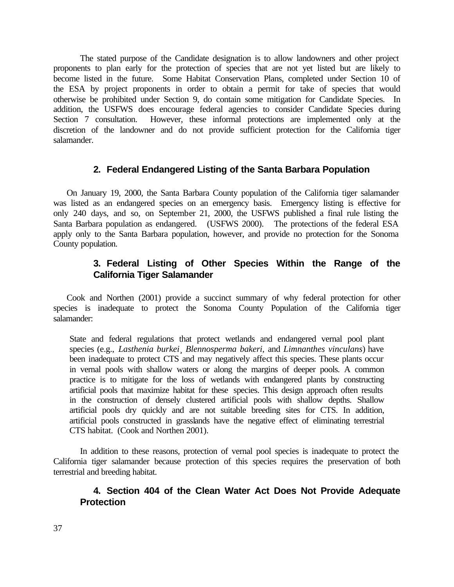The stated purpose of the Candidate designation is to allow landowners and other project proponents to plan early for the protection of species that are not yet listed but are likely to become listed in the future. Some Habitat Conservation Plans, completed under Section 10 of the ESA by project proponents in order to obtain a permit for take of species that would otherwise be prohibited under Section 9, do contain some mitigation for Candidate Species. In addition, the USFWS does encourage federal agencies to consider Candidate Species during Section 7 consultation. However, these informal protections are implemented only at the discretion of the landowner and do not provide sufficient protection for the California tiger salamander.

#### **2. Federal Endangered Listing of the Santa Barbara Population**

On January 19, 2000, the Santa Barbara County population of the California tiger salamander was listed as an endangered species on an emergency basis. Emergency listing is effective for only 240 days, and so, on September 21, 2000, the USFWS published a final rule listing the Santa Barbara population as endangered. (USFWS 2000). The protections of the federal ESA apply only to the Santa Barbara population, however, and provide no protection for the Sonoma County population.

# **3. Federal Listing of Other Species Within the Range of the California Tiger Salamander**

Cook and Northen (2001) provide a succinct summary of why federal protection for other species is inadequate to protect the Sonoma County Population of the California tiger salamander:

State and federal regulations that protect wetlands and endangered vernal pool plant species (e.g., *Lasthenia burkei*¸ *Blennosperma bakeri*, and *Limnanthes vinculans*) have been inadequate to protect CTS and may negatively affect this species. These plants occur in vernal pools with shallow waters or along the margins of deeper pools. A common practice is to mitigate for the loss of wetlands with endangered plants by constructing artificial pools that maximize habitat for these species. This design approach often results in the construction of densely clustered artificial pools with shallow depths. Shallow artificial pools dry quickly and are not suitable breeding sites for CTS. In addition, artificial pools constructed in grasslands have the negative effect of eliminating terrestrial CTS habitat. (Cook and Northen 2001).

In addition to these reasons, protection of vernal pool species is inadequate to protect the California tiger salamander because protection of this species requires the preservation of both terrestrial and breeding habitat.

### **4. Section 404 of the Clean Water Act Does Not Provide Adequate Protection**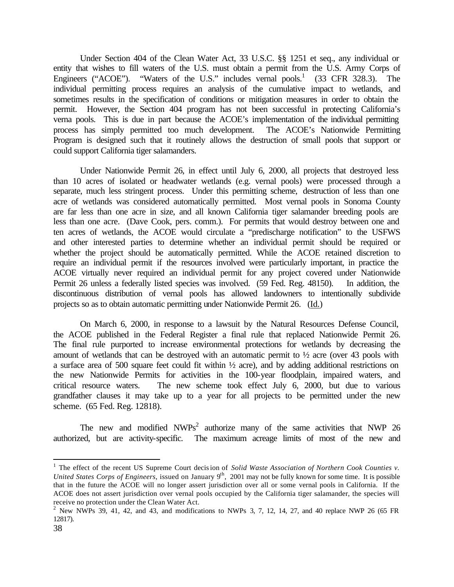Under Section 404 of the Clean Water Act, 33 U.S.C. §§ 1251 et seq., any individual or entity that wishes to fill waters of the U.S. must obtain a permit from the U.S. Army Corps of Engineers ("ACOE"). "Waters of the U.S." includes vernal pools.<sup>1</sup> (33 CFR 328.3). The individual permitting process requires an analysis of the cumulative impact to wetlands, and sometimes results in the specification of conditions or mitigation measures in order to obtain the permit. However, the Section 404 program has not been successful in protecting California's verna pools. This is due in part because the ACOE's implementation of the individual permitting process has simply permitted too much development. The ACOE's Nationwide Permitting Program is designed such that it routinely allows the destruction of small pools that support or could support California tiger salamanders.

Under Nationwide Permit 26, in effect until July 6, 2000, all projects that destroyed less than 10 acres of isolated or headwater wetlands (e.g. vernal pools) were processed through a separate, much less stringent process. Under this permitting scheme, destruction of less than one acre of wetlands was considered automatically permitted. Most vernal pools in Sonoma County are far less than one acre in size, and all known California tiger salamander breeding pools are less than one acre. (Dave Cook, pers. comm.). For permits that would destroy between one and ten acres of wetlands, the ACOE would circulate a "predischarge notification" to the USFWS and other interested parties to determine whether an individual permit should be required or whether the project should be automatically permitted. While the ACOE retained discretion to require an individual permit if the resources involved were particularly important, in practice the ACOE virtually never required an individual permit for any project covered under Nationwide Permit 26 unless a federally listed species was involved. (59 Fed. Reg. 48150). In addition, the discontinuous distribution of vernal pools has allowed landowners to intentionally subdivide projects so as to obtain automatic permitting under Nationwide Permit 26. (Id.)

On March 6, 2000, in response to a lawsuit by the Natural Resources Defense Council, the ACOE published in the Federal Register a final rule that replaced Nationwide Permit 26. The final rule purported to increase environmental protections for wetlands by decreasing the amount of wetlands that can be destroyed with an automatic permit to ½ acre (over 43 pools with a surface area of 500 square feet could fit within ½ acre), and by adding additional restrictions on the new Nationwide Permits for activities in the 100-year floodplain, impaired waters, and critical resource waters. The new scheme took effect July 6, 2000, but due to various grandfather clauses it may take up to a year for all projects to be permitted under the new scheme. (65 Fed. Reg. 12818).

The new and modified  $NWPs^2$  authorize many of the same activities that NWP 26 authorized, but are activity-specific. The maximum acreage limits of most of the new and

<sup>&</sup>lt;sup>1</sup> The effect of the recent US Supreme Court decision of *Solid Waste Association of Northern Cook Counties v. United States Corps of Engineers*, issued on January 9<sup>th</sup>, 2001 may not be fully known for some time. It is possible that in the future the ACOE will no longer assert jurisdiction over all or some vernal pools in California. If the ACOE does not assert jurisdiction over vernal pools occupied by the California tiger salamander, the species will receive no protection under the Clean Water Act.

<sup>&</sup>lt;sup>2</sup> New NWPs 39, 41, 42, and 43, and modifications to NWPs 3, 7, 12, 14, 27, and 40 replace NWP 26 (65 FR 12817).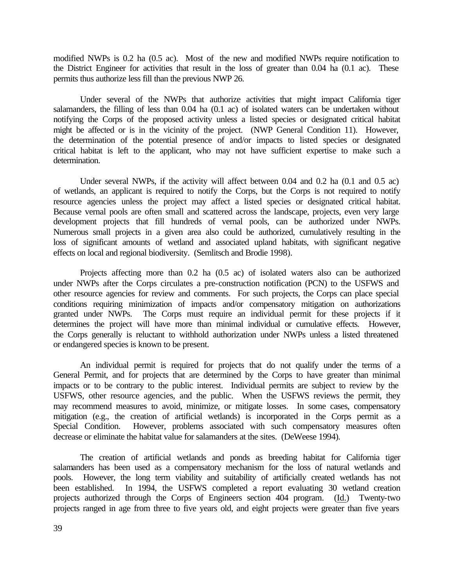modified NWPs is 0.2 ha (0.5 ac). Most of the new and modified NWPs require notification to the District Engineer for activities that result in the loss of greater than 0.04 ha (0.1 ac). These permits thus authorize less fill than the previous NWP 26.

Under several of the NWPs that authorize activities that might impact California tiger salamanders, the filling of less than 0.04 ha (0.1 ac) of isolated waters can be undertaken without notifying the Corps of the proposed activity unless a listed species or designated critical habitat might be affected or is in the vicinity of the project. (NWP General Condition 11). However, the determination of the potential presence of and/or impacts to listed species or designated critical habitat is left to the applicant, who may not have sufficient expertise to make such a determination.

Under several NWPs, if the activity will affect between 0.04 and 0.2 ha (0.1 and 0.5 ac) of wetlands, an applicant is required to notify the Corps, but the Corps is not required to notify resource agencies unless the project may affect a listed species or designated critical habitat. Because vernal pools are often small and scattered across the landscape, projects, even very large development projects that fill hundreds of vernal pools, can be authorized under NWPs. Numerous small projects in a given area also could be authorized, cumulatively resulting in the loss of significant amounts of wetland and associated upland habitats, with significant negative effects on local and regional biodiversity. (Semlitsch and Brodie 1998).

Projects affecting more than 0.2 ha (0.5 ac) of isolated waters also can be authorized under NWPs after the Corps circulates a pre-construction notification (PCN) to the USFWS and other resource agencies for review and comments. For such projects, the Corps can place special conditions requiring minimization of impacts and/or compensatory mitigation on authorizations granted under NWPs. The Corps must require an individual permit for these projects if it determines the project will have more than minimal individual or cumulative effects. However, the Corps generally is reluctant to withhold authorization under NWPs unless a listed threatened or endangered species is known to be present.

An individual permit is required for projects that do not qualify under the terms of a General Permit, and for projects that are determined by the Corps to have greater than minimal impacts or to be contrary to the public interest. Individual permits are subject to review by the USFWS, other resource agencies, and the public. When the USFWS reviews the permit, they may recommend measures to avoid, minimize, or mitigate losses. In some cases, compensatory mitigation (e.g., the creation of artificial wetlands) is incorporated in the Corps permit as a Special Condition. However, problems associated with such compensatory measures often However, problems associated with such compensatory measures often decrease or eliminate the habitat value for salamanders at the sites. (DeWeese 1994).

The creation of artificial wetlands and ponds as breeding habitat for California tiger salamanders has been used as a compensatory mechanism for the loss of natural wetlands and pools. However, the long term viability and suitability of artificially created wetlands has not been established. In 1994, the USFWS completed a report evaluating 30 wetland creation projects authorized through the Corps of Engineers section 404 program. (Id.) Twenty-two projects ranged in age from three to five years old, and eight projects were greater than five years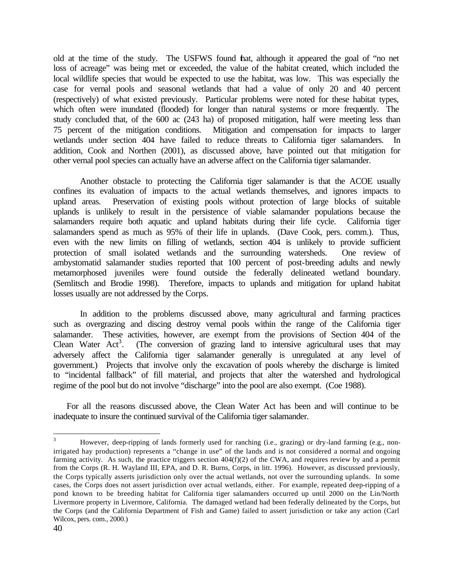old at the time of the study. The USFWS found that, although it appeared the goal of "no net loss of acreage" was being met or exceeded, the value of the habitat created, which included the local wildlife species that would be expected to use the habitat, was low. This was especially the case for vernal pools and seasonal wetlands that had a value of only 20 and 40 percent (respectively) of what existed previously. Particular problems were noted for these habitat types, which often were inundated (flooded) for longer than natural systems or more frequently. The study concluded that, of the 600 ac (243 ha) of proposed mitigation, half were meeting less than 75 percent of the mitigation conditions. Mitigation and compensation for impacts to larger wetlands under section 404 have failed to reduce threats to California tiger salamanders. In addition, Cook and Northen (2001), as discussed above, have pointed out that mitigation for other vernal pool species can actually have an adverse affect on the California tiger salamander.

Another obstacle to protecting the California tiger salamander is that the ACOE usually confines its evaluation of impacts to the actual wetlands themselves, and ignores impacts to upland areas. Preservation of existing pools without protection of large blocks of suitable uplands is unlikely to result in the persistence of viable salamander populations because the salamanders require both aquatic and upland habitats during their life cycle. California tiger salamanders spend as much as 95% of their life in uplands. (Dave Cook, pers. comm.). Thus, even with the new limits on filling of wetlands, section 404 is unlikely to provide sufficient protection of small isolated wetlands and the surrounding watersheds. One review of ambystomatid salamander studies reported that 100 percent of post-breeding adults and newly metamorphosed juveniles were found outside the federally delineated wetland boundary. (Semlitsch and Brodie 1998). Therefore, impacts to uplands and mitigation for upland habitat losses usually are not addressed by the Corps.

In addition to the problems discussed above, many agricultural and farming practices such as overgrazing and discing destroy vernal pools within the range of the California tiger salamander. These activities, however, are exempt from the provisions of Section 404 of the Clean Water Act<sup>3</sup>. (The conversion of grazing land to intensive agricultural uses that may adversely affect the California tiger salamander generally is unregulated at any level of government.) Projects that involve only the excavation of pools whereby the discharge is limited to "incidental fallback" of fill material, and projects that alter the watershed and hydrological regime of the pool but do not involve "discharge" into the pool are also exempt. (Coe 1988).

For all the reasons discussed above, the Clean Water Act has been and will continue to be inadequate to insure the continued survival of the California tiger salamander.

 $\overline{3}$ However, deep-ripping of lands formerly used for ranching (i.e., grazing) or dry-land farming (e.g., nonirrigated hay production) represents a "change in use" of the lands and is not considered a normal and ongoing farming activity. As such, the practice triggers section 404(f)(2) of the CWA, and requires review by and a permit from the Corps (R. H. Wayland III, EPA, and D. R. Burns, Corps, in litt. 1996). However, as discussed previously, the Corps typically asserts jurisdiction only over the actual wetlands, not over the surrounding uplands. In some cases, the Corps does not assert jurisdiction over actual wetlands, either. For example, repeated deep-ripping of a pond known to be breeding habitat for California tiger salamanders occurred up until 2000 on the Lin/North Livermore property in Livermore, California. The damaged wetland had been federally delineated by the Corps, but the Corps (and the California Department of Fish and Game) failed to assert jurisdiction or take any action (Carl Wilcox, pers. com., 2000.)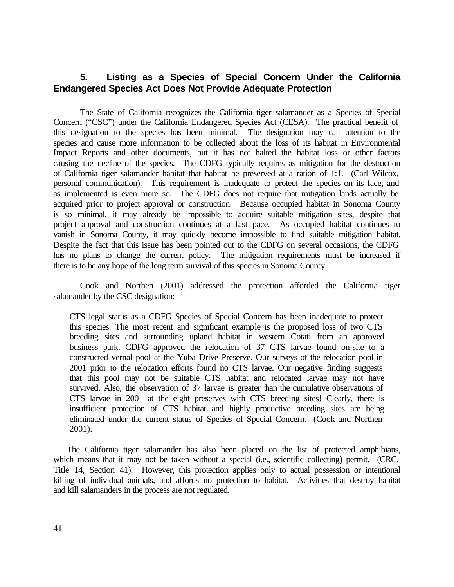# **5. Listing as a Species of Special Concern Under the California Endangered Species Act Does Not Provide Adequate Protection**

The State of California recognizes the California tiger salamander as a Species of Special Concern ("CSC") under the California Endangered Species Act (CESA). The practical benefit of this designation to the species has been minimal. The designation may call attention to the species and cause more information to be collected about the loss of its habitat in Environmental Impact Reports and other documents, but it has not halted the habitat loss or other factors causing the decline of the species. The CDFG typically requires as mitigation for the destruction of California tiger salamander habitat that habitat be preserved at a ration of 1:1. (Carl Wilcox, personal communication). This requirement is inadequate to protect the species on its face, and as implemented is even more so. The CDFG does not require that mitigation lands actually be acquired prior to project approval or construction. Because occupied habitat in Sonoma County is so minimal, it may already be impossible to acquire suitable mitigation sites, despite that project approval and construction continues at a fast pace. As occupied habitat continues to vanish in Sonoma County, it may quickly become impossible to find suitable mitigation habitat. Despite the fact that this issue has been pointed out to the CDFG on several occasions, the CDFG has no plans to change the current policy. The mitigation requirements must be increased if there is to be any hope of the long term survival of this species in Sonoma County.

Cook and Northen (2001) addressed the protection afforded the California tiger salamander by the CSC designation:

CTS legal status as a CDFG Species of Special Concern has been inadequate to protect this species. The most recent and significant example is the proposed loss of two CTS breeding sites and surrounding upland habitat in western Cotati from an approved business park. CDFG approved the relocation of 37 CTS larvae found on-site to a constructed vernal pool at the Yuba Drive Preserve. Our surveys of the relocation pool in 2001 prior to the relocation efforts found no CTS larvae. Our negative finding suggests that this pool may not be suitable CTS habitat and relocated larvae may not have survived. Also, the observation of 37 larvae is greater than the cumulative observations of CTS larvae in 2001 at the eight preserves with CTS breeding sites! Clearly, there is insufficient protection of CTS habitat and highly productive breeding sites are being eliminated under the current status of Species of Special Concern. (Cook and Northen 2001).

The California tiger salamander has also been placed on the list of protected amphibians, which means that it may not be taken without a special (i.e., scientific collecting) permit. (CRC, Title 14, Section 41). However, this protection applies only to actual possession or intentional killing of individual animals, and affords no protection to habitat. Activities that destroy habitat and kill salamanders in the process are not regulated.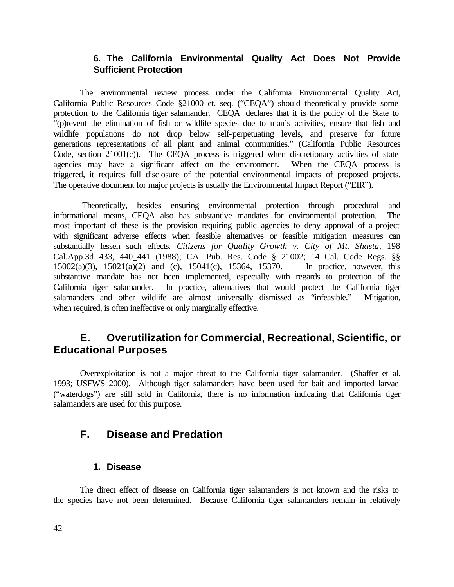# **6. The California Environmental Quality Act Does Not Provide Sufficient Protection**

The environmental review process under the California Environmental Quality Act, California Public Resources Code §21000 et. seq. ("CEQA") should theoretically provide some protection to the California tiger salamander. CEQA declares that it is the policy of the State to "(p)revent the elimination of fish or wildlife species due to man's activities, ensure that fish and wildlife populations do not drop below self-perpetuating levels, and preserve for future generations representations of all plant and animal communities." (California Public Resources Code, section 21001(c)). The CEQA process is triggered when discretionary activities of state agencies may have a significant affect on the environment. When the CEQA process is triggered, it requires full disclosure of the potential environmental impacts of proposed projects. The operative document for major projects is usually the Environmental Impact Report ("EIR").

 Theoretically, besides ensuring environmental protection through procedural and informational means, CEQA also has substantive mandates for environmental protection. The most important of these is the provision requiring public agencies to deny approval of a project with significant adverse effects when feasible alternatives or feasible mitigation measures can substantially lessen such effects. *Citizens for Quality Growth v. City of Mt. Shasta,* 198 Cal.App.3d 433, 440 441 (1988); CA. Pub. Res. Code § 21002; 14 Cal. Code Regs. §§ 15002(a)(3), 15021(a)(2) and (c), 15041(c), 15364, 15370. In practice, however, this substantive mandate has not been implemented, especially with regards to protection of the California tiger salamander. In practice, alternatives that would protect the California tiger salamanders and other wildlife are almost universally dismissed as "infeasible." Mitigation, when required, is often ineffective or only marginally effective.

# **E. Overutilization for Commercial, Recreational, Scientific, or Educational Purposes**

Overexploitation is not a major threat to the California tiger salamander. (Shaffer et al. 1993; USFWS 2000). Although tiger salamanders have been used for bait and imported larvae ("waterdogs") are still sold in California, there is no information indicating that California tiger salamanders are used for this purpose.

# **F. Disease and Predation**

#### **1. Disease**

The direct effect of disease on California tiger salamanders is not known and the risks to the species have not been determined. Because California tiger salamanders remain in relatively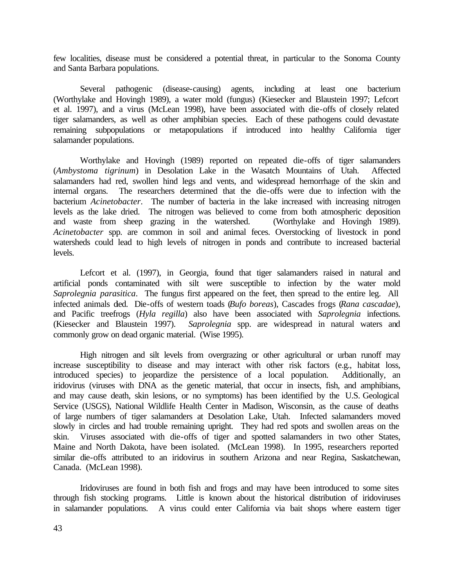few localities, disease must be considered a potential threat, in particular to the Sonoma County and Santa Barbara populations.

Several pathogenic (disease-causing) agents, including at least one bacterium (Worthylake and Hovingh 1989), a water mold (fungus) (Kiesecker and Blaustein 1997; Lefcort et al. 1997), and a virus (McLean 1998), have been associated with die-offs of closely related tiger salamanders, as well as other amphibian species. Each of these pathogens could devastate remaining subpopulations or metapopulations if introduced into healthy California tiger salamander populations.

Worthylake and Hovingh (1989) reported on repeated die-offs of tiger salamanders (*Ambystoma tigrinum*) in Desolation Lake in the Wasatch Mountains of Utah. Affected salamanders had red, swollen hind legs and vents, and widespread hemorrhage of the skin and internal organs. The researchers determined that the die-offs were due to infection with the bacterium *Acinetobacter*. The number of bacteria in the lake increased with increasing nitrogen levels as the lake dried. The nitrogen was believed to come from both atmospheric deposition and waste from sheep grazing in the watershed. (Worthylake and Hovingh 1989). *Acinetobacter* spp. are common in soil and animal feces. Overstocking of livestock in pond watersheds could lead to high levels of nitrogen in ponds and contribute to increased bacterial levels.

Lefcort et al. (1997), in Georgia, found that tiger salamanders raised in natural and artificial ponds contaminated with silt were susceptible to infection by the water mold *Saprolegnia parasitica*. The fungus first appeared on the feet, then spread to the entire leg. All infected animals died. Die-offs of western toads (*Bufo boreas*), Cascades frogs (*Rana cascadae*), and Pacific treefrogs (*Hyla regilla*) also have been associated with *Saprolegnia* infections. (Kiesecker and Blaustein 1997). *Saprolegnia* spp. are widespread in natural waters and commonly grow on dead organic material. (Wise 1995).

High nitrogen and silt levels from overgrazing or other agricultural or urban runoff may increase susceptibility to disease and may interact with other risk factors (e.g., habitat loss, introduced species) to jeopardize the persistence of a local population. Additionally, an iridovirus (viruses with DNA as the genetic material, that occur in insects, fish, and amphibians, and may cause death, skin lesions, or no symptoms) has been identified by the U.S. Geological Service (USGS), National Wildlife Health Center in Madison, Wisconsin, as the cause of deaths of large numbers of tiger salamanders at Desolation Lake, Utah. Infected salamanders moved slowly in circles and had trouble remaining upright. They had red spots and swollen areas on the skin. Viruses associated with die-offs of tiger and spotted salamanders in two other States, Maine and North Dakota, have been isolated. (McLean 1998). In 1995, researchers reported similar die-offs attributed to an iridovirus in southern Arizona and near Regina, Saskatchewan, Canada. (McLean 1998).

Iridoviruses are found in both fish and frogs and may have been introduced to some sites through fish stocking programs. Little is known about the historical distribution of iridoviruses in salamander populations. A virus could enter California via bait shops where eastern tiger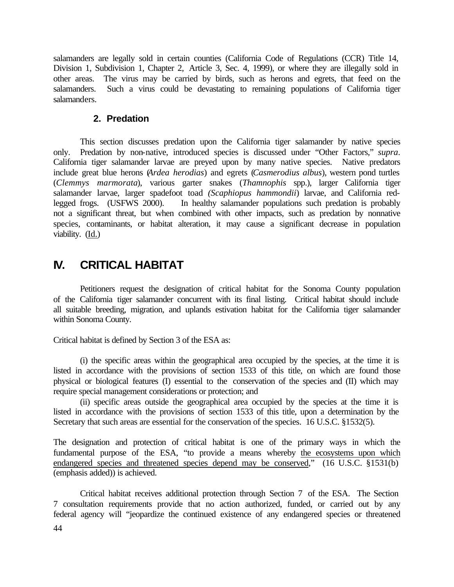salamanders are legally sold in certain counties (California Code of Regulations (CCR) Title 14, Division 1, Subdivision 1, Chapter 2, Article 3, Sec. 4, 1999), or where they are illegally sold in other areas. The virus may be carried by birds, such as herons and egrets, that feed on the salamanders. Such a virus could be devastating to remaining populations of California tiger salamanders.

#### **2. Predation**

This section discusses predation upon the California tiger salamander by native species only. Predation by non-native, introduced species is discussed under "Other Factors," *supra*. California tiger salamander larvae are preyed upon by many native species. Native predators include great blue herons (*Ardea herodias*) and egrets (*Casmerodius albus*), western pond turtles (*Clemmys marmorata*), various garter snakes (*Thamnophis* spp.), larger California tiger salamander larvae, larger spadefoot toad *(Scaphiopus hammondii*) larvae, and California redlegged frogs. (USFWS 2000). In healthy salamander populations such predation is probably not a significant threat, but when combined with other impacts, such as predation by nonnative species, contaminants, or habitat alteration, it may cause a significant decrease in population viability. (Id.)

# **IV. CRITICAL HABITAT**

Petitioners request the designation of critical habitat for the Sonoma County population of the California tiger salamander concurrent with its final listing. Critical habitat should include all suitable breeding, migration, and uplands estivation habitat for the California tiger salamander within Sonoma County.

Critical habitat is defined by Section 3 of the ESA as:

(i) the specific areas within the geographical area occupied by the species, at the time it is listed in accordance with the provisions of section 1533 of this title, on which are found those physical or biological features (I) essential to the conservation of the species and (II) which may require special management considerations or protection; and

(ii) specific areas outside the geographical area occupied by the species at the time it is listed in accordance with the provisions of section 1533 of this title, upon a determination by the Secretary that such areas are essential for the conservation of the species. 16 U.S.C. §1532(5).

The designation and protection of critical habitat is one of the primary ways in which the fundamental purpose of the ESA, "to provide a means whereby the ecosystems upon which endangered species and threatened species depend may be conserved," (16 U.S.C. §1531(b) (emphasis added)) is achieved.

Critical habitat receives additional protection through Section 7 of the ESA. The Section 7 consultation requirements provide that no action authorized, funded, or carried out by any federal agency will "jeopardize the continued existence of any endangered species or threatened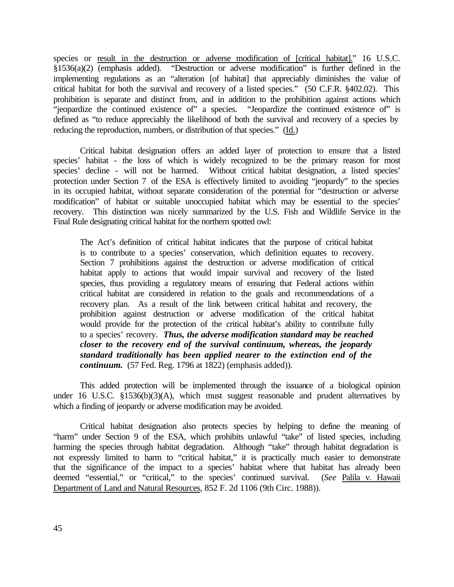species or result in the destruction or adverse modification of [critical habitat]." 16 U.S.C.  $\S$ 1536(a)(2) (emphasis added). "Destruction or adverse modification" is further defined in the implementing regulations as an "alteration [of habitat] that appreciably diminishes the value of critical habitat for both the survival and recovery of a listed species." (50 C.F.R. §402.02). This prohibition is separate and distinct from, and in addition to the prohibition against actions which "jeopardize the continued existence of" a species. "Jeopardize the continued existence of" is defined as "to reduce appreciably the likelihood of both the survival and recovery of a species by reducing the reproduction, numbers, or distribution of that species." (Id.)

Critical habitat designation offers an added layer of protection to ensure that a listed species' habitat - the loss of which is widely recognized to be the primary reason for most species' decline - will not be harmed. Without critical habitat designation, a listed species' protection under Section 7 of the ESA is effectively limited to avoiding "jeopardy" to the species in its occupied habitat, without separate consideration of the potential for "destruction or adverse modification" of habitat or suitable unoccupied habitat which may be essential to the species' recovery. This distinction was nicely summarized by the U.S. Fish and Wildlife Service in the Final Rule designating critical habitat for the northern spotted owl:

The Act's definition of critical habitat indicates that the purpose of critical habitat is to contribute to a species' conservation, which definition equates to recovery. Section 7 prohibitions against the destruction or adverse modification of critical habitat apply to actions that would impair survival and recovery of the listed species, thus providing a regulatory means of ensuring that Federal actions within critical habitat are considered in relation to the goals and recommendations of a recovery plan. As a result of the link between critical habitat and recovery, the prohibition against destruction or adverse modification of the critical habitat would provide for the protection of the critical habitat's ability to contribute fully to a species' recovery. *Thus, the adverse modification standard may be reached closer to the recovery end of the survival continuum, whereas, the jeopardy standard traditionally has been applied nearer to the extinction end of the continuum.* (57 Fed. Reg. 1796 at 1822) (emphasis added)).

This added protection will be implemented through the issuance of a biological opinion under 16 U.S.C. §1536(b)(3)(A), which must suggest reasonable and prudent alternatives by which a finding of jeopardy or adverse modification may be avoided.

Critical habitat designation also protects species by helping to define the meaning of "harm" under Section 9 of the ESA, which prohibits unlawful "take" of listed species, including harming the species through habitat degradation. Although "take" through habitat degradation is not expressly limited to harm to "critical habitat," it is practically much easier to demonstrate that the significance of the impact to a species' habitat where that habitat has already been deemed "essential," or "critical," to the species' continued survival. (*See* Palila v. Hawaii Department of Land and Natural Resources, 852 F. 2d 1106 (9th Circ. 1988)).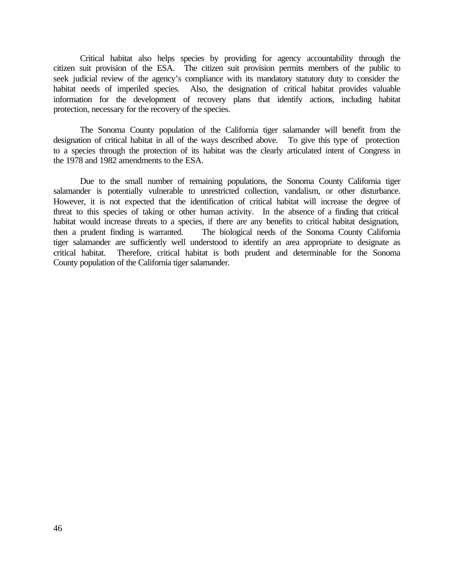Critical habitat also helps species by providing for agency accountability through the citizen suit provision of the ESA. The citizen suit provision permits members of the public to seek judicial review of the agency's compliance with its mandatory statutory duty to consider the habitat needs of imperiled species. Also, the designation of critical habitat provides valuable information for the development of recovery plans that identify actions, including habitat protection, necessary for the recovery of the species.

The Sonoma County population of the California tiger salamander will benefit from the designation of critical habitat in all of the ways described above. To give this type of protection to a species through the protection of its habitat was the clearly articulated intent of Congress in the 1978 and 1982 amendments to the ESA.

Due to the small number of remaining populations, the Sonoma County California tiger salamander is potentially vulnerable to unrestricted collection, vandalism, or other disturbance. However, it is not expected that the identification of critical habitat will increase the degree of threat to this species of taking or other human activity. In the absence of a finding that critical habitat would increase threats to a species, if there are any benefits to critical habitat designation, then a prudent finding is warranted. The biological needs of the Sonoma County California tiger salamander are sufficiently well understood to identify an area appropriate to designate as critical habitat. Therefore, critical habitat is both prudent and determinable for the Sonoma County population of the California tiger salamander.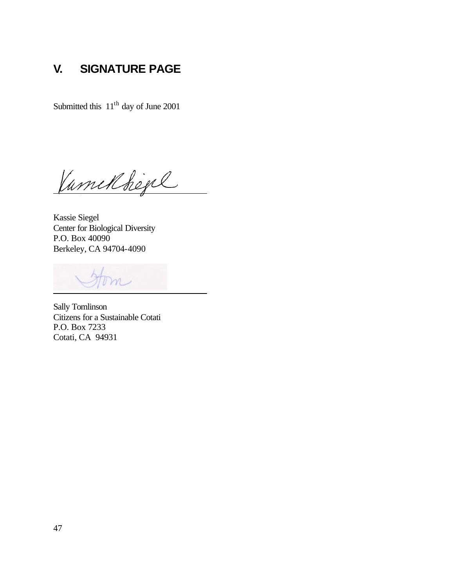# **V. SIGNATURE PAGE**

Submitted this  $11<sup>th</sup>$  day of June 2001

Vamilbejel

Kassie Siegel Center for Biological Diversity P.O. Box 40090 Berkeley, CA 94704-4090

 $m$ 

Sally Tomlinson Citizens for a Sustainable Cotati P.O. Box 7233 Cotati, CA 94931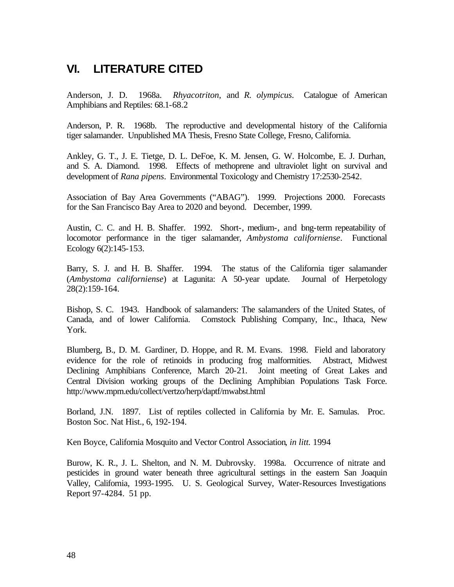# **VI. LITERATURE CITED**

Anderson, J. D. 1968a. *Rhyacotriton*, and *R. olympicus*. Catalogue of American Amphibians and Reptiles: 68.1-68.2

Anderson, P. R. 1968b. The reproductive and developmental history of the California tiger salamander. Unpublished MA Thesis, Fresno State College, Fresno, California.

Ankley, G. T., J. E. Tietge, D. L. DeFoe, K. M. Jensen, G. W. Holcombe, E. J. Durhan, and S. A. Diamond. 1998. Effects of methoprene and ultraviolet light on survival and development of *Rana pipens*. Environmental Toxicology and Chemistry 17:2530-2542.

Association of Bay Area Governments ("ABAG"). 1999. Projections 2000. Forecasts for the San Francisco Bay Area to 2020 and beyond. December, 1999.

Austin, C. C. and H. B. Shaffer. 1992. Short-, medium-, and bng-term repeatability of locomotor performance in the tiger salamander, *Ambystoma californiense*. Functional Ecology 6(2):145-153.

Barry, S. J. and H. B. Shaffer. 1994. The status of the California tiger salamander (*Ambystoma californiense*) at Lagunita: A 50-year update. Journal of Herpetology 28(2):159-164.

Bishop, S. C. 1943. Handbook of salamanders: The salamanders of the United States, of Canada, and of lower California. Comstock Publishing Company, Inc., Ithaca, New York.

Blumberg, B., D. M. Gardiner, D. Hoppe, and R. M. Evans. 1998. Field and laboratory evidence for the role of retinoids in producing frog malformities. Abstract, Midwest Declining Amphibians Conference, March 20-21. Joint meeting of Great Lakes and Central Division working groups of the Declining Amphibian Populations Task Force. http://www.mpm.edu/collect/vertzo/herp/daptf/mwabst.html

Borland, J.N. 1897. List of reptiles collected in California by Mr. E. Samulas. Proc. Boston Soc. Nat Hist., 6, 192-194.

Ken Boyce, California Mosquito and Vector Control Association*, in litt.* 1994

Burow, K. R., J. L. Shelton, and N. M. Dubrovsky. 1998a. Occurrence of nitrate and pesticides in ground water beneath three agricultural settings in the eastern San Joaquin Valley, California, 1993-1995. U. S. Geological Survey, Water-Resources Investigations Report 97-4284. 51 pp.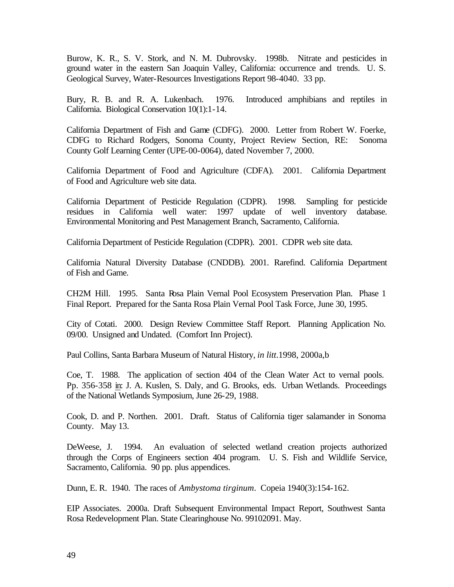Burow, K. R., S. V. Stork, and N. M. Dubrovsky. 1998b. Nitrate and pesticides in ground water in the eastern San Joaquin Valley, California: occurrence and trends. U. S. Geological Survey, Water-Resources Investigations Report 98-4040. 33 pp.

Bury, R. B. and R. A. Lukenbach. 1976. Introduced amphibians and reptiles in California. Biological Conservation 10(1):1-14.

California Department of Fish and Game (CDFG). 2000. Letter from Robert W. Foerke, CDFG to Richard Rodgers, Sonoma County, Project Review Section, RE: Sonoma County Golf Learning Center (UPE-00-0064), dated November 7, 2000.

California Department of Food and Agriculture (CDFA). 2001. California Department of Food and Agriculture web site data.

California Department of Pesticide Regulation (CDPR). 1998. Sampling for pesticide residues in California well water: 1997 update of well inventory database. Environmental Monitoring and Pest Management Branch, Sacramento, California.

California Department of Pesticide Regulation (CDPR). 2001. CDPR web site data.

California Natural Diversity Database (CNDDB). 2001. Rarefind. California Department of Fish and Game.

CH2M Hill. 1995. Santa Rosa Plain Vernal Pool Ecosystem Preservation Plan. Phase 1 Final Report. Prepared for the Santa Rosa Plain Vernal Pool Task Force, June 30, 1995.

City of Cotati. 2000. Design Review Committee Staff Report. Planning Application No. 09/00. Unsigned and Undated. (Comfort Inn Project).

Paul Collins, Santa Barbara Museum of Natural History, *in litt*.1998, 2000a,b

Coe, T. 1988. The application of section 404 of the Clean Water Act to vernal pools. Pp. 356-358 in: J. A. Kuslen, S. Daly, and G. Brooks, eds. Urban Wetlands. Proceedings of the National Wetlands Symposium, June 26-29, 1988.

Cook, D. and P. Northen. 2001. Draft. Status of California tiger salamander in Sonoma County. May 13.

DeWeese, J. 1994. An evaluation of selected wetland creation projects authorized through the Corps of Engineers section 404 program. U. S. Fish and Wildlife Service, Sacramento, California. 90 pp. plus appendices.

Dunn, E. R. 1940. The races of *Ambystoma tirginum*. Copeia 1940(3):154-162.

EIP Associates. 2000a. Draft Subsequent Environmental Impact Report, Southwest Santa Rosa Redevelopment Plan. State Clearinghouse No. 99102091. May.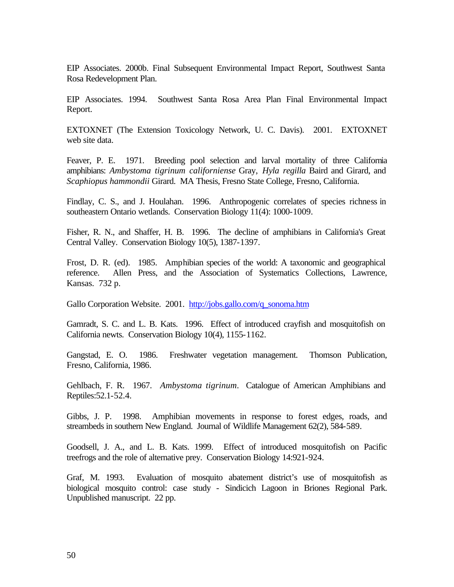EIP Associates. 2000b. Final Subsequent Environmental Impact Report, Southwest Santa Rosa Redevelopment Plan.

EIP Associates. 1994. Southwest Santa Rosa Area Plan Final Environmental Impact Report.

EXTOXNET (The Extension Toxicology Network, U. C. Davis). 2001. EXTOXNET web site data.

Feaver, P. E. 1971. Breeding pool selection and larval mortality of three California amphibians: *Ambystoma tigrinum californiense* Gray, *Hyla regilla* Baird and Girard, and *Scaphiopus hammondii* Girard. MA Thesis, Fresno State College, Fresno, California.

Findlay, C. S., and J. Houlahan. 1996. Anthropogenic correlates of species richness in southeastern Ontario wetlands. Conservation Biology 11(4): 1000-1009.

Fisher, R. N., and Shaffer, H. B. 1996. The decline of amphibians in California's Great Central Valley. Conservation Biology 10(5), 1387-1397.

Frost, D. R. (ed). 1985. Amphibian species of the world: A taxonomic and geographical reference. Allen Press, and the Association of Systematics Collections, Lawrence, Kansas. 732 p.

Gallo Corporation Website. 2001. http://jobs.gallo.com/q\_sonoma.htm

Gamradt, S. C. and L. B. Kats. 1996. Effect of introduced crayfish and mosquitofish on California newts. Conservation Biology 10(4), 1155-1162.

Gangstad, E. O. 1986. Freshwater vegetation management. Thomson Publication, Fresno, California, 1986.

Gehlbach, F. R. 1967. *Ambystoma tigrinum*. Catalogue of American Amphibians and Reptiles:52.1-52.4.

Gibbs, J. P. 1998. Amphibian movements in response to forest edges, roads, and streambeds in southern New England. Journal of Wildlife Management 62(2), 584-589.

Goodsell, J. A., and L. B. Kats. 1999. Effect of introduced mosquitofish on Pacific treefrogs and the role of alternative prey. Conservation Biology 14:921-924.

Graf, M. 1993. Evaluation of mosquito abatement district's use of mosquitofish as biological mosquito control: case study - Sindicich Lagoon in Briones Regional Park. Unpublished manuscript. 22 pp.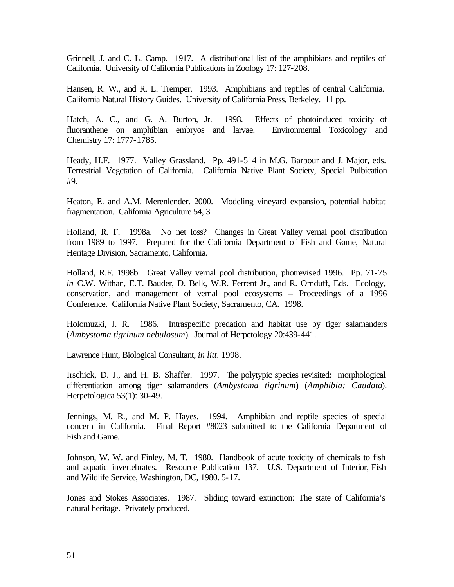Grinnell, J. and C. L. Camp. 1917. A distributional list of the amphibians and reptiles of California. University of California Publications in Zoology 17: 127-208.

Hansen, R. W., and R. L. Tremper. 1993. Amphibians and reptiles of central California. California Natural History Guides. University of California Press, Berkeley. 11 pp.

Hatch, A. C., and G. A. Burton, Jr. 1998. Effects of photoinduced toxicity of fluoranthene on amphibian embryos and larvae. Environmental Toxicology and Chemistry 17: 1777-1785.

Heady, H.F. 1977. Valley Grassland. Pp. 491-514 in M.G. Barbour and J. Major, eds. Terrestrial Vegetation of California. California Native Plant Society, Special Pulbication #9.

Heaton, E. and A.M. Merenlender. 2000. Modeling vineyard expansion, potential habitat fragmentation. California Agriculture 54, 3.

Holland, R. F. 1998a. No net loss? Changes in Great Valley vernal pool distribution from 1989 to 1997. Prepared for the California Department of Fish and Game, Natural Heritage Division, Sacramento, California.

Holland, R.F. 1998b. Great Valley vernal pool distribution, photrevised 1996. Pp. 71-75 *in* C.W. Withan, E.T. Bauder, D. Belk, W.R. Ferrent Jr., and R. Ornduff, Eds. Ecology, conservation, and management of vernal pool ecosystems – Proceedings of a 1996 Conference. California Native Plant Society, Sacramento, CA. 1998.

Holomuzki, J. R. 1986. Intraspecific predation and habitat use by tiger salamanders (*Ambystoma tigrinum nebulosum*). Journal of Herpetology 20:439-441.

Lawrence Hunt, Biological Consultant, *in litt*. 1998.

Irschick, D. J., and H. B. Shaffer. 1997. The polytypic species revisited: morphological differentiation among tiger salamanders (*Ambystoma tigrinum*) (*Amphibia: Caudata*). Herpetologica 53(1): 30-49.

Jennings, M. R., and M. P. Hayes. 1994. Amphibian and reptile species of special concern in California. Final Report #8023 submitted to the California Department of Fish and Game.

Johnson, W. W. and Finley, M. T. 1980. Handbook of acute toxicity of chemicals to fish and aquatic invertebrates. Resource Publication 137. U.S. Department of Interior, Fish and Wildlife Service, Washington, DC, 1980. 5-17.

Jones and Stokes Associates. 1987. Sliding toward extinction: The state of California's natural heritage. Privately produced.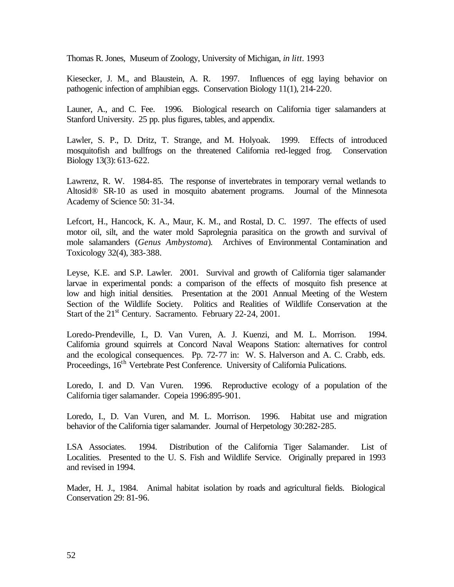Thomas R. Jones, Museum of Zoology, University of Michigan, *in litt.* 1993

Kiesecker, J. M., and Blaustein, A. R. 1997. Influences of egg laying behavior on pathogenic infection of amphibian eggs. Conservation Biology 11(1), 214-220.

Launer, A., and C. Fee. 1996. Biological research on California tiger salamanders at Stanford University. 25 pp. plus figures, tables, and appendix.

Lawler, S. P., D. Dritz, T. Strange, and M. Holyoak. 1999. Effects of introduced mosquitofish and bullfrogs on the threatened California red-legged frog. Conservation Biology 13(3): 613-622.

Lawrenz, R. W. 1984-85. The response of invertebrates in temporary vernal wetlands to Altosid® SR-10 as used in mosquito abatement programs. Journal of the Minnesota Academy of Science 50: 31-34.

Lefcort, H., Hancock, K. A., Maur, K. M., and Rostal, D. C. 1997. The effects of used motor oil, silt, and the water mold Saprolegnia parasitica on the growth and survival of mole salamanders (*Genus Ambystoma*). Archives of Environmental Contamination and Toxicology 32(4), 383-388.

Leyse, K.E. and S.P. Lawler. 2001. Survival and growth of California tiger salamander larvae in experimental ponds: a comparison of the effects of mosquito fish presence at low and high initial densities. Presentation at the 2001 Annual Meeting of the Western Section of the Wildlife Society. Politics and Realities of Wildlife Conservation at the Start of the  $21<sup>st</sup>$  Century. Sacramento. February 22-24, 2001.

Loredo-Prendeville, I., D. Van Vuren, A. J. Kuenzi, and M. L. Morrison. 1994. California ground squirrels at Concord Naval Weapons Station: alternatives for control and the ecological consequences. Pp. 72-77 in: W. S. Halverson and A. C. Crabb, eds. Proceedings, 16<sup>th</sup> Vertebrate Pest Conference. University of California Pulications.

Loredo, I. and D. Van Vuren. 1996. Reproductive ecology of a population of the California tiger salamander. Copeia 1996:895-901.

Loredo, I., D. Van Vuren, and M. L. Morrison. 1996. Habitat use and migration behavior of the California tiger salamander. Journal of Herpetology 30:282-285.

LSA Associates. 1994. Distribution of the California Tiger Salamander. List of Localities. Presented to the U. S. Fish and Wildlife Service. Originally prepared in 1993 and revised in 1994.

Mader, H. J., 1984. Animal habitat isolation by roads and agricultural fields. Biological Conservation 29: 81-96.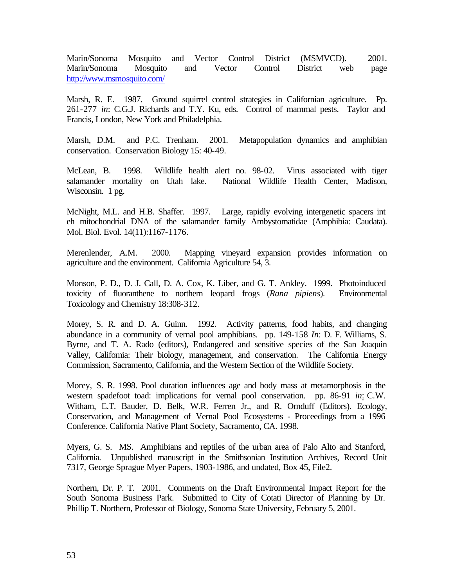Marin/Sonoma Mosquito and Vector Control District (MSMVCD). 2001. Marin/Sonoma Mosquito and Vector Control District web page http://www.msmosquito.com/

Marsh, R. E. 1987. Ground squirrel control strategies in Californian agriculture. Pp. 261-277 *in*: C.G.J. Richards and T.Y. Ku, eds. Control of mammal pests. Taylor and Francis, London, New York and Philadelphia.

Marsh, D.M. and P.C. Trenham. 2001. Metapopulation dynamics and amphibian conservation. Conservation Biology 15: 40-49.

McLean, B. 1998. Wildlife health alert no. 98-02. Virus associated with tiger salamander mortality on Utah lake. National Wildlife Health Center, Madison, Wisconsin. 1 pg.

McNight, M.L. and H.B. Shaffer. 1997. Large, rapidly evolving intergenetic spacers int eh mitochondrial DNA of the salamander family Ambystomatidae (Amphibia: Caudata). Mol. Biol. Evol. 14(11):1167-1176.

Merenlender, A.M. 2000. Mapping vineyard expansion provides information on agriculture and the environment. California Agriculture 54, 3.

Monson, P. D., D. J. Call, D. A. Cox, K. Liber, and G. T. Ankley. 1999. Photoinduced toxicity of fluoranthene to northern leopard frogs (*Rana pipiens*). Environmental Toxicology and Chemistry 18:308-312.

Morey, S. R. and D. A. Guinn. 1992. Activity patterns, food habits, and changing abundance in a community of vernal pool amphibians. pp. 149-158 *In*: D. F. Williams, S. Byrne, and T. A. Rado (editors), Endangered and sensitive species of the San Joaquin Valley, California: Their biology, management, and conservation. The California Energy Commission, Sacramento, California, and the Western Section of the Wildlife Society.

Morey, S. R. 1998. Pool duration influences age and body mass at metamorphosis in the western spadefoot toad: implications for vernal pool conservation. pp. 86-91 *in*: C.W. Witham, E.T. Bauder, D. Belk, W.R. Ferren Jr., and R. Ornduff (Editors). Ecology, Conservation, and Management of Vernal Pool Ecosystems - Proceedings from a 1996 Conference. California Native Plant Society, Sacramento, CA. 1998.

Myers, G. S. MS. Amphibians and reptiles of the urban area of Palo Alto and Stanford, California. Unpublished manuscript in the Smithsonian Institution Archives, Record Unit 7317, George Sprague Myer Papers, 1903-1986, and undated, Box 45, File2.

Northern, Dr. P. T. 2001. Comments on the Draft Environmental Impact Report for the South Sonoma Business Park. Submitted to City of Cotati Director of Planning by Dr. Phillip T. Northern, Professor of Biology, Sonoma State University, February 5, 2001.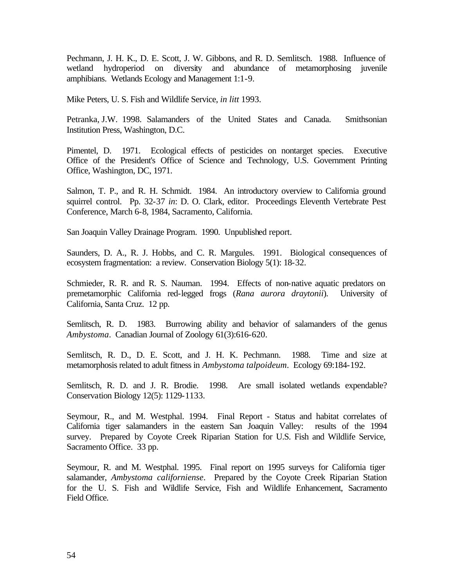Pechmann, J. H. K., D. E. Scott, J. W. Gibbons, and R. D. Semlitsch. 1988. Influence of wetland hydroperiod on diversity and abundance of metamorphosing juvenile amphibians. Wetlands Ecology and Management 1:1-9.

Mike Peters, U. S. Fish and Wildlife Service, *in litt* 1993.

Petranka, J.W. 1998. Salamanders of the United States and Canada. Smithsonian Institution Press, Washington, D.C.

Pimentel, D. 1971. Ecological effects of pesticides on nontarget species. Executive Office of the President's Office of Science and Technology, U.S. Government Printing Office, Washington, DC, 1971.

Salmon, T. P., and R. H. Schmidt. 1984. An introductory overview to California ground squirrel control. Pp. 32-37 *in*: D. O. Clark, editor. Proceedings Eleventh Vertebrate Pest Conference, March 6-8, 1984, Sacramento, California.

San Joaquin Valley Drainage Program. 1990. Unpublished report.

Saunders, D. A., R. J. Hobbs, and C. R. Margules. 1991. Biological consequences of ecosystem fragmentation: a review. Conservation Biology 5(1): 18-32.

Schmieder, R. R. and R. S. Nauman. 1994. Effects of non-native aquatic predators on premetamorphic California red-legged frogs (*Rana aurora draytonii*). University of California, Santa Cruz. 12 pp.

Semlitsch, R. D. 1983. Burrowing ability and behavior of salamanders of the genus *Ambystoma*. Canadian Journal of Zoology 61(3):616-620.

Semlitsch, R. D., D. E. Scott, and J. H. K. Pechmann. 1988. Time and size at metamorphosis related to adult fitness in *Ambystoma talpoideum*. Ecology 69:184-192.

Semlitsch, R. D. and J. R. Brodie. 1998. Are small isolated wetlands expendable? Conservation Biology 12(5): 1129-1133.

Seymour, R., and M. Westphal. 1994. Final Report - Status and habitat correlates of California tiger salamanders in the eastern San Joaquin Valley: results of the 1994 survey. Prepared by Coyote Creek Riparian Station for U.S. Fish and Wildlife Service, Sacramento Office. 33 pp.

Seymour, R. and M. Westphal. 1995. Final report on 1995 surveys for California tiger salamander, *Ambystoma californiense*. Prepared by the Coyote Creek Riparian Station for the U. S. Fish and Wildlife Service, Fish and Wildlife Enhancement, Sacramento Field Office.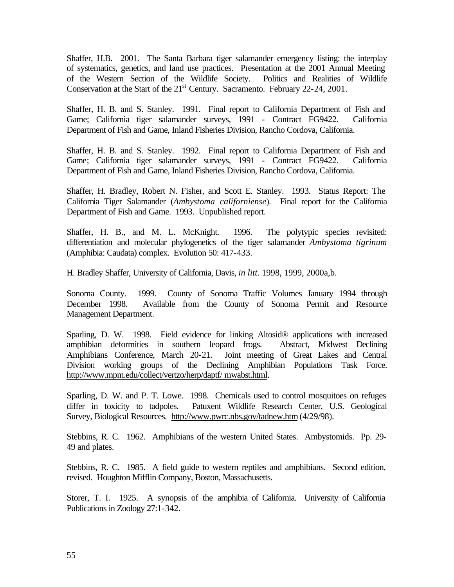Shaffer, H.B. 2001. The Santa Barbara tiger salamander emergency listing: the interplay of systematics, genetics, and land use practices. Presentation at the 2001 Annual Meeting of the Western Section of the Wildlife Society. Politics and Realities of Wildlife Conservation at the Start of the  $21<sup>st</sup>$  Century. Sacramento. February 22-24, 2001.

Shaffer, H. B. and S. Stanley. 1991. Final report to California Department of Fish and Game; California tiger salamander surveys, 1991 - Contract FG9422. California Department of Fish and Game, Inland Fisheries Division, Rancho Cordova, California.

Shaffer, H. B. and S. Stanley. 1992. Final report to California Department of Fish and Game; California tiger salamander surveys, 1991 - Contract FG9422. California Department of Fish and Game, Inland Fisheries Division, Rancho Cordova, California.

Shaffer, H. Bradley, Robert N. Fisher, and Scott E. Stanley. 1993. Status Report: The California Tiger Salamander (*Ambystoma californiense*). Final report for the California Department of Fish and Game. 1993. Unpublished report.

Shaffer, H. B., and M. L. McKnight. 1996. The polytypic species revisited: differentiation and molecular phylogenetics of the tiger salamander *Ambystoma tigrinum* (Amphibia: Caudata) complex. Evolution 50: 417-433.

H. Bradley Shaffer, University of California, Davis, *in litt*. 1998, 1999, 2000a,b.

Sonoma County. 1999. County of Sonoma Traffic Volumes January 1994 through December 1998. Available from the County of Sonoma Permit and Resource Management Department.

Sparling, D. W. 1998. Field evidence for linking Altosid® applications with increased amphibian deformities in southern leopard frogs. Abstract, Midwest Declining Amphibians Conference, March 20-21. Joint meeting of Great Lakes and Central Division working groups of the Declining Amphibian Populations Task Force. http://www.mpm.edu/collect/vertzo/herp/daptf/ mwabst.html.

Sparling, D. W. and P. T. Lowe. 1998. Chemicals used to control mosquitoes on refuges differ in toxicity to tadpoles. Patuxent Wildlife Research Center, U.S. Geological Survey, Biological Resources. http://www.pwrc.nbs.gov/tadnew.htm (4/29/98).

Stebbins, R. C. 1962. Amphibians of the western United States. Ambystomids. Pp. 29- 49 and plates.

Stebbins, R. C. 1985. A field guide to western reptiles and amphibians. Second edition, revised. Houghton Mifflin Company, Boston, Massachusetts.

Storer, T. I. 1925. A synopsis of the amphibia of California. University of California Publications in Zoology 27:1-342.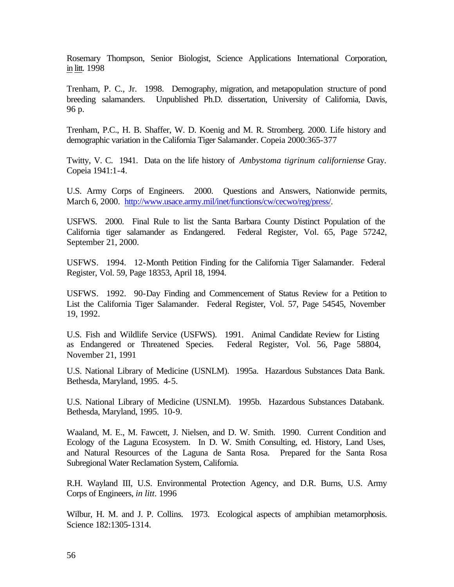Rosemary Thompson, Senior Biologist, Science Applications International Corporation, in litt. 1998

Trenham, P. C., Jr. 1998. Demography, migration, and metapopulation structure of pond breeding salamanders. Unpublished Ph.D. dissertation, University of California, Davis, 96 p.

Trenham, P.C., H. B. Shaffer, W. D. Koenig and M. R. Stromberg. 2000. Life history and demographic variation in the California Tiger Salamander. Copeia 2000:365-377

Twitty, V. C. 1941. Data on the life history of *Ambystoma tigrinum californiense* Gray. Copeia 1941:1-4.

U.S. Army Corps of Engineers. 2000. Questions and Answers, Nationwide permits, March 6, 2000. http://www.usace.army.mil/inet/functions/cw/cecwo/reg/press/.

USFWS. 2000. Final Rule to list the Santa Barbara County Distinct Population of the California tiger salamander as Endangered. Federal Register, Vol. 65, Page 57242, September 21, 2000.

USFWS. 1994. 12-Month Petition Finding for the California Tiger Salamander. Federal Register, Vol. 59, Page 18353, April 18, 1994.

USFWS. 1992. 90-Day Finding and Commencement of Status Review for a Petition to List the California Tiger Salamander. Federal Register, Vol. 57, Page 54545, November 19, 1992.

U.S. Fish and Wildlife Service (USFWS). 1991. Animal Candidate Review for Listing as Endangered or Threatened Species. Federal Register, Vol. 56, Page 58804, November 21, 1991

U.S. National Library of Medicine (USNLM). 1995a. Hazardous Substances Data Bank. Bethesda, Maryland, 1995. 4-5.

U.S. National Library of Medicine (USNLM). 1995b. Hazardous Substances Databank. Bethesda, Maryland, 1995. 10-9.

Waaland, M. E., M. Fawcett, J. Nielsen, and D. W. Smith. 1990. Current Condition and Ecology of the Laguna Ecosystem. In D. W. Smith Consulting, ed. History, Land Uses, and Natural Resources of the Laguna de Santa Rosa. Prepared for the Santa Rosa Subregional Water Reclamation System, California.

R.H. Wayland III, U.S. Environmental Protection Agency, and D.R. Burns, U.S. Army Corps of Engineers, *in litt*. 1996

Wilbur, H. M. and J. P. Collins. 1973. Ecological aspects of amphibian metamorphosis. Science 182:1305-1314.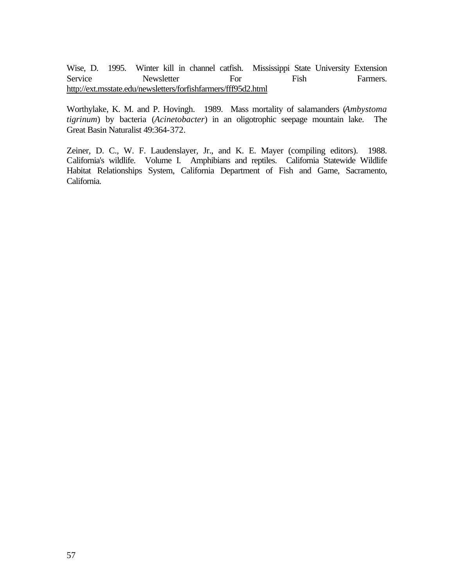Wise, D. 1995. Winter kill in channel catfish. Mississippi State University Extension Service Newsletter For Fish Farmers. http://ext.msstate.edu/newsletters/forfishfarmers/fff95d2.html

Worthylake, K. M. and P. Hovingh. 1989. Mass mortality of salamanders (*Ambystoma tigrinum*) by bacteria (*Acinetobacter*) in an oligotrophic seepage mountain lake. The Great Basin Naturalist 49:364-372.

Zeiner, D. C., W. F. Laudenslayer, Jr., and K. E. Mayer (compiling editors). 1988. California's wildlife. Volume I. Amphibians and reptiles. California Statewide Wildlife Habitat Relationships System, California Department of Fish and Game, Sacramento, California.